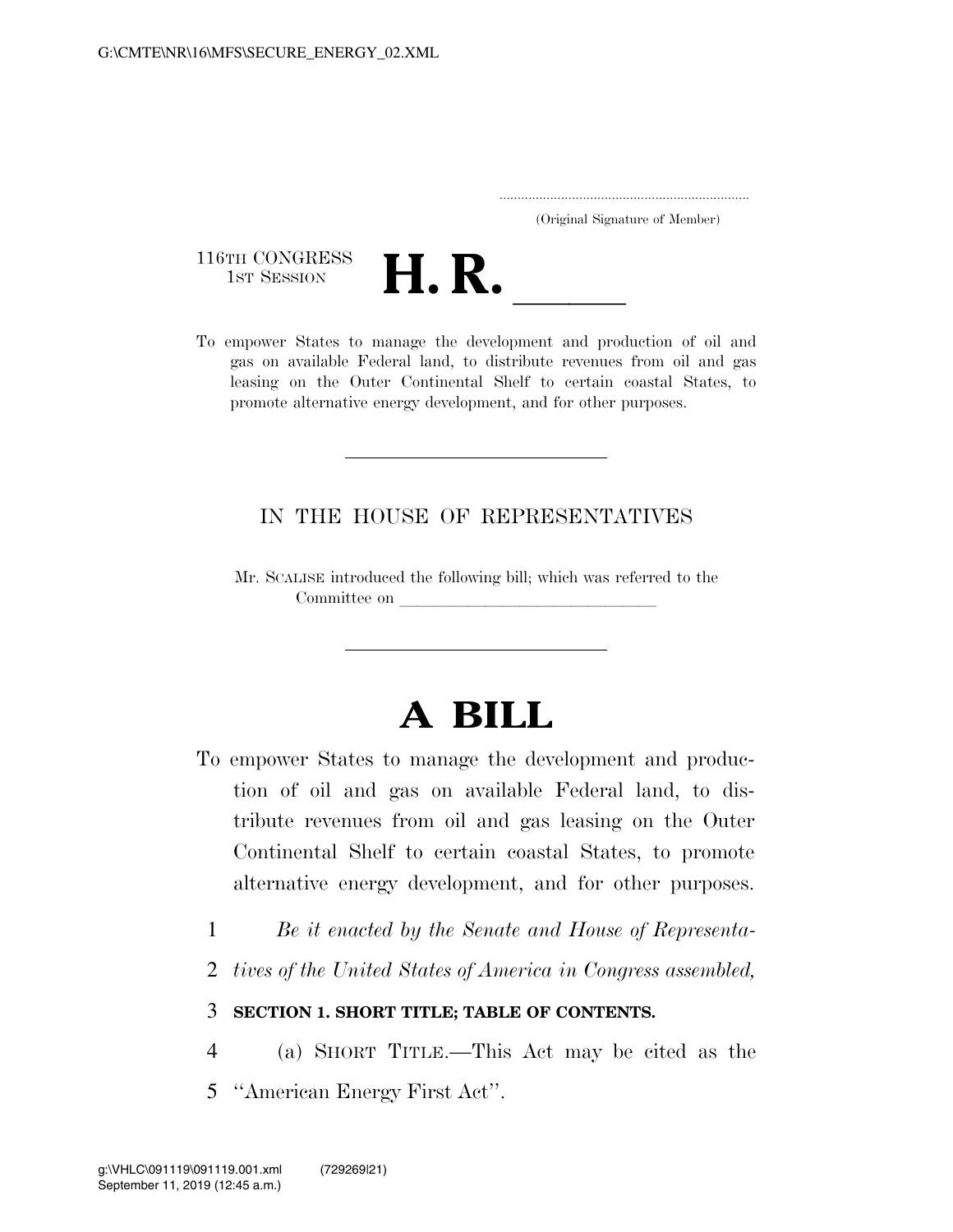.....................................................................

(Original Signature of Member)

116TH CONGRESS<br>1st Session

116TH CONGRESS<br>
1st SESSION<br>
To empower States to manage the development and production of oil and gas on available Federal land, to distribute revenues from oil and gas leasing on the Outer Continental Shelf to certain coastal States, to promote alternative energy development, and for other purposes.

## IN THE HOUSE OF REPRESENTATIVES

Mr. SCALISE introduced the following bill; which was referred to the Committee on

# **A BILL**

- To empower States to manage the development and production of oil and gas on available Federal land, to distribute revenues from oil and gas leasing on the Outer Continental Shelf to certain coastal States, to promote alternative energy development, and for other purposes.
	- 1 *Be it enacted by the Senate and House of Representa-*
	- 2 *tives of the United States of America in Congress assembled,*

## 3 **SECTION 1. SHORT TITLE; TABLE OF CONTENTS.**

- 4 (a) SHORT TITLE.—This Act may be cited as the
- 5 ''American Energy First Act''.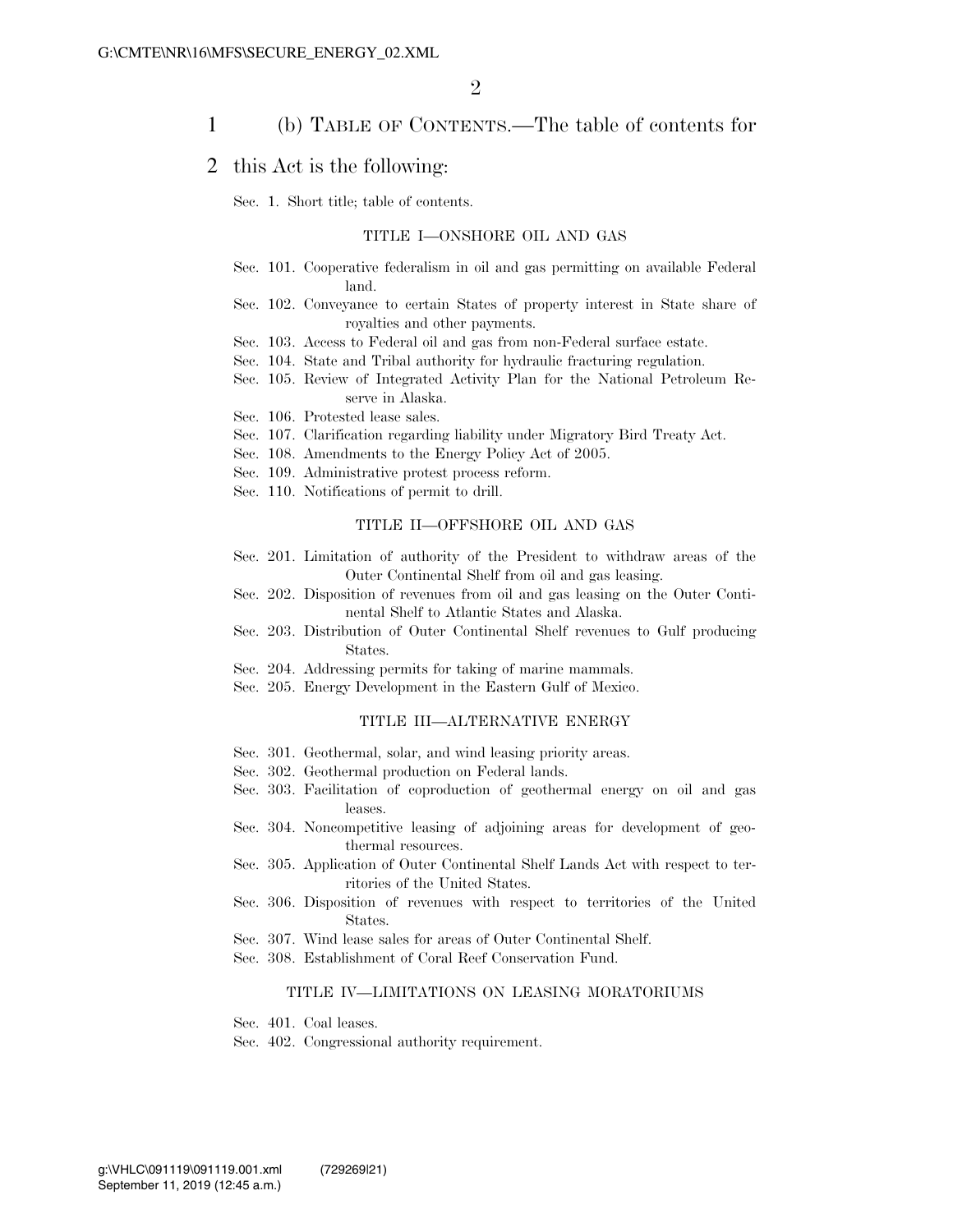### 1 (b) TABLE OF CONTENTS.—The table of contents for

#### 2 this Act is the following:

#### Sec. 1. Short title; table of contents.

#### TITLE I—ONSHORE OIL AND GAS

- Sec. 101. Cooperative federalism in oil and gas permitting on available Federal land.
- Sec. 102. Conveyance to certain States of property interest in State share of royalties and other payments.
- Sec. 103. Access to Federal oil and gas from non-Federal surface estate.
- Sec. 104. State and Tribal authority for hydraulic fracturing regulation.
- Sec. 105. Review of Integrated Activity Plan for the National Petroleum Reserve in Alaska.
- Sec. 106. Protested lease sales.
- Sec. 107. Clarification regarding liability under Migratory Bird Treaty Act.
- Sec. 108. Amendments to the Energy Policy Act of 2005.
- Sec. 109. Administrative protest process reform.
- Sec. 110. Notifications of permit to drill.

#### TITLE II—OFFSHORE OIL AND GAS

- Sec. 201. Limitation of authority of the President to withdraw areas of the Outer Continental Shelf from oil and gas leasing.
- Sec. 202. Disposition of revenues from oil and gas leasing on the Outer Continental Shelf to Atlantic States and Alaska.
- Sec. 203. Distribution of Outer Continental Shelf revenues to Gulf producing States.
- Sec. 204. Addressing permits for taking of marine mammals.
- Sec. 205. Energy Development in the Eastern Gulf of Mexico.

#### TITLE III—ALTERNATIVE ENERGY

- Sec. 301. Geothermal, solar, and wind leasing priority areas.
- Sec. 302. Geothermal production on Federal lands.
- Sec. 303. Facilitation of coproduction of geothermal energy on oil and gas leases.
- Sec. 304. Noncompetitive leasing of adjoining areas for development of geothermal resources.
- Sec. 305. Application of Outer Continental Shelf Lands Act with respect to territories of the United States.
- Sec. 306. Disposition of revenues with respect to territories of the United States.
- Sec. 307. Wind lease sales for areas of Outer Continental Shelf.
- Sec. 308. Establishment of Coral Reef Conservation Fund.

#### TITLE IV—LIMITATIONS ON LEASING MORATORIUMS

- Sec. 401. Coal leases.
- Sec. 402. Congressional authority requirement.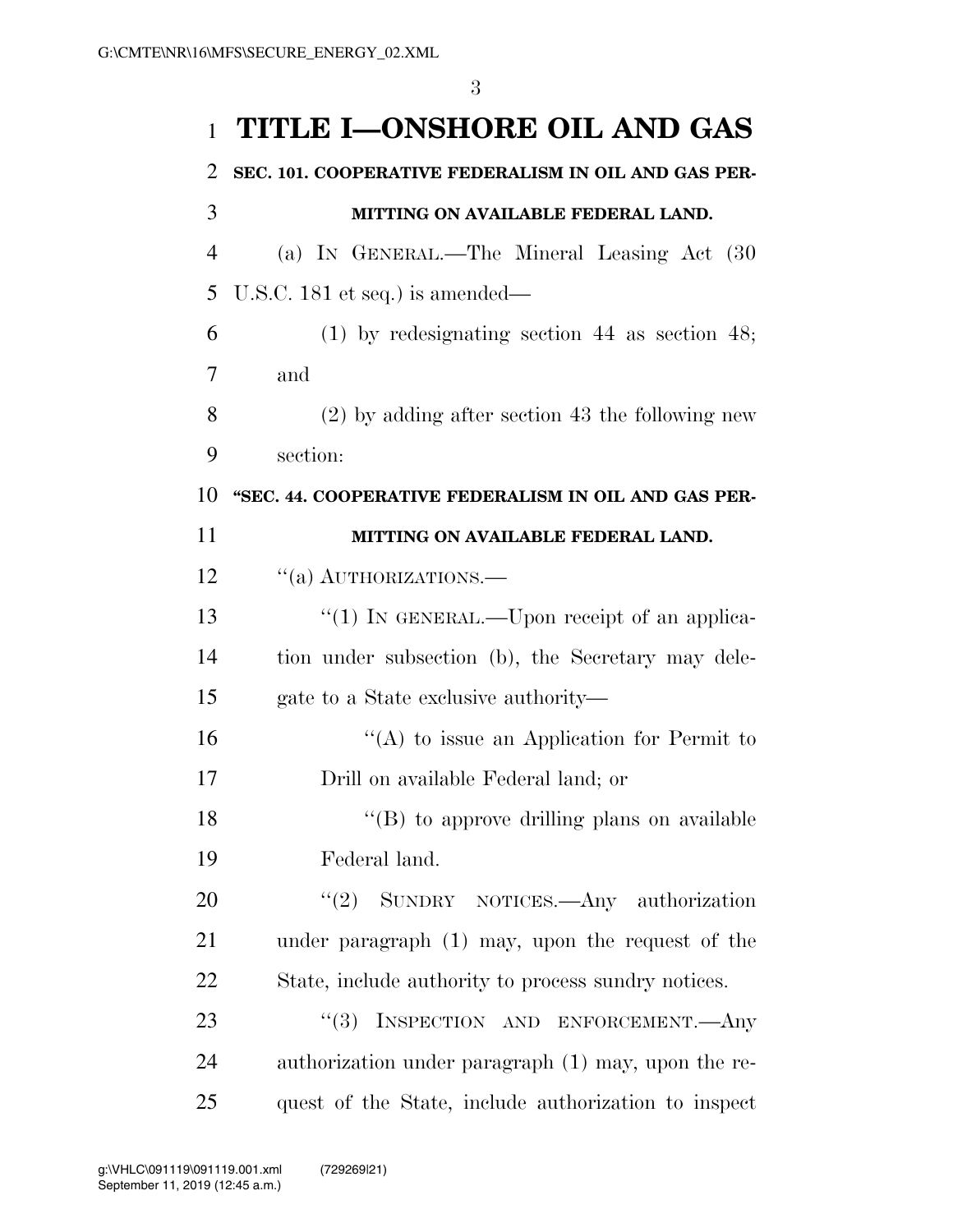# **TITLE I—ONSHORE OIL AND GAS**

| 2              | SEC. 101. COOPERATIVE FEDERALISM IN OIL AND GAS PER- |
|----------------|------------------------------------------------------|
| 3              | MITTING ON AVAILABLE FEDERAL LAND.                   |
| $\overline{4}$ | (a) IN GENERAL.—The Mineral Leasing Act (30          |
| 5              | U.S.C. 181 et seq.) is amended—                      |
| 6              | $(1)$ by redesignating section 44 as section 48;     |
| 7              | and                                                  |
| 8              | $(2)$ by adding after section 43 the following new   |
| 9              | section:                                             |
| 10             | "SEC. 44. COOPERATIVE FEDERALISM IN OIL AND GAS PER- |
| 11             | MITTING ON AVAILABLE FEDERAL LAND.                   |
| 12             | "(a) AUTHORIZATIONS.                                 |
| 13             | "(1) IN GENERAL.—Upon receipt of an applica-         |
| 14             | tion under subsection (b), the Secretary may dele-   |
| 15             | gate to a State exclusive authority—                 |
| 16             | "(A) to issue an Application for Permit to           |
| 17             | Drill on available Federal land; or                  |
| 18             | "(B) to approve drilling plans on available          |
| 19             | Federal land.                                        |
| 20             | "(2) SUNDRY NOTICES.—Any authorization               |
| 21             | under paragraph $(1)$ may, upon the request of the   |
| 22             | State, include authority to process sundry notices.  |
| 23             | "(3) INSPECTION AND ENFORCEMENT. Any                 |
| 24             | authorization under paragraph (1) may, upon the re-  |
| 25             | quest of the State, include authorization to inspect |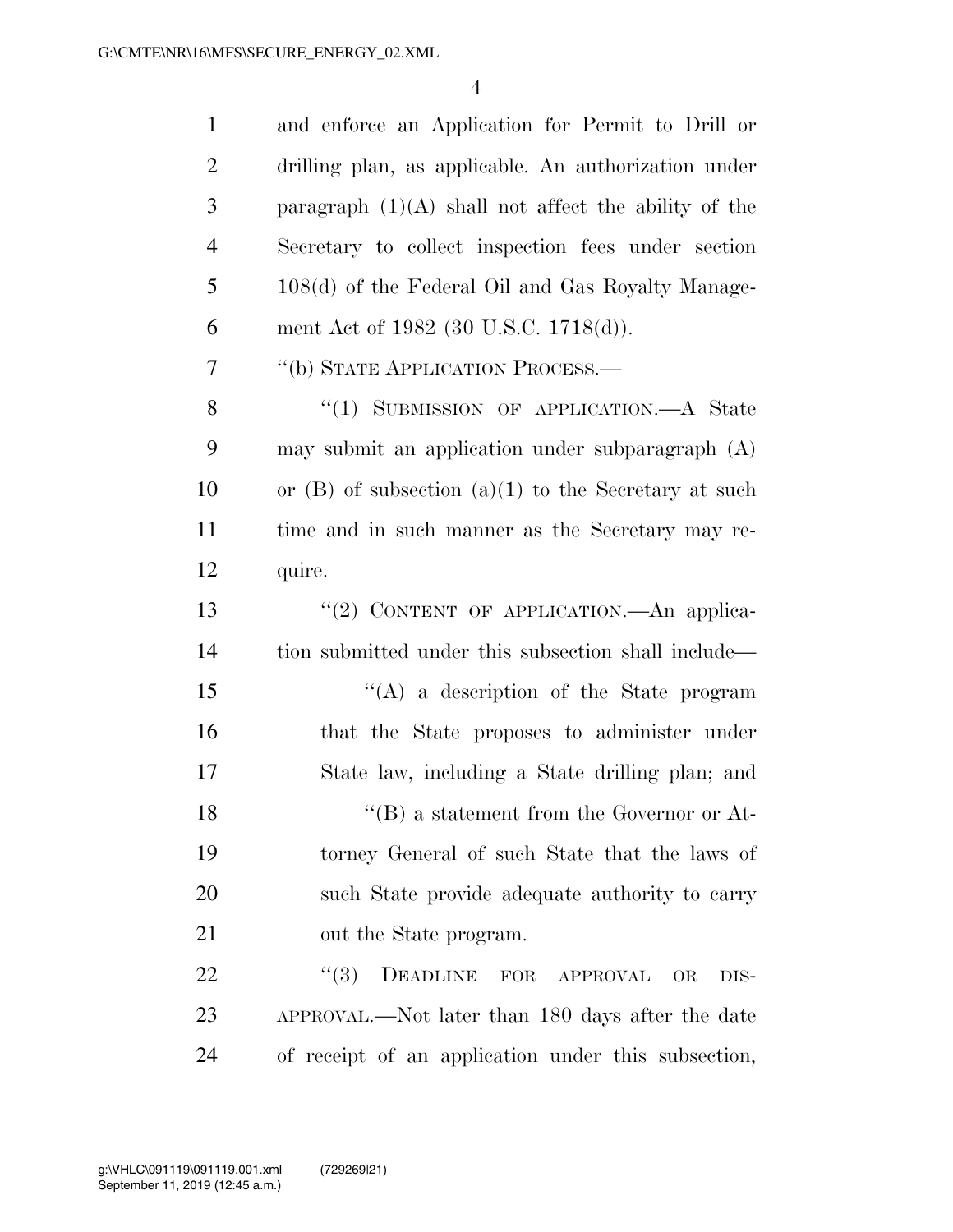| $\mathbf{1}$   | and enforce an Application for Permit to Drill or        |
|----------------|----------------------------------------------------------|
| $\overline{2}$ | drilling plan, as applicable. An authorization under     |
| 3              | paragraph $(1)(A)$ shall not affect the ability of the   |
| 4              | Secretary to collect inspection fees under section       |
| 5              | 108(d) of the Federal Oil and Gas Royalty Manage-        |
| 6              | ment Act of 1982 (30 U.S.C. 1718(d)).                    |
| 7              | "(b) STATE APPLICATION PROCESS.—                         |
| 8              | "(1) SUBMISSION OF APPLICATION.—A State                  |
| 9              | may submit an application under subparagraph (A)         |
| 10             | or $(B)$ of subsection $(a)(1)$ to the Secretary at such |
| 11             | time and in such manner as the Secretary may re-         |
| 12             | quire.                                                   |
| 13             | "(2) CONTENT OF APPLICATION.—An applica-                 |
| 14             | tion submitted under this subsection shall include—      |
| 15             | $\lq\lq$ a description of the State program              |
| 16             | that the State proposes to administer under              |
| 17             | State law, including a State drilling plan; and          |
| 18             | $\lq\lq (B)$ a statement from the Governor or At-        |
| 19             | torney General of such State that the laws of            |
| 20             | such State provide adequate authority to carry           |
| 21             | out the State program.                                   |
| 22             | (3)<br>DEADLINE FOR APPROVAL<br><b>OR</b><br>DIS-        |
| 23             | APPROVAL.—Not later than 180 days after the date         |
| 24             | of receipt of an application under this subsection,      |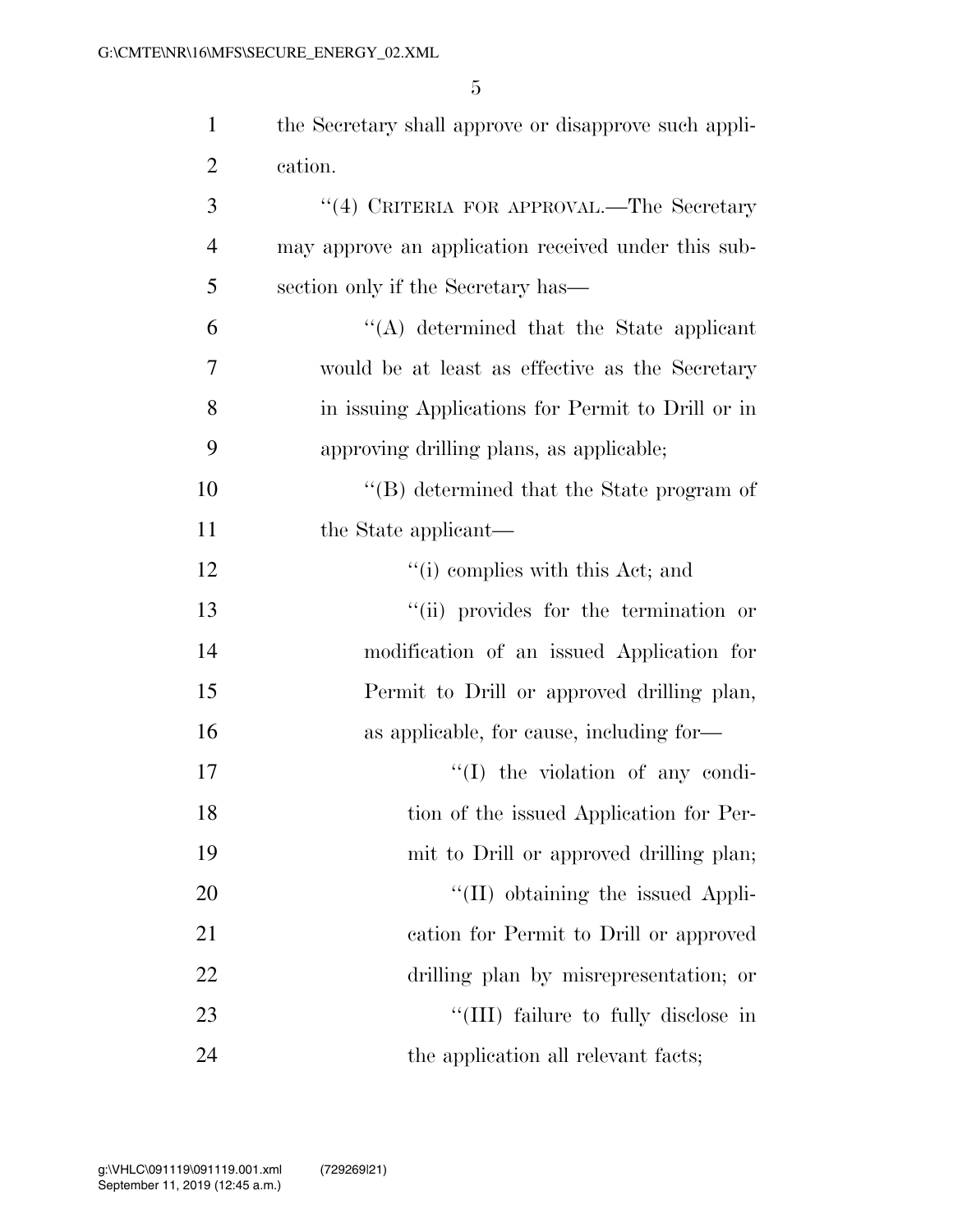| $\mathbf{1}$   | the Secretary shall approve or disapprove such appli- |
|----------------|-------------------------------------------------------|
| $\overline{2}$ | cation.                                               |
| 3              | "(4) CRITERIA FOR APPROVAL.—The Secretary             |
| $\overline{4}$ | may approve an application received under this sub-   |
| 5              | section only if the Secretary has—                    |
| 6              | "(A) determined that the State applicant              |
| 7              | would be at least as effective as the Secretary       |
| 8              | in issuing Applications for Permit to Drill or in     |
| 9              | approving drilling plans, as applicable;              |
| 10             | $\lq\lq$ determined that the State program of         |
| 11             | the State applicant—                                  |
| 12             | "(i) complies with this Act; and                      |
| 13             | "(ii) provides for the termination or                 |
| 14             | modification of an issued Application for             |
| 15             | Permit to Drill or approved drilling plan,            |
| 16             | as applicable, for cause, including for-              |
| 17             | $\lq\lq$ (I) the violation of any condi-              |
| 18             | tion of the issued Application for Per-               |
| 19             | mit to Drill or approved drilling plan;               |
| 20             | "(II) obtaining the issued Appli-                     |
| 21             | cation for Permit to Drill or approved                |
| 22             | drilling plan by misrepresentation; or                |
| 23             | "(III) failure to fully disclose in                   |
| 24             | the application all relevant facts;                   |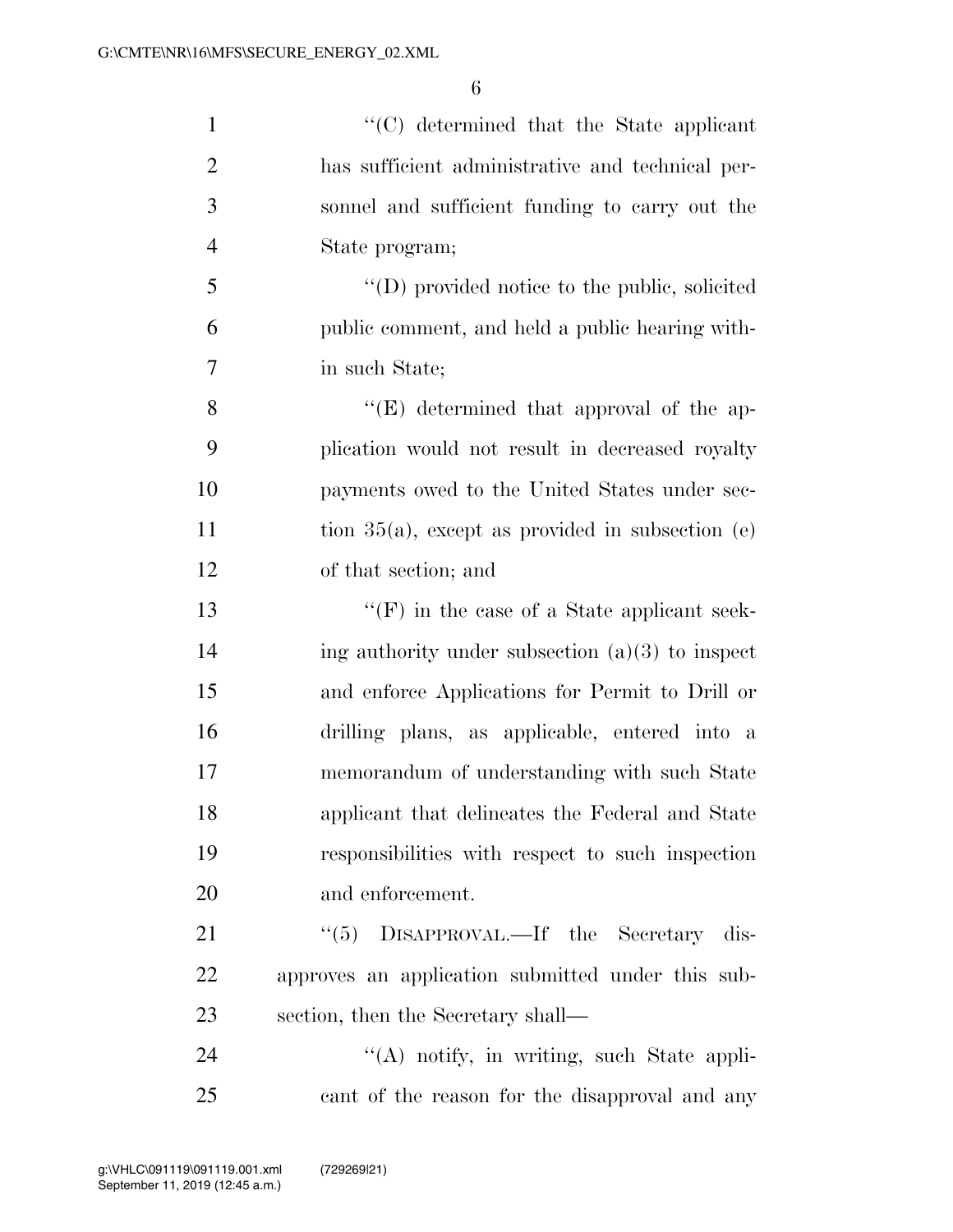''(C) determined that the State applicant has sufficient administrative and technical per- sonnel and sufficient funding to carry out the State program; ''(D) provided notice to the public, solicited public comment, and held a public hearing with- in such State; 8 ''(E) determined that approval of the ap- plication would not result in decreased royalty payments owed to the United States under sec-11 tion 35(a), except as provided in subsection (e) of that section; and ''(F) in the case of a State applicant seek-14 ing authority under subsection  $(a)(3)$  to inspect and enforce Applications for Permit to Drill or drilling plans, as applicable, entered into a memorandum of understanding with such State applicant that delineates the Federal and State responsibilities with respect to such inspection and enforcement. 21 ''(5) DISAPPROVAL.—If the Secretary dis-approves an application submitted under this sub-

section, then the Secretary shall—

24 "(A) notify, in writing, such State appli-cant of the reason for the disapproval and any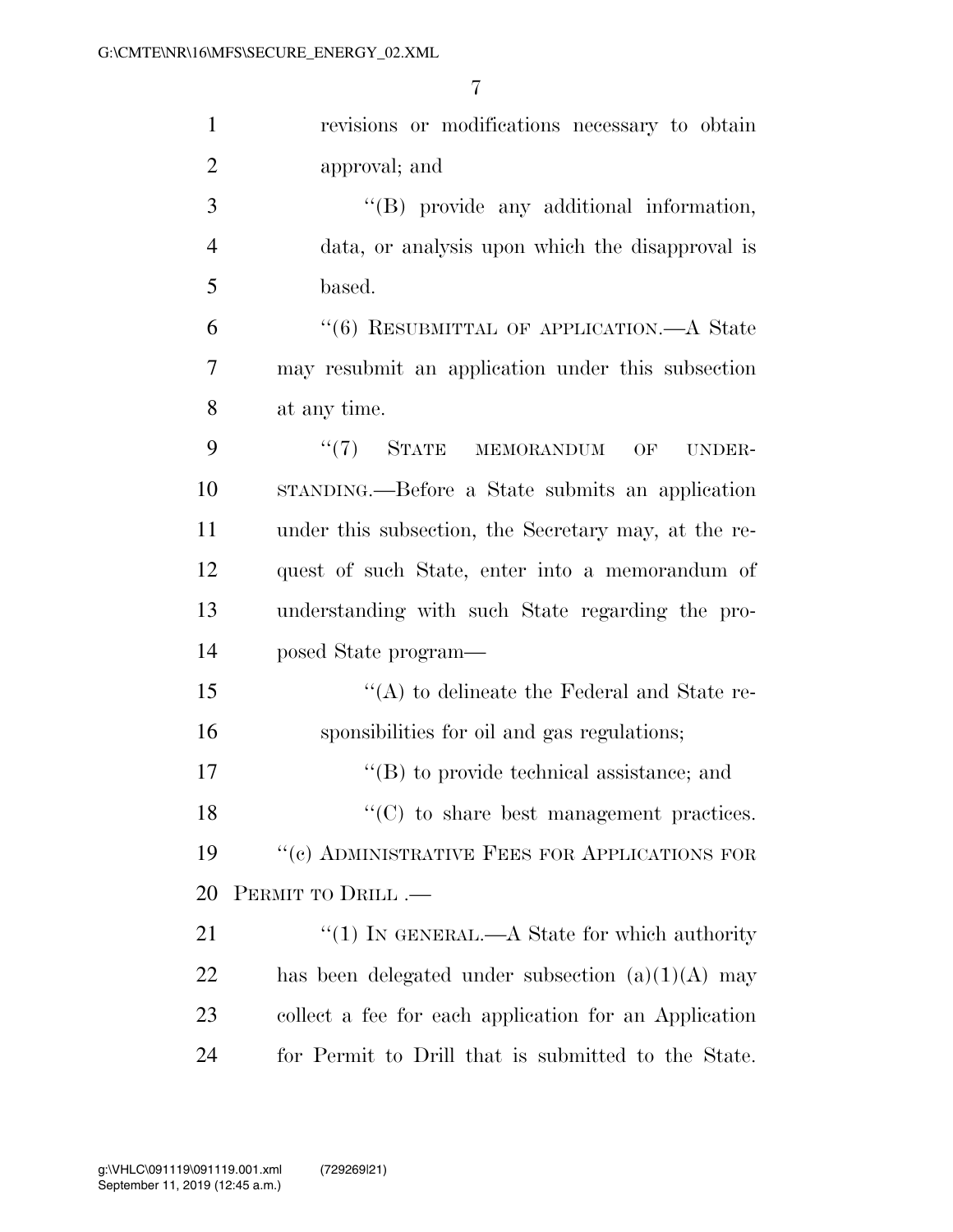| $\mathbf{1}$   | revisions or modifications necessary to obtain        |
|----------------|-------------------------------------------------------|
| $\overline{2}$ | approval; and                                         |
| 3              | "(B) provide any additional information,              |
| $\overline{4}$ | data, or analysis upon which the disapproval is       |
| 5              | based.                                                |
| 6              | "(6) RESUBMITTAL OF APPLICATION.—A State              |
| 7              | may resubmit an application under this subsection     |
| 8              | at any time.                                          |
| 9              | $``(7)$ STATE<br>MEMORANDUM<br>OF<br>UNDER-           |
| 10             | STANDING.—Before a State submits an application       |
| 11             | under this subsection, the Secretary may, at the re-  |
| 12             | quest of such State, enter into a memorandum of       |
| 13             | understanding with such State regarding the pro-      |
| 14             | posed State program—                                  |
| 15             | $\lq\lq$ to delineate the Federal and State re-       |
| 16             | sponsibilities for oil and gas regulations;           |
| 17             | "(B) to provide technical assistance; and             |
| 18             | $\lq\lq$ (C) to share best management practices.      |
| 19             | $\lq\lq (c)$ ADMINISTRATIVE FEES FOR APPLICATIONS FOR |
| 20             | PERMIT TO DRILL.-                                     |
| 21             | "(1) IN GENERAL.—A State for which authority          |
| 22             | has been delegated under subsection $(a)(1)(A)$ may   |
| 23             | collect a fee for each application for an Application |
| 24             | for Permit to Drill that is submitted to the State.   |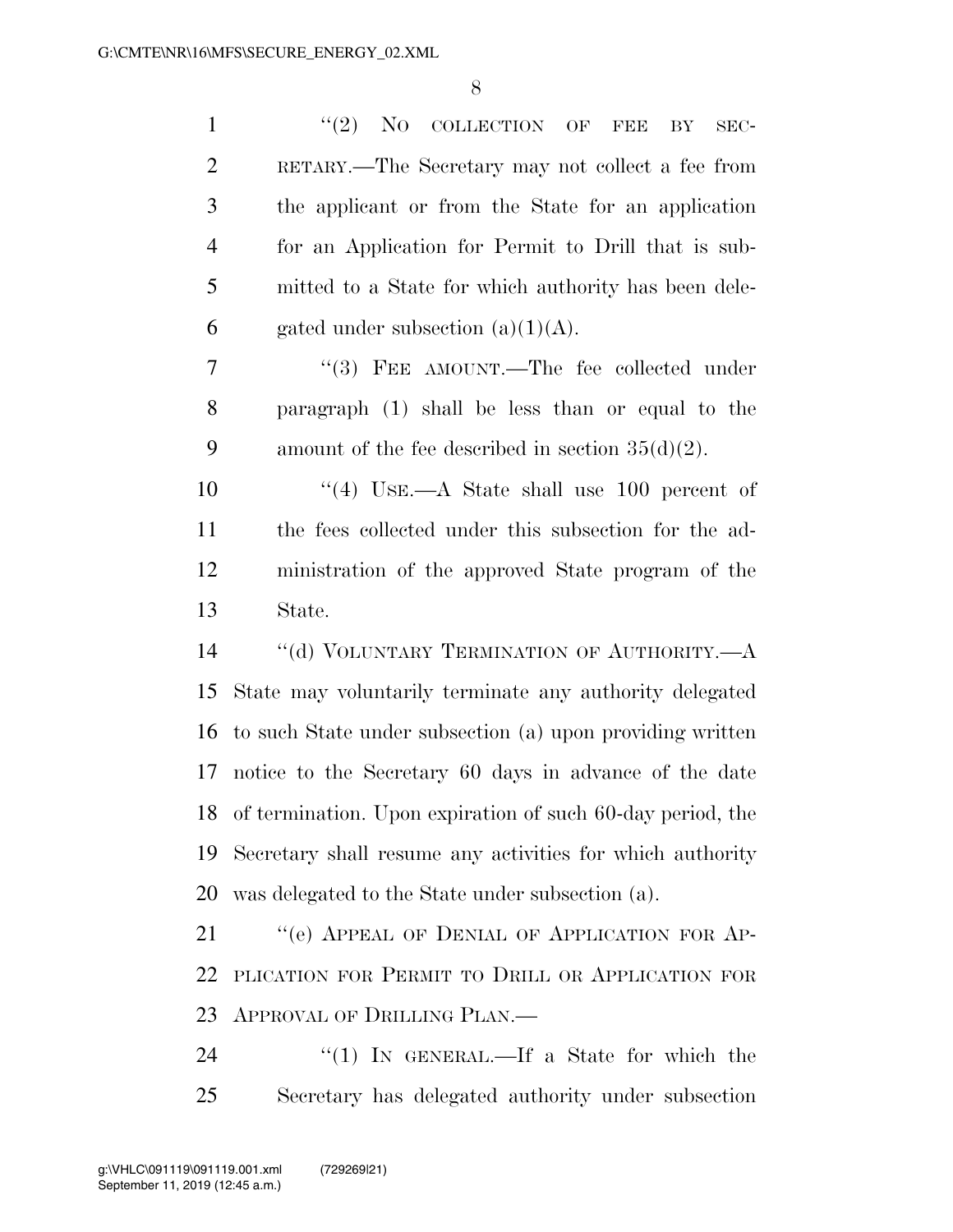| $\mathbf{1}$   | $``(2)$ NO COLLECTION OF<br><b>FEE</b><br>BY<br>SEC-          |
|----------------|---------------------------------------------------------------|
| $\overline{2}$ | RETARY.—The Secretary may not collect a fee from              |
| 3              | the applicant or from the State for an application            |
| $\overline{4}$ | for an Application for Permit to Drill that is sub-           |
| 5              | mitted to a State for which authority has been dele-          |
| 6              | gated under subsection $(a)(1)(A)$ .                          |
| 7              | "(3) FEE AMOUNT.—The fee collected under                      |
| 8              | paragraph (1) shall be less than or equal to the              |
| 9              | amount of the fee described in section $35(d)(2)$ .           |
| 10             | "(4) USE.—A State shall use 100 percent of                    |
| 11             | the fees collected under this subsection for the ad-          |
| 12             | ministration of the approved State program of the             |
| 13             | State.                                                        |
| 14             | "(d) VOLUNTARY TERMINATION OF AUTHORITY.—A                    |
| 15             | State may voluntarily terminate any authority delegated       |
| 16             | to such State under subsection (a) upon providing written     |
| 17             | notice to the Secretary 60 days in advance of the date        |
|                | 18 of termination. Upon expiration of such 60-day period, the |
| 19             | Secretary shall resume any activities for which authority     |
| 20             | was delegated to the State under subsection (a).              |
| 21             | "(e) APPEAL OF DENIAL OF APPLICATION FOR AP-                  |
| 22             | PLICATION FOR PERMIT TO DRILL OR APPLICATION FOR              |
| 23             | APPROVAL OF DRILLING PLAN.—                                   |
| 24             | "(1) IN GENERAL.—If a State for which the                     |
|                |                                                               |

Secretary has delegated authority under subsection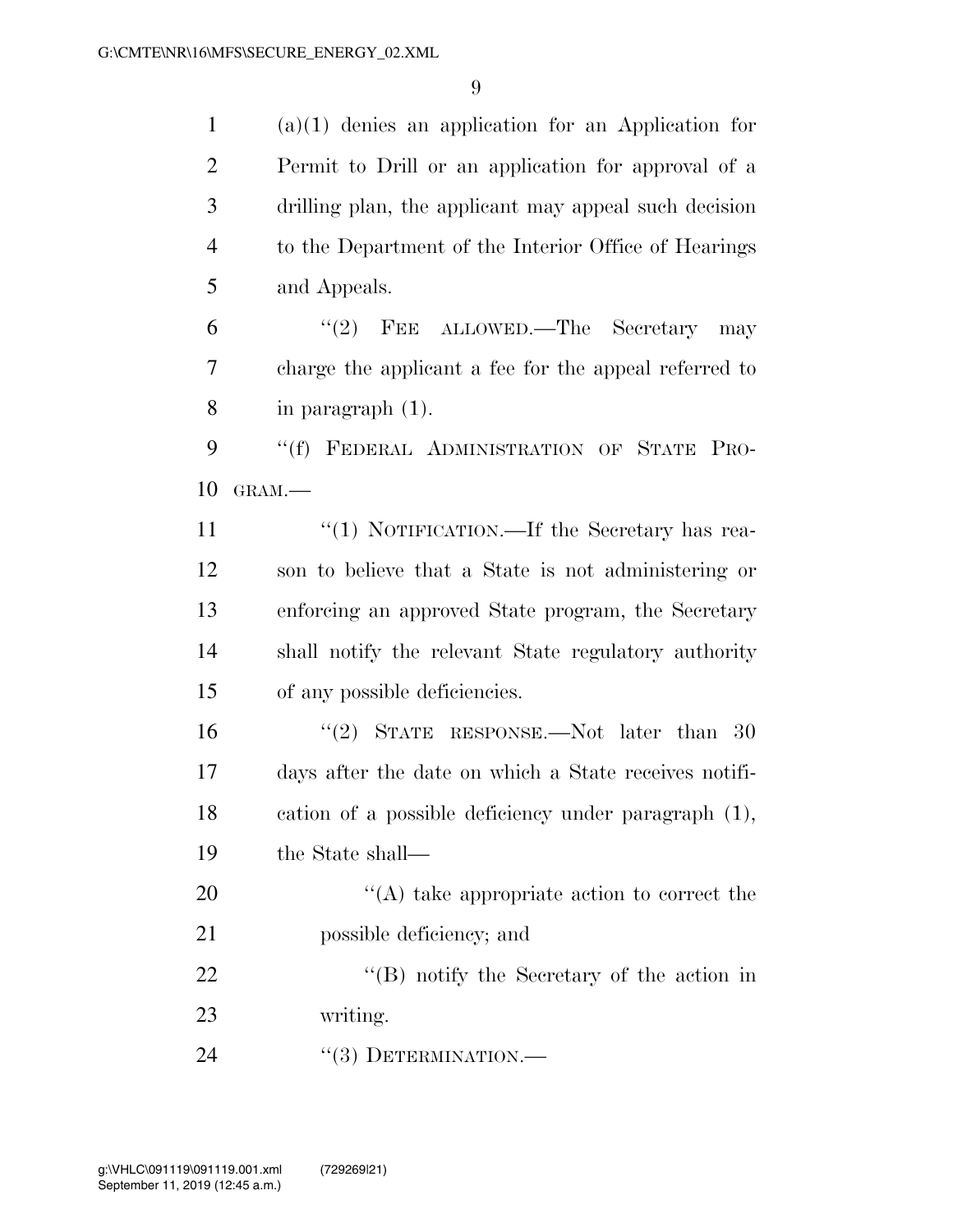(a)(1) denies an application for an Application for Permit to Drill or an application for approval of a drilling plan, the applicant may appeal such decision to the Department of the Interior Office of Hearings and Appeals.

6 "(2) FEE ALLOWED.—The Secretary may charge the applicant a fee for the appeal referred to in paragraph (1).

9 "(f) FEDERAL ADMINISTRATION OF STATE PRO-GRAM.—

 $\frac{1}{1}$  NOTIFICATION. If the Secretary has rea- son to believe that a State is not administering or enforcing an approved State program, the Secretary shall notify the relevant State regulatory authority of any possible deficiencies.

16 ''(2) STATE RESPONSE.—Not later than 30 days after the date on which a State receives notifi- cation of a possible deficiency under paragraph (1), the State shall—

20  $\langle (A) \rangle$  take appropriate action to correct the possible deficiency; and

22 ''(B) notify the Secretary of the action in writing.

24 "(3) DETERMINATION.—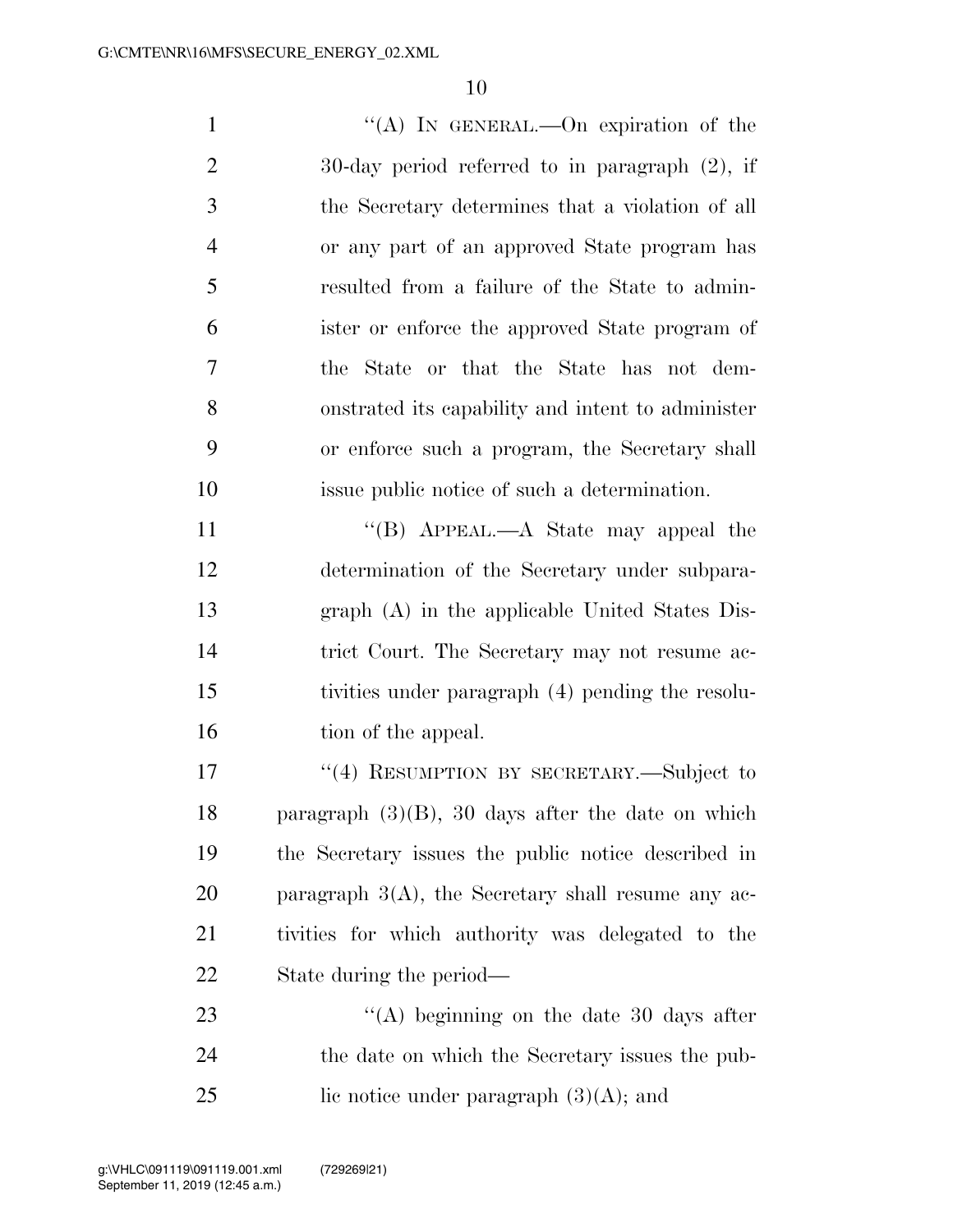$\langle (A) \rangle$  In GENERAL.—On expiration of the 30-day period referred to in paragraph (2), if the Secretary determines that a violation of all or any part of an approved State program has resulted from a failure of the State to admin- ister or enforce the approved State program of the State or that the State has not dem- onstrated its capability and intent to administer or enforce such a program, the Secretary shall issue public notice of such a determination. 11 "'(B) APPEAL.—A State may appeal the determination of the Secretary under subpara- graph (A) in the applicable United States Dis- trict Court. The Secretary may not resume ac- tivities under paragraph (4) pending the resolu-16 tion of the appeal. 17 "(4) RESUMPTION BY SECRETARY.—Subject to paragraph (3)(B), 30 days after the date on which the Secretary issues the public notice described in

 paragraph 3(A), the Secretary shall resume any ac- tivities for which authority was delegated to the State during the period—

23 ''(A) beginning on the date 30 days after the date on which the Secretary issues the pub-25 lic notice under paragraph  $(3)(A)$ ; and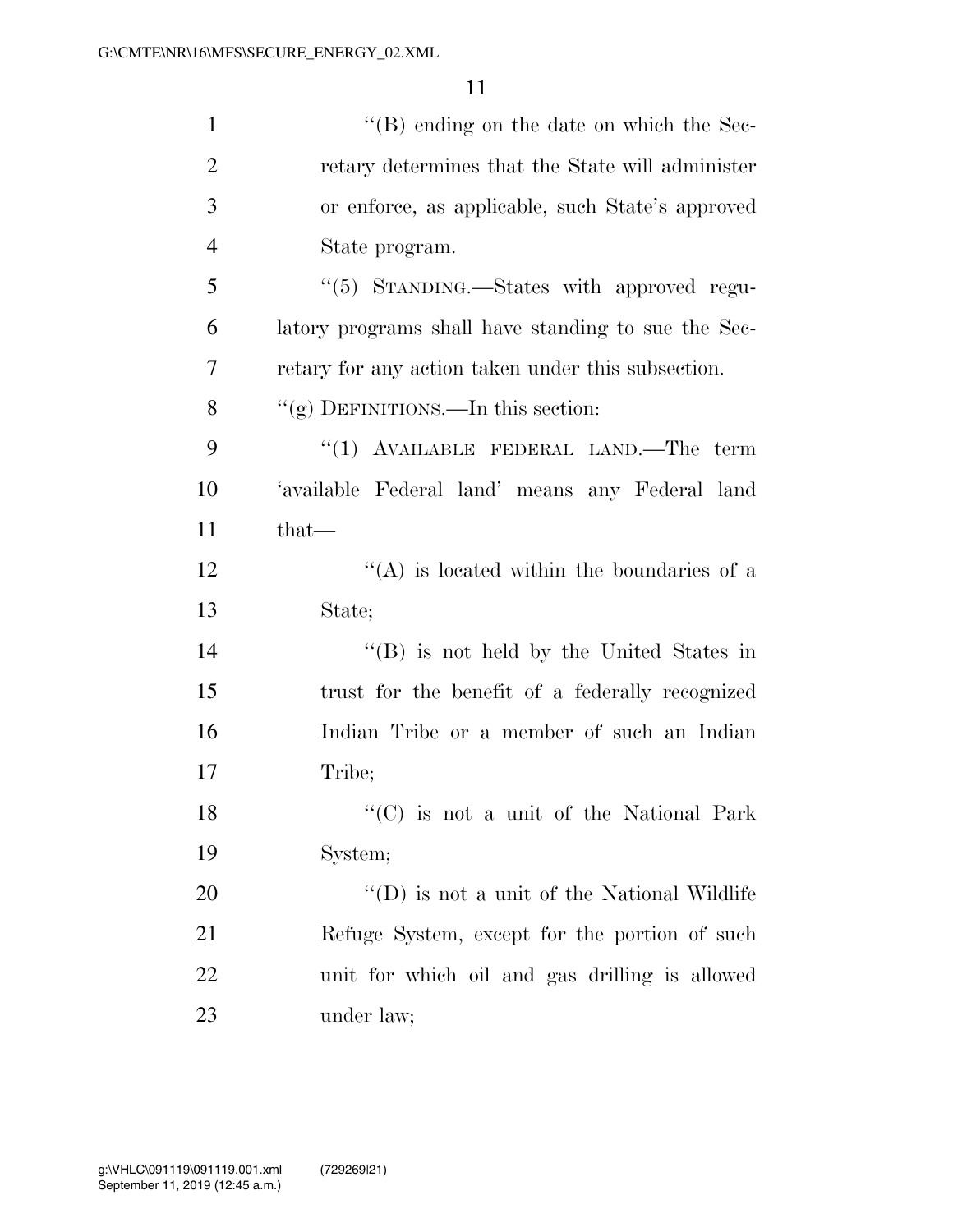| $\mathbf{1}$   | $\lq\lq (B)$ ending on the date on which the Sec-   |
|----------------|-----------------------------------------------------|
| $\overline{2}$ | retary determines that the State will administer    |
| 3              | or enforce, as applicable, such State's approved    |
| $\overline{4}$ | State program.                                      |
| 5              | "(5) STANDING.—States with approved regu-           |
| 6              | latory programs shall have standing to sue the Sec- |
| 7              | retary for any action taken under this subsection.  |
| 8              | "(g) DEFINITIONS.—In this section:                  |
| 9              | "(1) AVAILABLE FEDERAL LAND.—The term               |
| 10             | 'available Federal land' means any Federal land     |
| 11             | $that-$                                             |
| 12             | $\lq\lq$ is located within the boundaries of a      |
| 13             | State;                                              |
| 14             | "(B) is not held by the United States in            |
| 15             | trust for the benefit of a federally recognized     |
| 16             | Indian Tribe or a member of such an Indian          |
| 17             | Tribe;                                              |
| 18             | "(C) is not a unit of the National Park             |
| 19             | System;                                             |
| 20             | $\lq\lq$ (D) is not a unit of the National Wildlife |
| 21             | Refuge System, except for the portion of such       |
| <u>22</u>      | unit for which oil and gas drilling is allowed      |
| 23             | under law;                                          |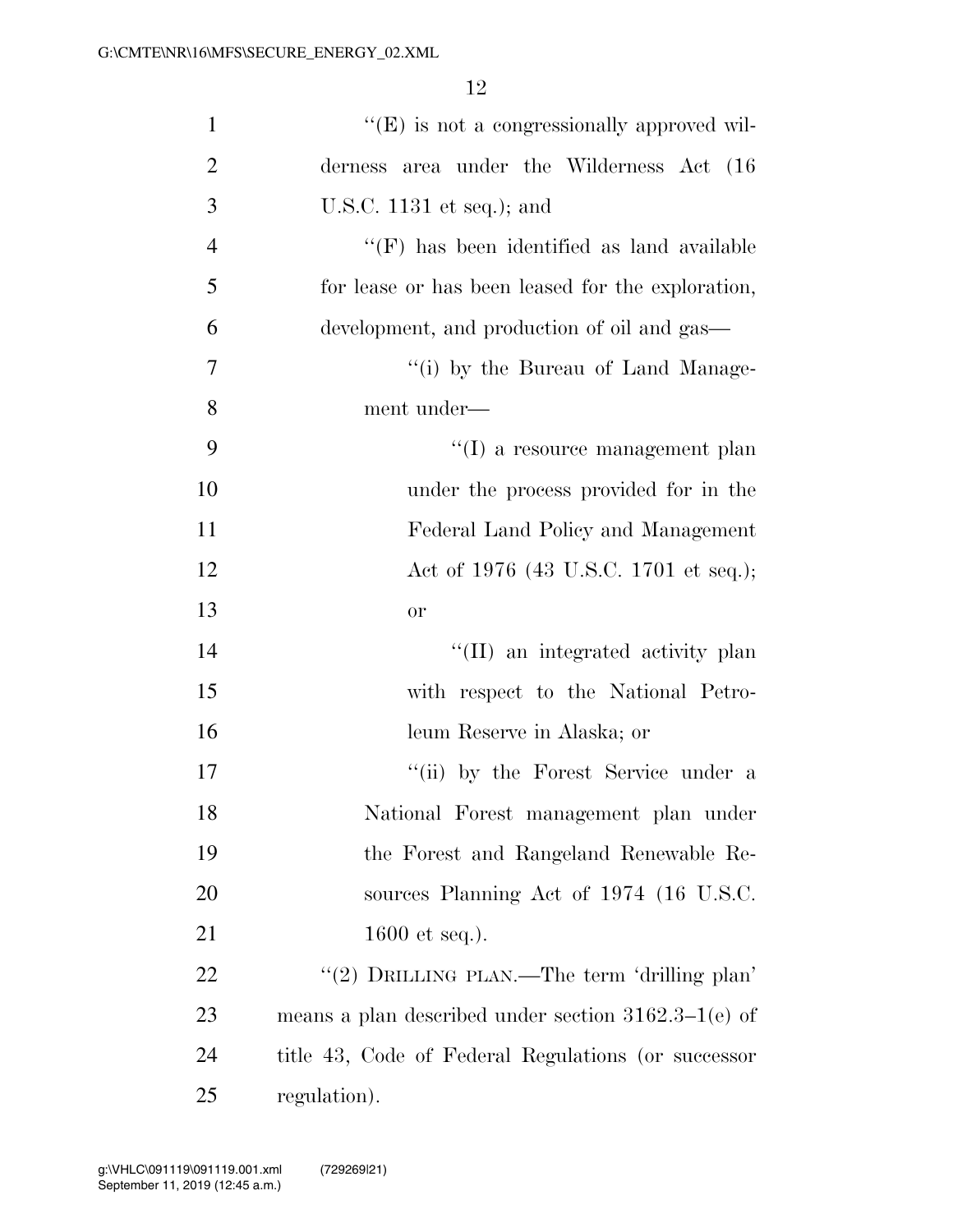| $\mathbf{1}$   | "(E) is not a congressionally approved wil-            |
|----------------|--------------------------------------------------------|
| $\overline{2}$ | derness area under the Wilderness Act (16)             |
| 3              | U.S.C. $1131$ et seq.); and                            |
| $\overline{4}$ | $\lq\lq(F)$ has been identified as land available      |
| 5              | for lease or has been leased for the exploration,      |
| 6              | development, and production of oil and gas—            |
| 7              | "(i) by the Bureau of Land Manage-                     |
| 8              | ment under-                                            |
| 9              | "(I) a resource management plan                        |
| 10             | under the process provided for in the                  |
| 11             | Federal Land Policy and Management                     |
| 12             | Act of 1976 (43 U.S.C. 1701 et seq.);                  |
| 13             | <b>or</b>                                              |
| 14             | "(II) an integrated activity plan                      |
| 15             | with respect to the National Petro-                    |
| 16             | leum Reserve in Alaska; or                             |
| 17             | "(ii) by the Forest Service under a                    |
| 18             | National Forest management plan under                  |
| 19             | the Forest and Rangeland Renewable Re-                 |
| 20             | sources Planning Act of 1974 (16 U.S.C.                |
| 21             | 1600 et seq.).                                         |
| 22             | "(2) DRILLING PLAN.—The term 'drilling plan'           |
| 23             | means a plan described under section $3162.3-1$ (e) of |
| 24             | title 43, Code of Federal Regulations (or successor    |
| 25             | regulation).                                           |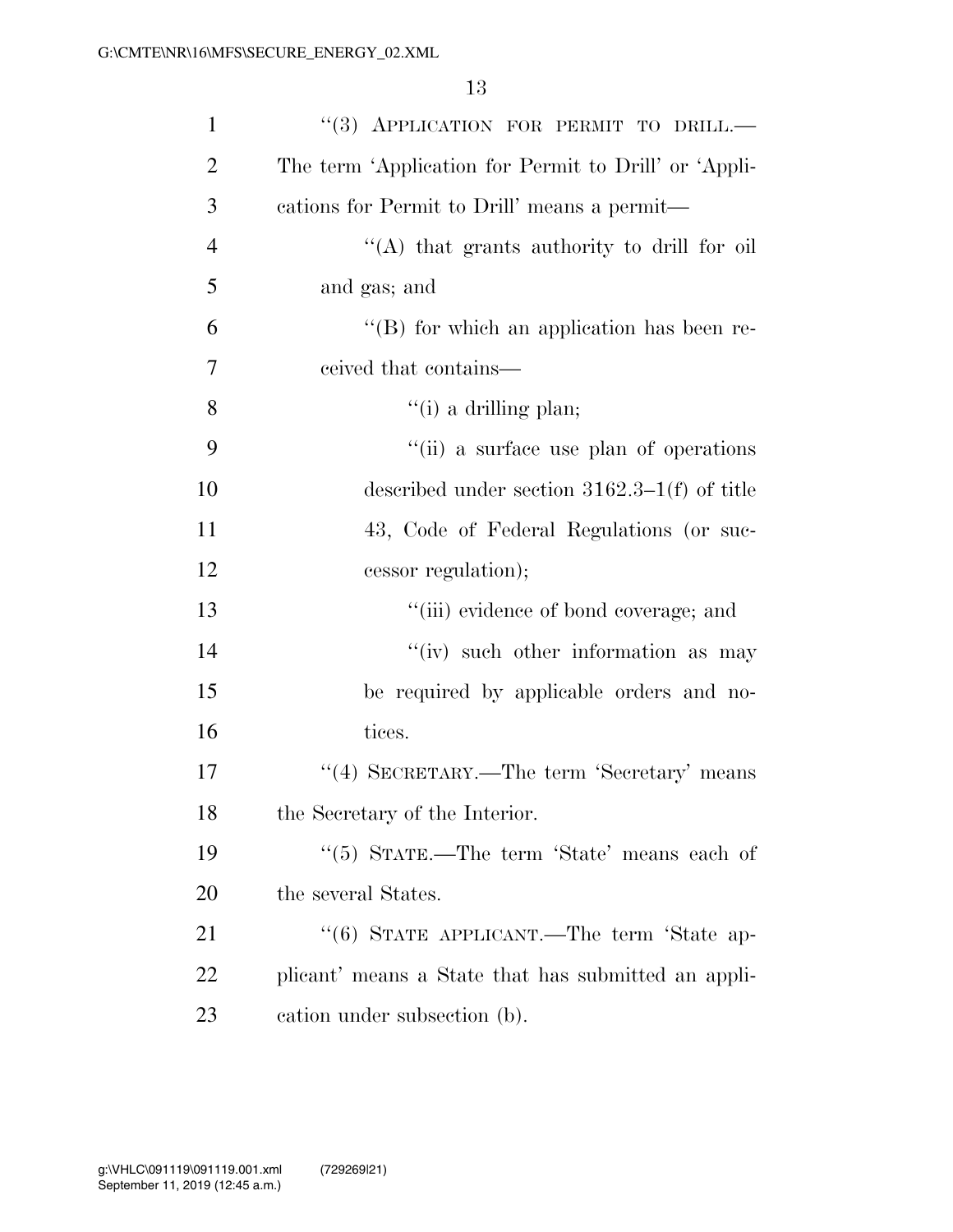| $\mathbf{1}$   | "(3) APPLICATION FOR PERMIT TO DRILL.-                |
|----------------|-------------------------------------------------------|
| $\overline{2}$ | The term 'Application for Permit to Drill' or 'Appli- |
| 3              | cations for Permit to Drill' means a permit—          |
| $\overline{4}$ | "(A) that grants authority to drill for oil           |
| 5              | and gas; and                                          |
| 6              | $\lq\lq$ for which an application has been re-        |
| 7              | ceived that contains—                                 |
| 8              | $\lq\lq(i)$ a drilling plan;                          |
| 9              | "(ii) a surface use plan of operations                |
| 10             | described under section $3162.3-1(f)$ of title        |
| 11             | 43, Code of Federal Regulations (or suc-              |
| 12             | cessor regulation);                                   |
| 13             | "(iii) evidence of bond coverage; and                 |
| 14             | "(iv) such other information as may                   |
| 15             | be required by applicable orders and no-              |
| 16             | tices.                                                |
| 17             | "(4) SECRETARY.—The term 'Secretary' means            |
| 18             | the Secretary of the Interior.                        |
| 19             | "(5) STATE.—The term 'State' means each of            |
| 20             | the several States.                                   |
| 21             | "(6) STATE APPLICANT.—The term 'State ap-             |
| 22             | plicant' means a State that has submitted an appli-   |
| 23             | cation under subsection (b).                          |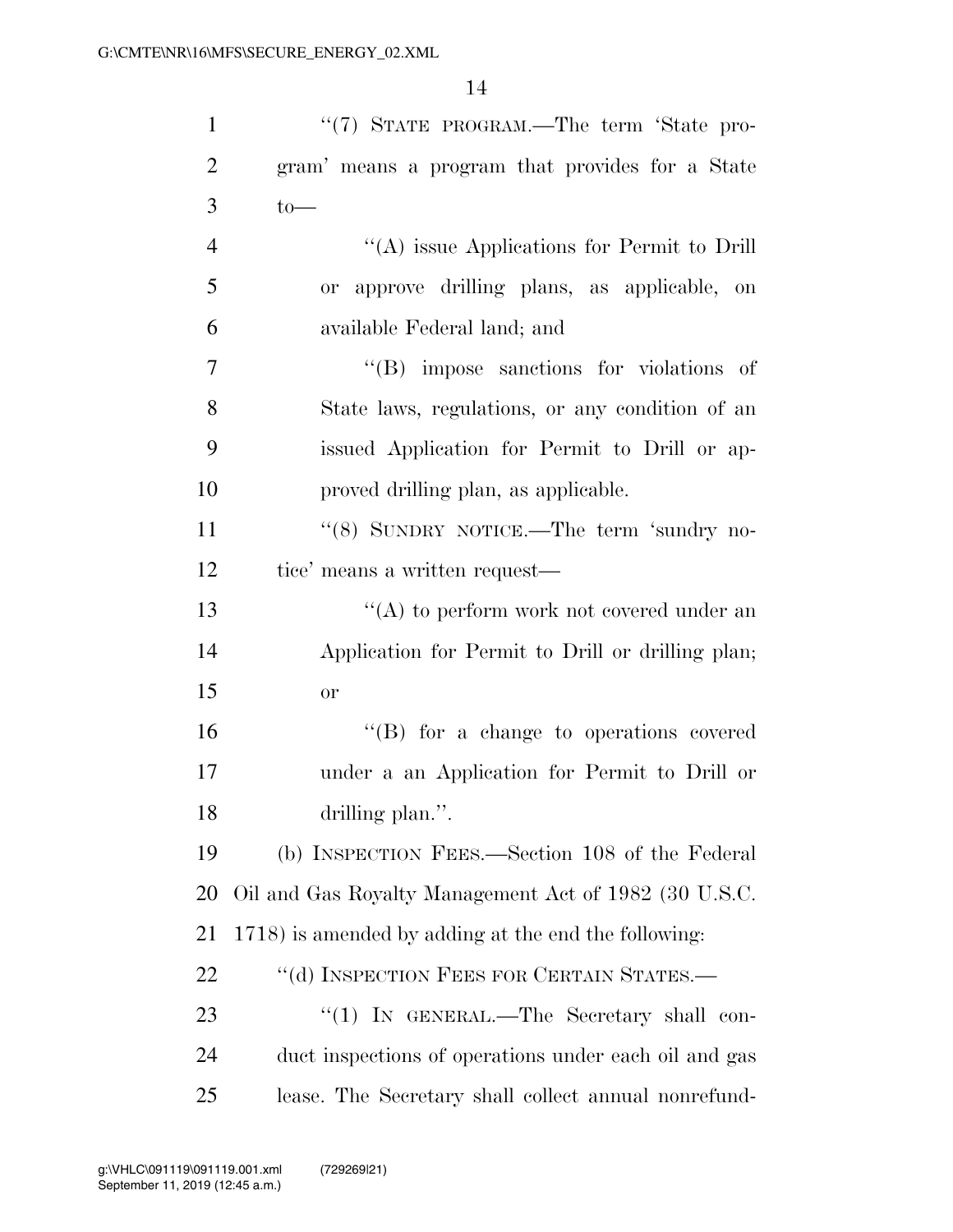| $\mathbf{1}$   | "(7) STATE PROGRAM.—The term 'State pro-              |
|----------------|-------------------------------------------------------|
| $\overline{2}$ | gram' means a program that provides for a State       |
| 3              | $to-$                                                 |
| $\overline{4}$ | "(A) issue Applications for Permit to Drill           |
| 5              | or approve drilling plans, as applicable, on          |
| 6              | available Federal land; and                           |
| $\tau$         | $\lq\lq$ impose sanctions for violations of           |
| 8              | State laws, regulations, or any condition of an       |
| 9              | issued Application for Permit to Drill or ap-         |
| 10             | proved drilling plan, as applicable.                  |
| 11             | "(8) SUNDRY NOTICE.—The term 'sundry no-              |
| 12             | tice' means a written request—                        |
| 13             | $\lq\lq$ to perform work not covered under an         |
| 14             | Application for Permit to Drill or drilling plan;     |
| 15             | <b>or</b>                                             |
| 16             | "(B) for a change to operations covered               |
| 17             | under a an Application for Permit to Drill or         |
| 18             | drilling plan.".                                      |
| 19             | (b) INSPECTION FEES.—Section 108 of the Federal       |
| 20             | Oil and Gas Royalty Management Act of 1982 (30 U.S.C. |
| 21             | 1718) is amended by adding at the end the following:  |
| 22             | "(d) INSPECTION FEES FOR CERTAIN STATES.—             |
| 23             | "(1) IN GENERAL.—The Secretary shall con-             |
| 24             | duct inspections of operations under each oil and gas |
| 25             | lease. The Secretary shall collect annual nonrefund-  |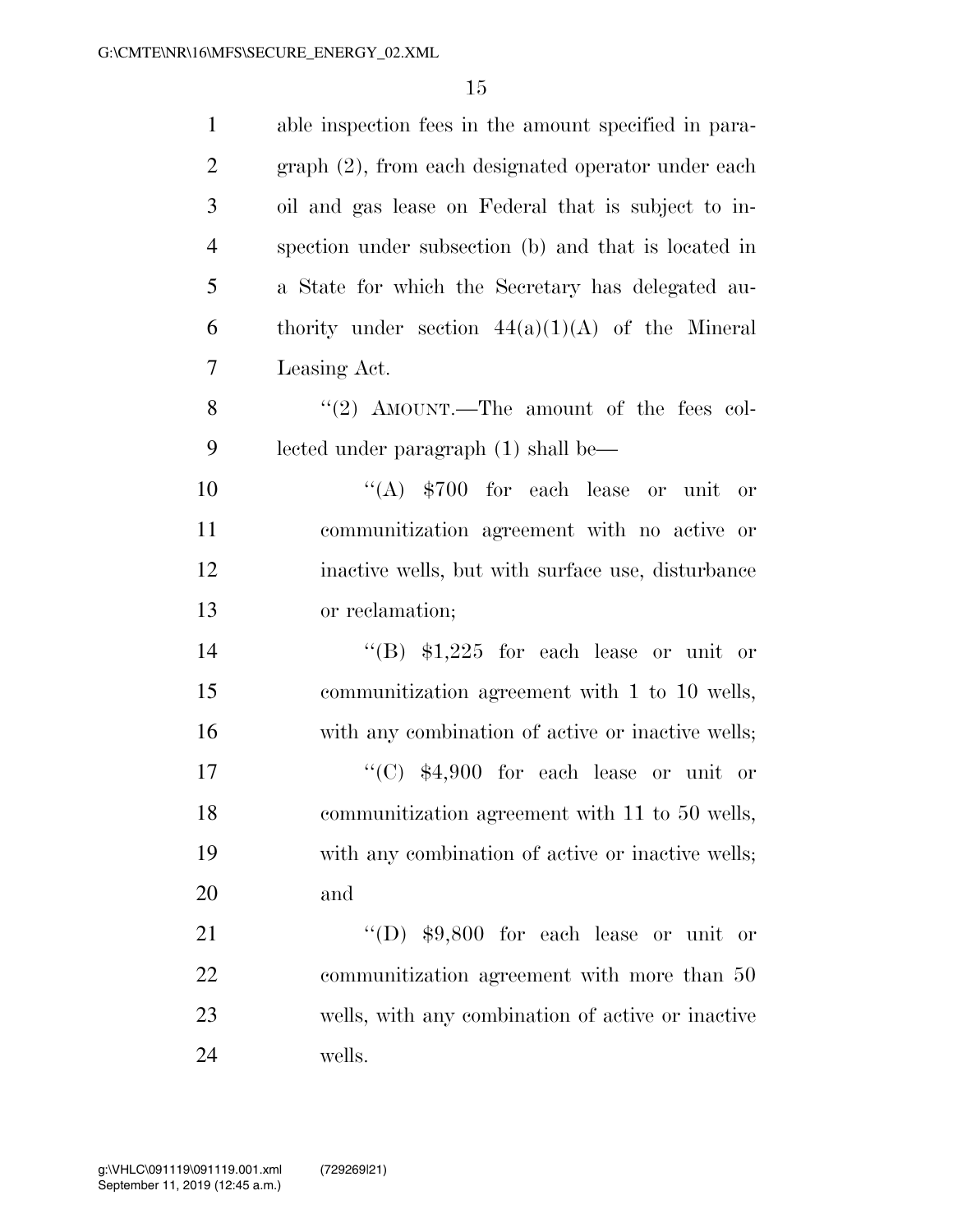| $\mathbf{1}$   | able inspection fees in the amount specified in para- |
|----------------|-------------------------------------------------------|
| $\overline{2}$ | graph (2), from each designated operator under each   |
| 3              | oil and gas lease on Federal that is subject to in-   |
| $\overline{4}$ | spection under subsection (b) and that is located in  |
| 5              | a State for which the Secretary has delegated au-     |
| 6              | thority under section $44(a)(1)(A)$ of the Mineral    |
| 7              | Leasing Act.                                          |
| 8              | "(2) AMOUNT.—The amount of the fees col-              |
| 9              | lected under paragraph (1) shall be—                  |
| 10             | "(A) $$700$ for each lease or unit or                 |
| 11             | communitization agreement with no active or           |
| 12             | inactive wells, but with surface use, disturbance     |
| 13             | or reclamation;                                       |
| 14             | "(B) $$1,225$ for each lease or unit or               |
| 15             | communitization agreement with 1 to 10 wells,         |
| 16             | with any combination of active or inactive wells;     |
| 17             | "(C) $$4,900$ for each lease or unit or               |
| 18             | communitization agreement with 11 to 50 wells,        |
| 19             | with any combination of active or inactive wells;     |
| 20             | and                                                   |
| 21             | "(D) $$9,800$ for each lease or unit or               |
| 22             | communitization agreement with more than 50           |
| 23             | wells, with any combination of active or inactive     |
| 24             | wells.                                                |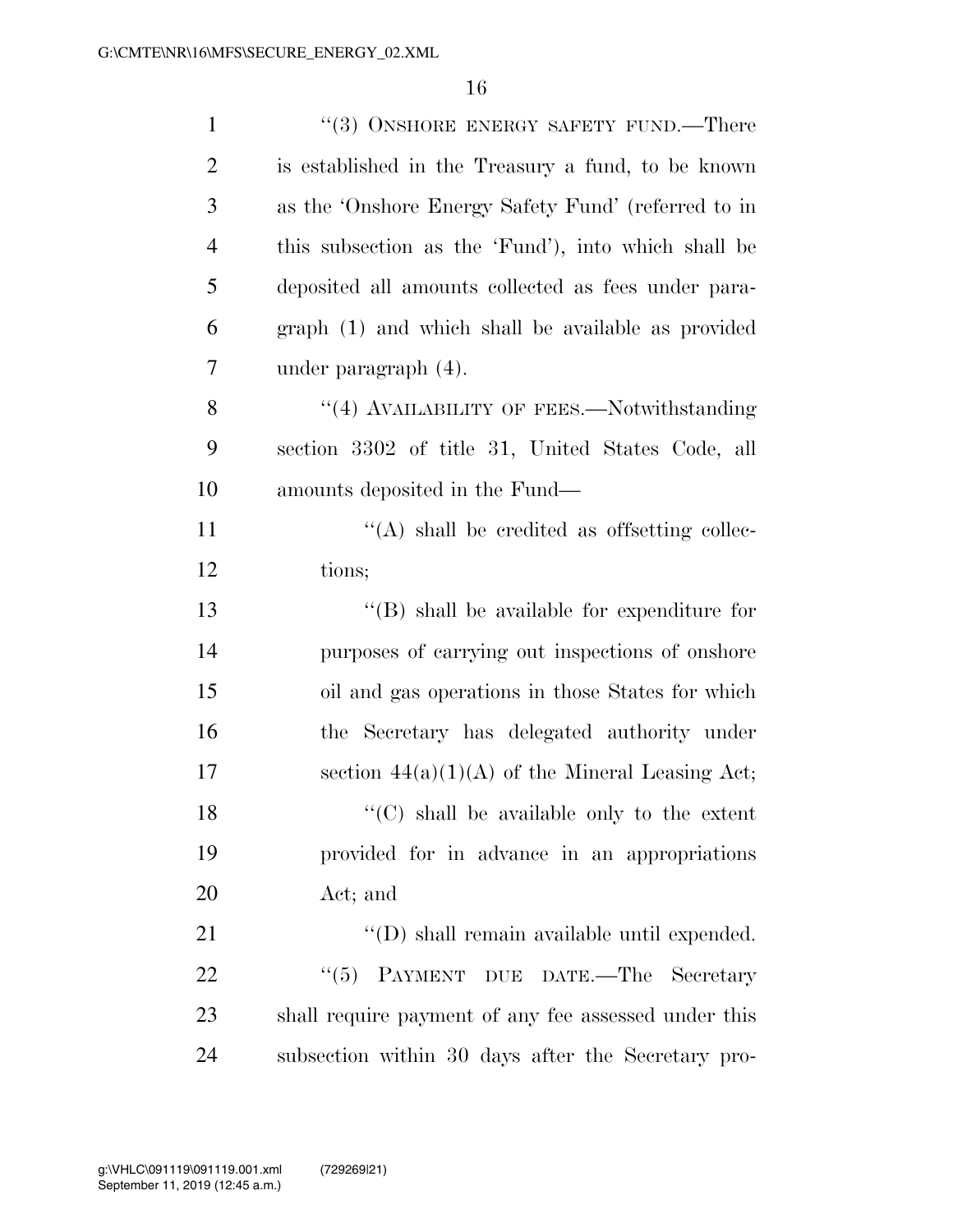| $\mathbf{1}$   | "(3) ONSHORE ENERGY SAFETY FUND.—There               |
|----------------|------------------------------------------------------|
| $\overline{2}$ | is established in the Treasury a fund, to be known   |
| 3              | as the 'Onshore Energy Safety Fund' (referred to in  |
| 4              | this subsection as the 'Fund'), into which shall be  |
| 5              | deposited all amounts collected as fees under para-  |
| 6              | graph (1) and which shall be available as provided   |
| 7              | under paragraph (4).                                 |
| 8              | "(4) AVAILABILITY OF FEES.—Notwithstanding           |
| 9              | section 3302 of title 31, United States Code, all    |
| 10             | amounts deposited in the Fund—                       |
| 11             | $\lq\lq$ shall be credited as offsetting collec-     |
| 12             | tions;                                               |
| 13             | $\lq\lq$ (B) shall be available for expenditure for  |
| 14             | purposes of carrying out inspections of onshore      |
| 15             | oil and gas operations in those States for which     |
| 16             | the Secretary has delegated authority under          |
| 17             | section $44(a)(1)(A)$ of the Mineral Leasing Act;    |
| 18             | $\lq\lq$ (C) shall be available only to the extent   |
| 19             | provided for in advance in an appropriations         |
| 20             | Act; and                                             |
| 21             | "(D) shall remain available until expended.          |
| 22             | "(5) PAYMENT DUE DATE.—The Secretary                 |
| 23             | shall require payment of any fee assessed under this |
| 24             | subsection within 30 days after the Secretary pro-   |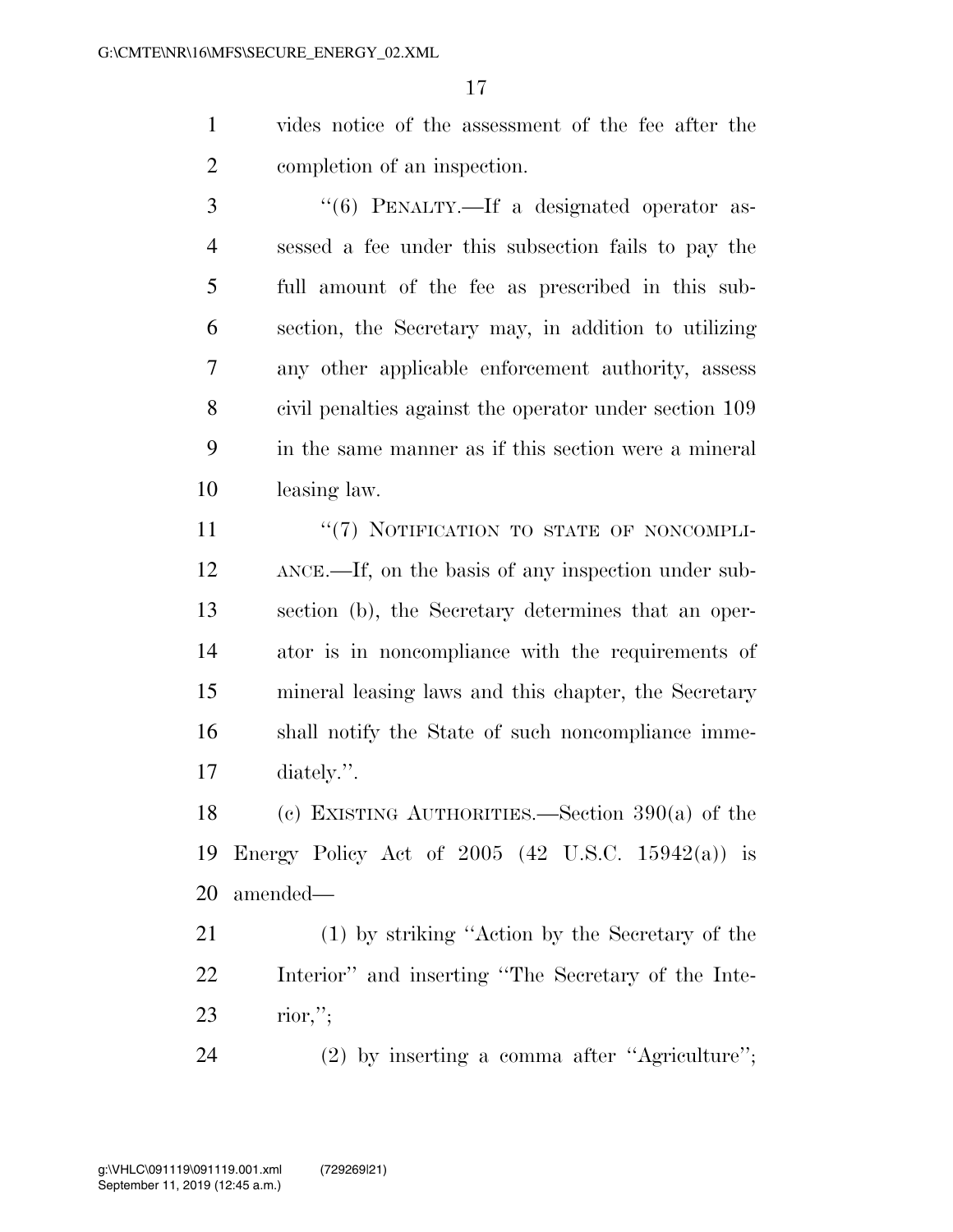vides notice of the assessment of the fee after the completion of an inspection.

3 "(6) PENALTY.—If a designated operator as- sessed a fee under this subsection fails to pay the full amount of the fee as prescribed in this sub- section, the Secretary may, in addition to utilizing any other applicable enforcement authority, assess civil penalties against the operator under section 109 in the same manner as if this section were a mineral leasing law.

11 "(7) NOTIFICATION TO STATE OF NONCOMPLI- ANCE.—If, on the basis of any inspection under sub- section (b), the Secretary determines that an oper- ator is in noncompliance with the requirements of mineral leasing laws and this chapter, the Secretary shall notify the State of such noncompliance imme-diately.''.

 (c) EXISTING AUTHORITIES.—Section 390(a) of the Energy Policy Act of 2005 (42 U.S.C. 15942(a)) is amended—

 (1) by striking ''Action by the Secretary of the Interior'' and inserting ''The Secretary of the Inte-rior,'';

(2) by inserting a comma after ''Agriculture'';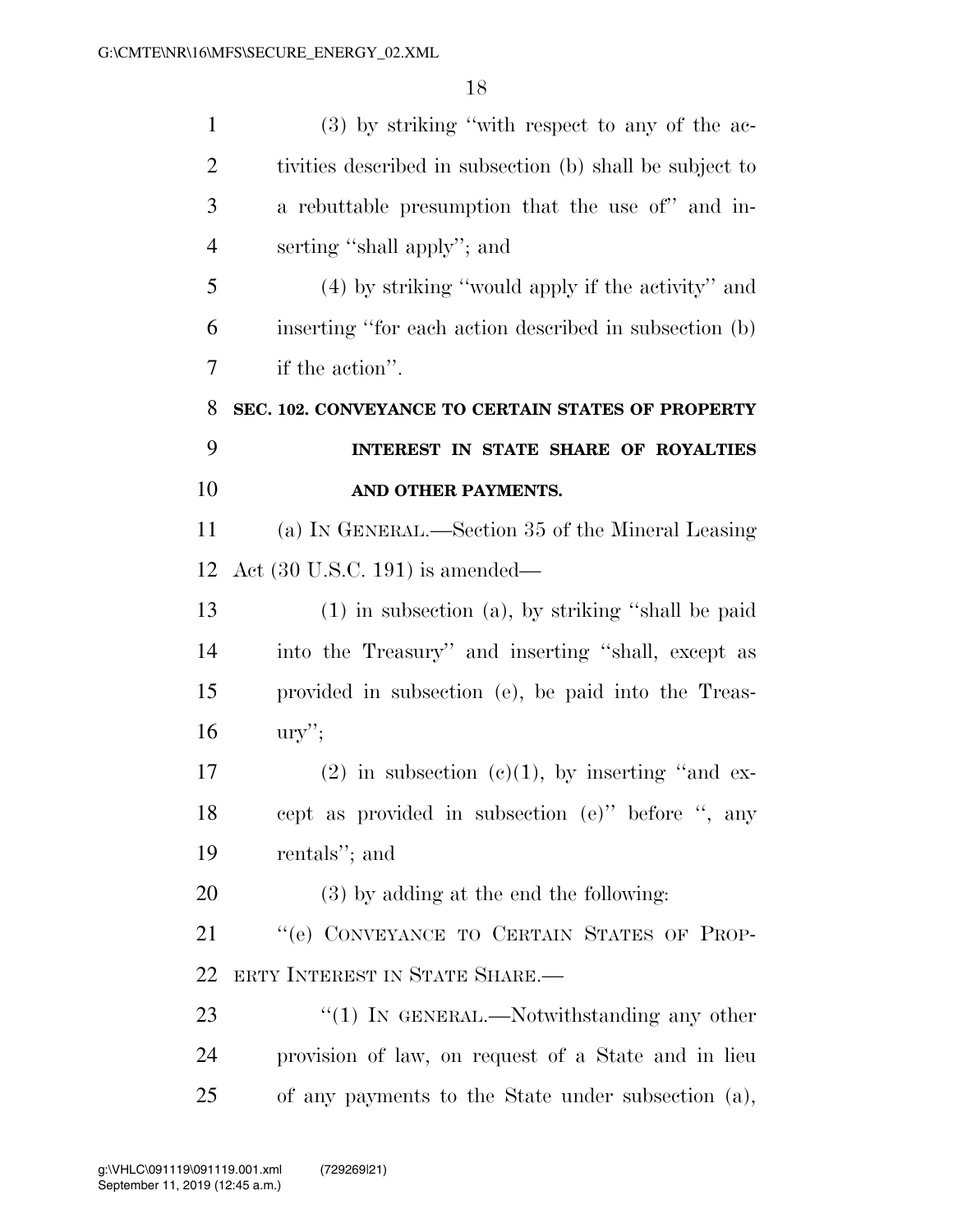| $\mathbf{1}$   | $(3)$ by striking "with respect to any of the ac-        |
|----------------|----------------------------------------------------------|
| $\overline{2}$ | tivities described in subsection (b) shall be subject to |
| 3              | a rebuttable presumption that the use of" and in-        |
| $\overline{4}$ | serting "shall apply"; and                               |
| 5              | (4) by striking "would apply if the activity" and        |
| 6              | inserting "for each action described in subsection (b)   |
| 7              | if the action".                                          |
| 8              | SEC. 102. CONVEYANCE TO CERTAIN STATES OF PROPERTY       |
| 9              | INTEREST IN STATE SHARE OF ROYALTIES                     |
| 10             | AND OTHER PAYMENTS.                                      |
| 11             | (a) IN GENERAL.—Section 35 of the Mineral Leasing        |
| 12             | Act $(30 \text{ U.S.C. } 191)$ is amended—               |
| 13             | $(1)$ in subsection $(a)$ , by striking "shall be paid   |
| 14             | into the Treasury" and inserting "shall, except as       |
| 15             | provided in subsection (e), be paid into the Treas-      |
| 16             | $\text{ury}$ ";                                          |
| 17             | $(2)$ in subsection $(e)(1)$ , by inserting "and ex-     |
| 18             | cept as provided in subsection (e)" before ", any        |
| 19             | rentals"; and                                            |
| 20             | (3) by adding at the end the following:                  |
| 21             | "(e) CONVEYANCE TO CERTAIN STATES OF PROP-               |
| 22             | ERTY INTEREST IN STATE SHARE.—                           |
| 23             | " $(1)$ In GENERAL.—Notwithstanding any other            |
| 24             | provision of law, on request of a State and in lieu      |
| 25             | of any payments to the State under subsection (a),       |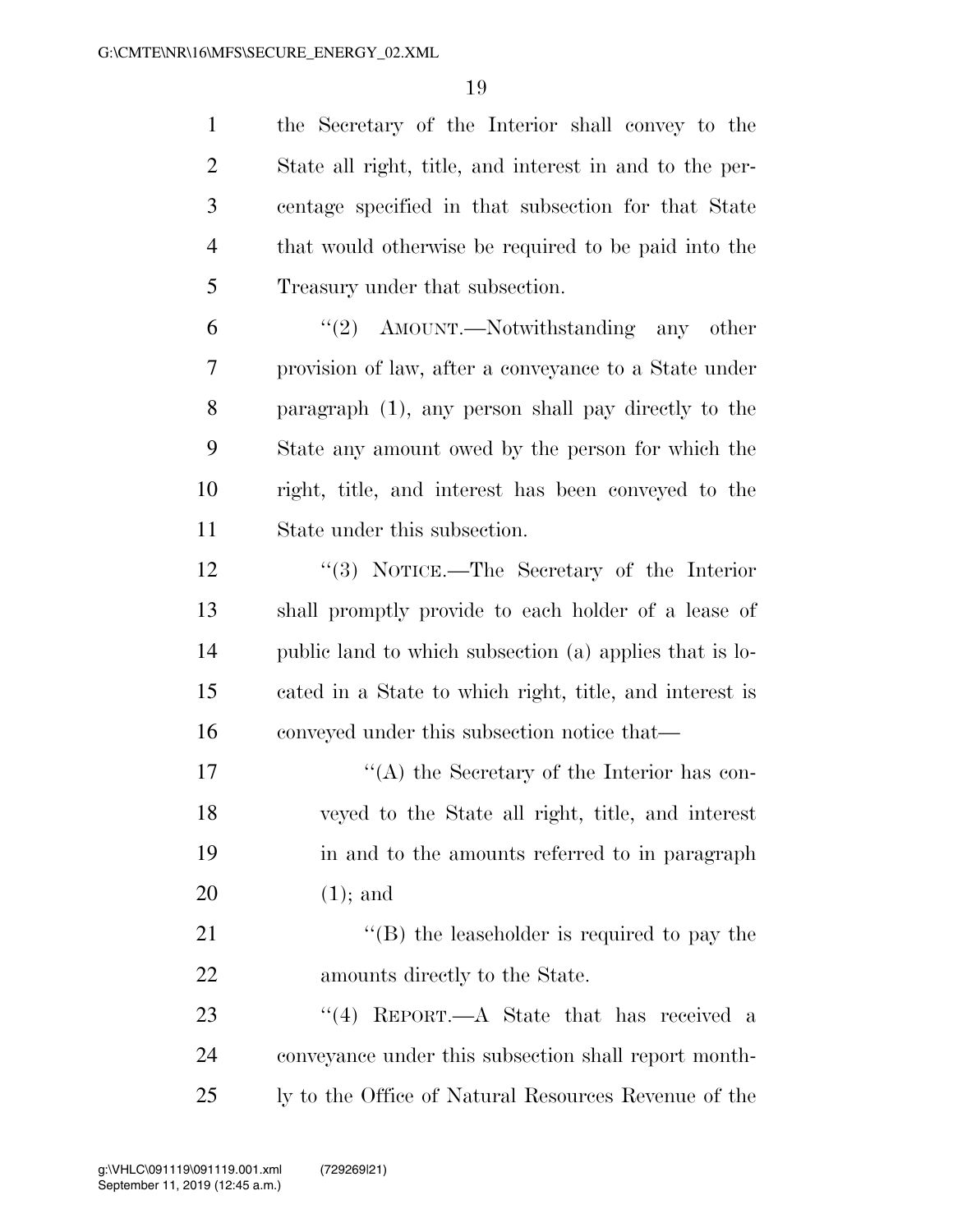| $\mathbf{1}$   | the Secretary of the Interior shall convey to the       |
|----------------|---------------------------------------------------------|
| $\overline{2}$ | State all right, title, and interest in and to the per- |
| 3              | centage specified in that subsection for that State     |
| $\overline{4}$ | that would otherwise be required to be paid into the    |
| 5              | Treasury under that subsection.                         |
| 6              | "(2) $\Delta$ MOUNT.—Notwithstanding any other          |
| 7              | provision of law, after a conveyance to a State under   |
| 8              | paragraph (1), any person shall pay directly to the     |
| 9              | State any amount owed by the person for which the       |
| 10             | right, title, and interest has been conveyed to the     |
| 11             | State under this subsection.                            |
| 12             | "(3) NOTICE.—The Secretary of the Interior              |
| 13             | shall promptly provide to each holder of a lease of     |
| 14             | public land to which subsection (a) applies that is lo- |
| 15             | cated in a State to which right, title, and interest is |
| 16             | conveyed under this subsection notice that—             |
| 17             | $\lq\lq$ the Secretary of the Interior has con-         |
| 18             | veyed to the State all right, title, and interest       |
| 19             | in and to the amounts referred to in paragraph          |
| 20             | $(1)$ ; and                                             |
| 21             | $\lq\lq$ the leaseholder is required to pay the         |
| 22             | amounts directly to the State.                          |
| 23             | "(4) REPORT.— $A$ State that has received a             |
| 24             | conveyance under this subsection shall report month-    |
| 25             | ly to the Office of Natural Resources Revenue of the    |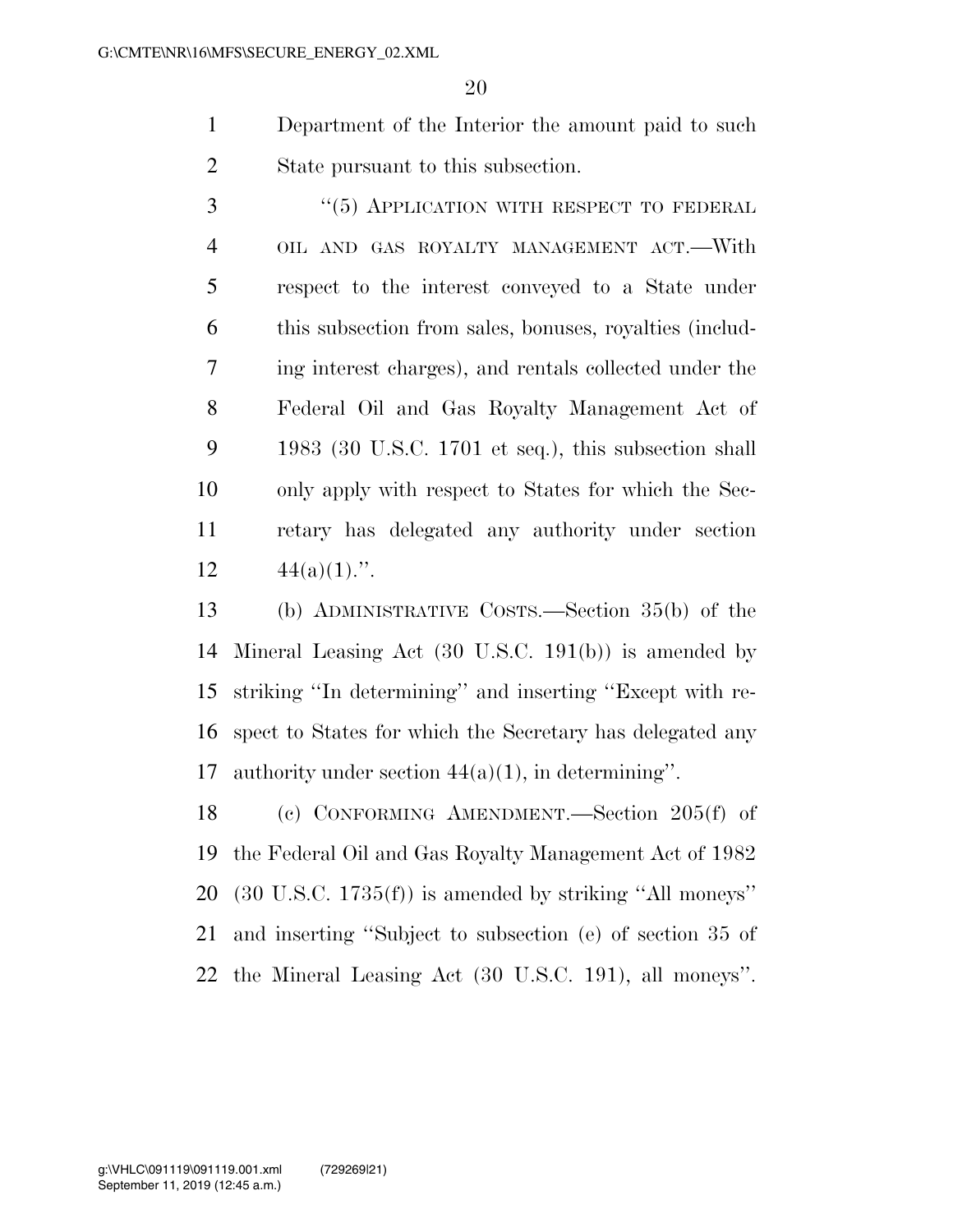- Department of the Interior the amount paid to such State pursuant to this subsection.
- 3 "(5) APPLICATION WITH RESPECT TO FEDERAL OIL AND GAS ROYALTY MANAGEMENT ACT.—With respect to the interest conveyed to a State under this subsection from sales, bonuses, royalties (includ- ing interest charges), and rentals collected under the Federal Oil and Gas Royalty Management Act of 1983 (30 U.S.C. 1701 et seq.), this subsection shall only apply with respect to States for which the Sec- retary has delegated any authority under section 12  $44(a)(1)$ .".
- (b) ADMINISTRATIVE COSTS.—Section 35(b) of the Mineral Leasing Act (30 U.S.C. 191(b)) is amended by striking ''In determining'' and inserting ''Except with re- spect to States for which the Secretary has delegated any authority under section 44(a)(1), in determining''.

 (c) CONFORMING AMENDMENT.—Section 205(f) of the Federal Oil and Gas Royalty Management Act of 1982 (30 U.S.C. 1735(f)) is amended by striking ''All moneys'' and inserting ''Subject to subsection (e) of section 35 of the Mineral Leasing Act (30 U.S.C. 191), all moneys''.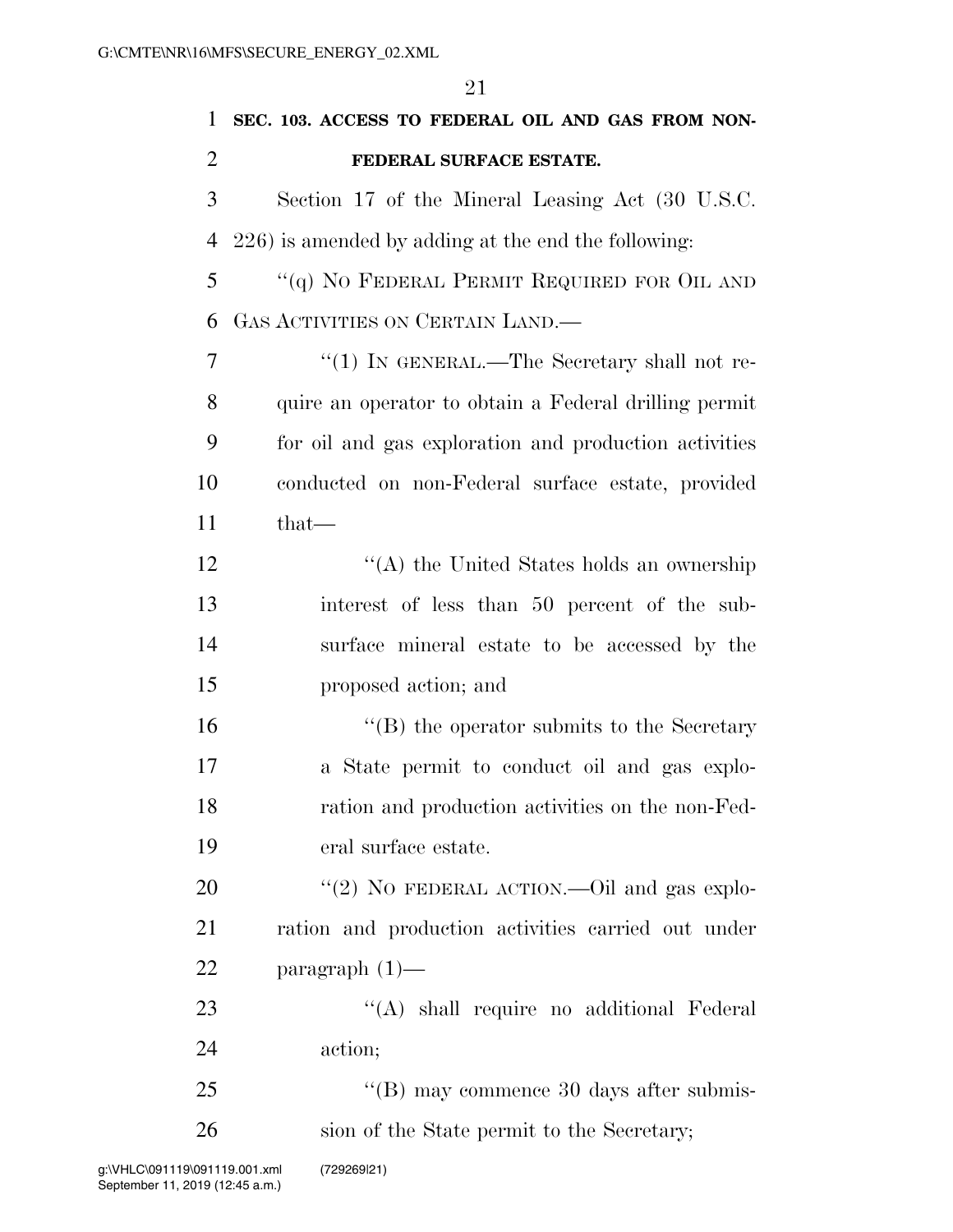| $\mathbf{1}$   | SEC. 103. ACCESS TO FEDERAL OIL AND GAS FROM NON-     |
|----------------|-------------------------------------------------------|
| $\overline{2}$ | FEDERAL SURFACE ESTATE.                               |
| 3              | Section 17 of the Mineral Leasing Act (30 U.S.C.      |
| $\overline{4}$ | 226) is amended by adding at the end the following:   |
| 5              | "(q) NO FEDERAL PERMIT REQUIRED FOR OIL AND           |
| 6              | GAS ACTIVITIES ON CERTAIN LAND.—                      |
| $\overline{7}$ | "(1) IN GENERAL.—The Secretary shall not re-          |
| 8              | quire an operator to obtain a Federal drilling permit |
| 9              | for oil and gas exploration and production activities |
| 10             | conducted on non-Federal surface estate, provided     |
| 11             | that-                                                 |
| 12             | $\lq\lq$ the United States holds an ownership         |
| 13             | interest of less than 50 percent of the sub-          |
| 14             | surface mineral estate to be accessed by the          |
| 15             | proposed action; and                                  |
| 16             | $\lq\lq (B)$ the operator submits to the Secretary    |
| 17             | a State permit to conduct oil and gas explo-          |
| 18             | ration and production activities on the non-Fed-      |
| 19             | eral surface estate.                                  |
| 20             | "(2) NO FEDERAL ACTION.—Oil and gas explo-            |
| 21             | ration and production activities carried out under    |
| 22             | paragraph $(1)$ —                                     |
| 23             | "(A) shall require no additional Federal              |
| 24             | action;                                               |
| 25             | $\lq\lq$ (B) may commence 30 days after submis-       |
| 26             | sion of the State permit to the Secretary;            |
|                |                                                       |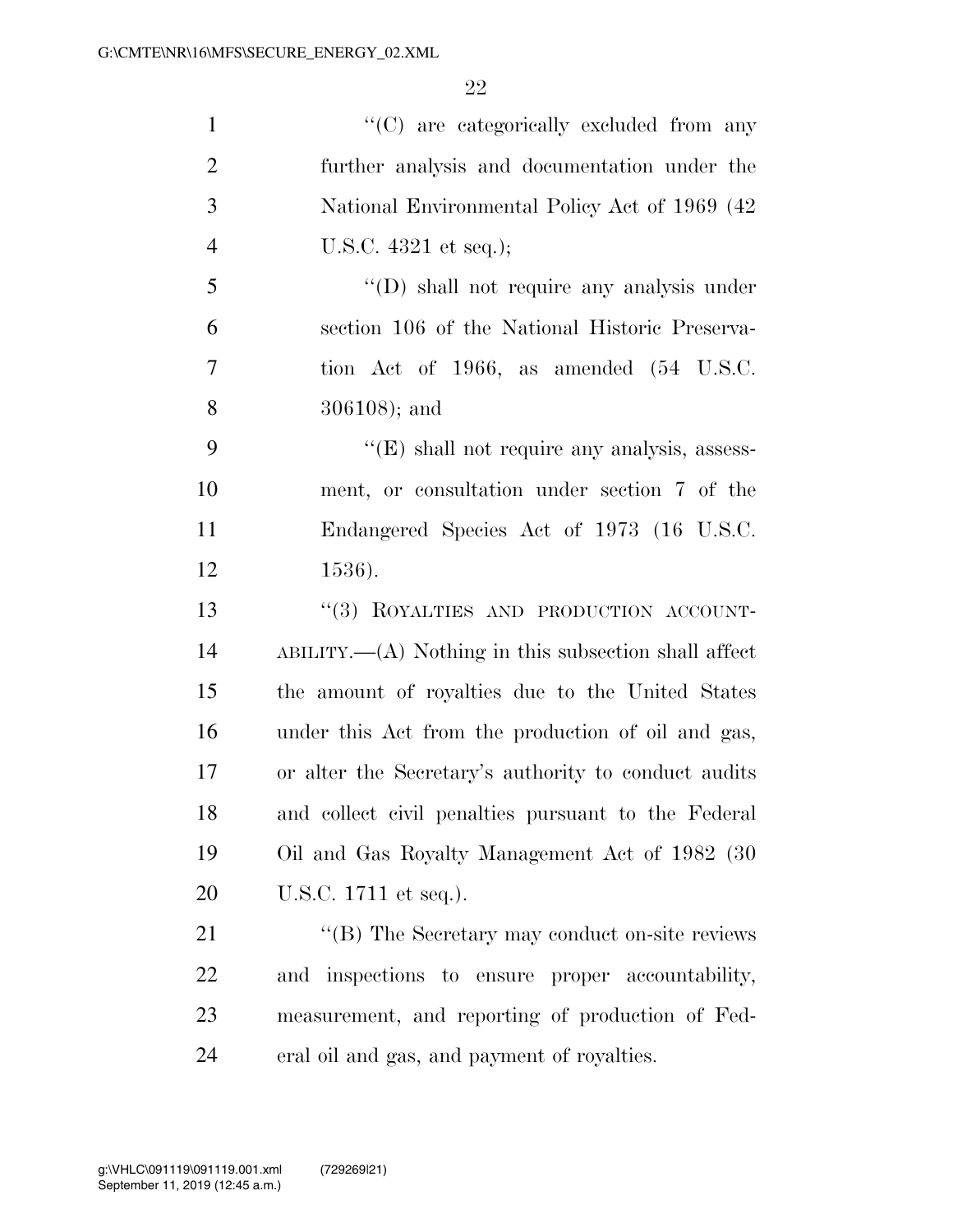| $\mathbf{1}$   | "(C) are categorically excluded from any                 |
|----------------|----------------------------------------------------------|
| $\overline{2}$ | further analysis and documentation under the             |
| 3              | National Environmental Policy Act of 1969 (42)           |
| $\overline{4}$ | U.S.C. $4321$ et seq.);                                  |
| 5              | $\lq\lq$ (D) shall not require any analysis under        |
| 6              | section 106 of the National Historic Preserva-           |
| 7              | tion Act of 1966, as amended (54 U.S.C.                  |
| 8              | $306108$ ; and                                           |
| 9              | $\lq\lq(E)$ shall not require any analysis, assess-      |
| 10             | ment, or consultation under section 7 of the             |
| 11             | Endangered Species Act of 1973 (16 U.S.C.                |
| 12             | 1536).                                                   |
| 13             | "(3) ROYALTIES AND PRODUCTION ACCOUNT-                   |
| 14             | $ABILITY. — (A) Nothing in this subsection shall affect$ |
| 15             | the amount of royalties due to the United States         |
| 16             | under this Act from the production of oil and gas,       |
| 17             | or alter the Secretary's authority to conduct audits     |
| 18             | and collect civil penalties pursuant to the Federal      |
| 19             | Oil and Gas Royalty Management Act of 1982 (30)          |
| 20             | U.S.C. 1711 et seq.).                                    |
| 21             | "(B) The Secretary may conduct on-site reviews           |
| 22             | and inspections to ensure proper accountability,         |
| 23             | measurement, and reporting of production of Fed-         |
| 24             | eral oil and gas, and payment of royalties.              |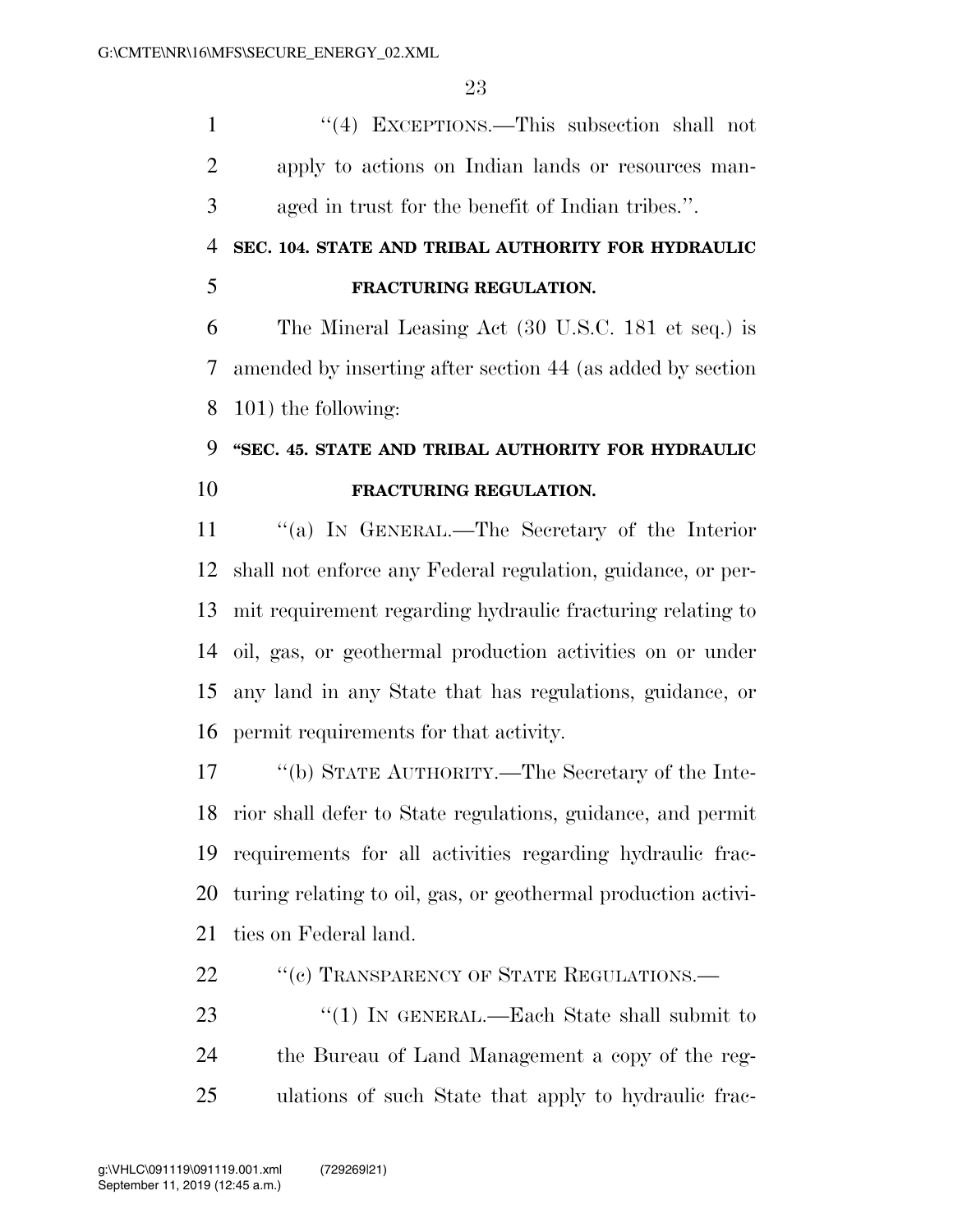1 ''(4) EXCEPTIONS.—This subsection shall not apply to actions on Indian lands or resources man-aged in trust for the benefit of Indian tribes.''.

## **SEC. 104. STATE AND TRIBAL AUTHORITY FOR HYDRAULIC FRACTURING REGULATION.**

 The Mineral Leasing Act (30 U.S.C. 181 et seq.) is amended by inserting after section 44 (as added by section 101) the following:

## **''SEC. 45. STATE AND TRIBAL AUTHORITY FOR HYDRAULIC FRACTURING REGULATION.**

 ''(a) IN GENERAL.—The Secretary of the Interior shall not enforce any Federal regulation, guidance, or per- mit requirement regarding hydraulic fracturing relating to oil, gas, or geothermal production activities on or under any land in any State that has regulations, guidance, or permit requirements for that activity.

 ''(b) STATE AUTHORITY.—The Secretary of the Inte- rior shall defer to State regulations, guidance, and permit requirements for all activities regarding hydraulic frac- turing relating to oil, gas, or geothermal production activi-ties on Federal land.

- 22 "(c) TRANSPARENCY OF STATE REGULATIONS.—
- 23 "(1) IN GENERAL.—Each State shall submit to the Bureau of Land Management a copy of the reg-ulations of such State that apply to hydraulic frac-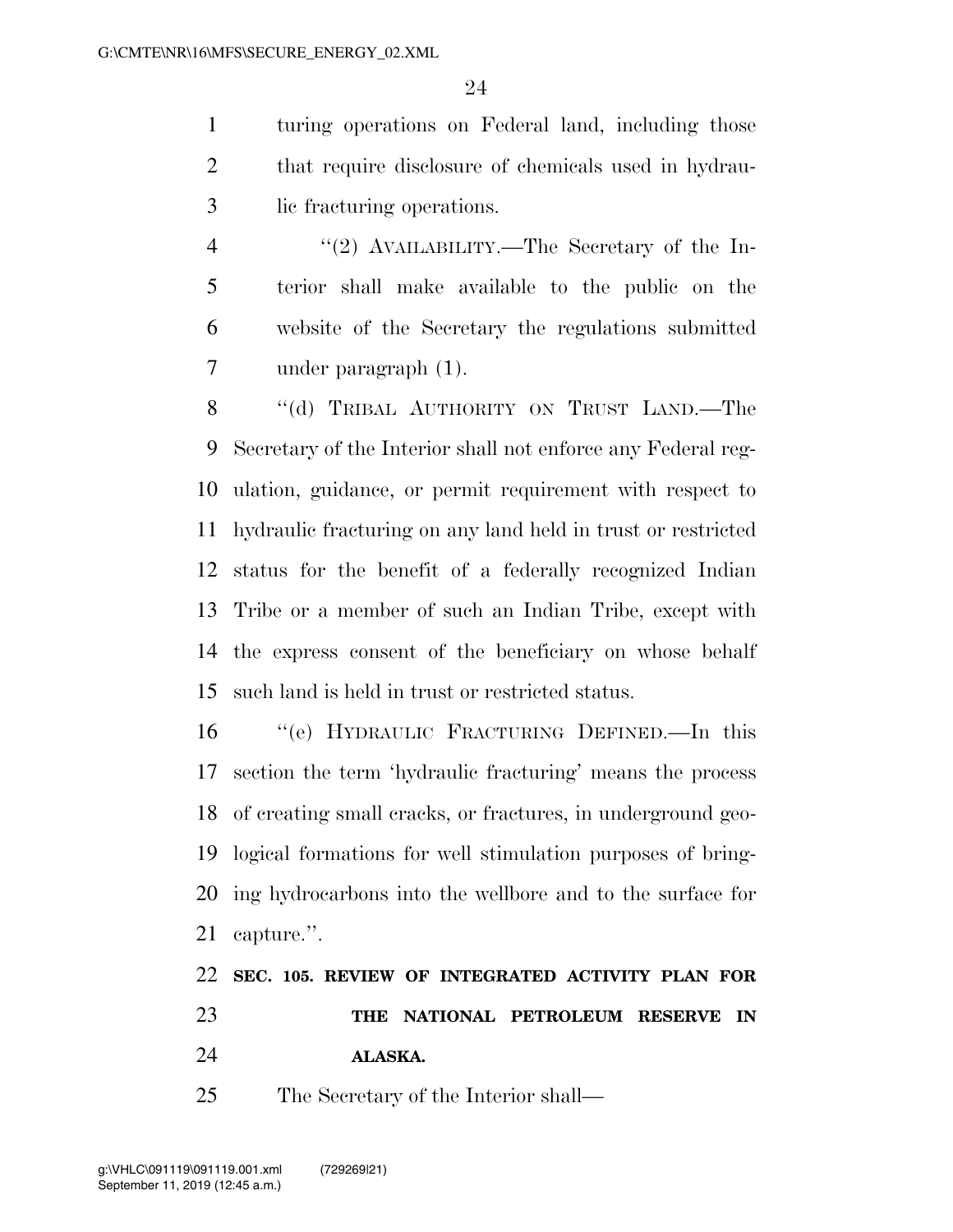turing operations on Federal land, including those that require disclosure of chemicals used in hydrau-lic fracturing operations.

4 "(2) AVAILABILITY.—The Secretary of the In- terior shall make available to the public on the website of the Secretary the regulations submitted under paragraph (1).

8 "(d) TRIBAL AUTHORITY ON TRUST LAND.—The Secretary of the Interior shall not enforce any Federal reg- ulation, guidance, or permit requirement with respect to hydraulic fracturing on any land held in trust or restricted status for the benefit of a federally recognized Indian Tribe or a member of such an Indian Tribe, except with the express consent of the beneficiary on whose behalf such land is held in trust or restricted status.

 ''(e) HYDRAULIC FRACTURING DEFINED.—In this section the term 'hydraulic fracturing' means the process of creating small cracks, or fractures, in underground geo- logical formations for well stimulation purposes of bring- ing hydrocarbons into the wellbore and to the surface for capture.''.

|    |  |         |  | 22 SEC. 105. REVIEW OF INTEGRATED ACTIVITY PLAN FOR |  |
|----|--|---------|--|-----------------------------------------------------|--|
| 23 |  |         |  | THE NATIONAL PETROLEUM RESERVE IN                   |  |
| 24 |  | ALASKA. |  |                                                     |  |

The Secretary of the Interior shall—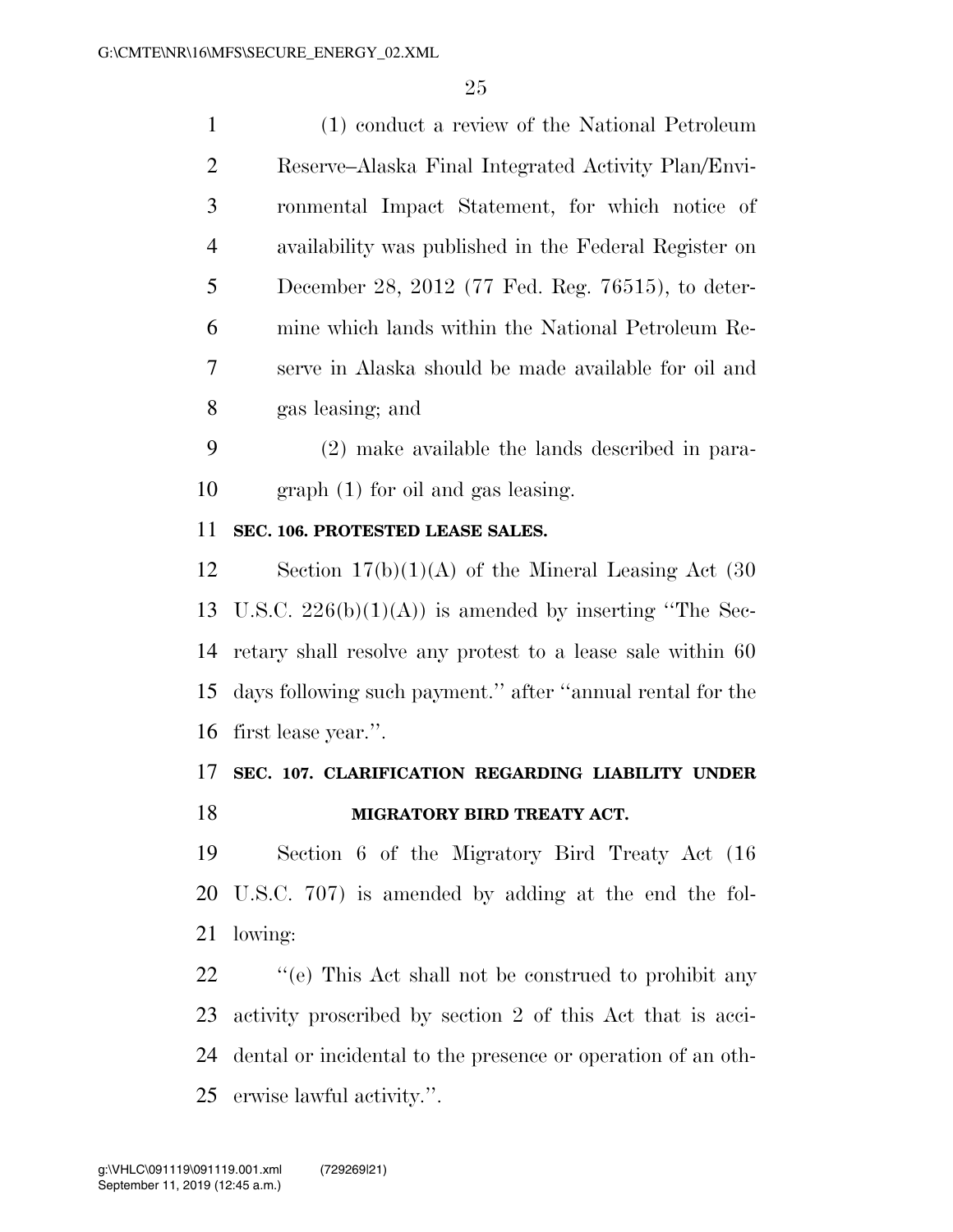| $\mathbf{1}$   | (1) conduct a review of the National Petroleum             |
|----------------|------------------------------------------------------------|
| $\overline{2}$ | Reserve–Alaska Final Integrated Activity Plan/Envi-        |
| 3              | ronmental Impact Statement, for which notice of            |
| 4              | availability was published in the Federal Register on      |
| 5              | December 28, 2012 (77 Fed. Reg. 76515), to deter-          |
| 6              | mine which lands within the National Petroleum Re-         |
| 7              | serve in Alaska should be made available for oil and       |
| 8              | gas leasing; and                                           |
| 9              | (2) make available the lands described in para-            |
| 10             | $graph(1)$ for oil and gas leasing.                        |
| 11             | SEC. 106. PROTESTED LEASE SALES.                           |
| 12             | Section $17(b)(1)(A)$ of the Mineral Leasing Act (30)      |
| 13             | U.S.C. $226(b)(1)(A)$ is amended by inserting "The Sec-    |
| 14             | retary shall resolve any protest to a lease sale within 60 |
| 15             | days following such payment." after "annual rental for the |
| 16             | first lease year.".                                        |
| 17             | SEC. 107. CLARIFICATION REGARDING LIABILITY UNDER          |
| 18             | MIGRATORY BIRD TREATY ACT.                                 |
| 19             | Section 6 of the Migratory Bird Treaty Act (16)            |
| 20             | U.S.C. 707) is amended by adding at the end the fol-       |
| 21             | lowing:                                                    |
| 22             | "(e) This Act shall not be construed to prohibit any       |

 activity proscribed by section 2 of this Act that is acci- dental or incidental to the presence or operation of an oth-erwise lawful activity.''.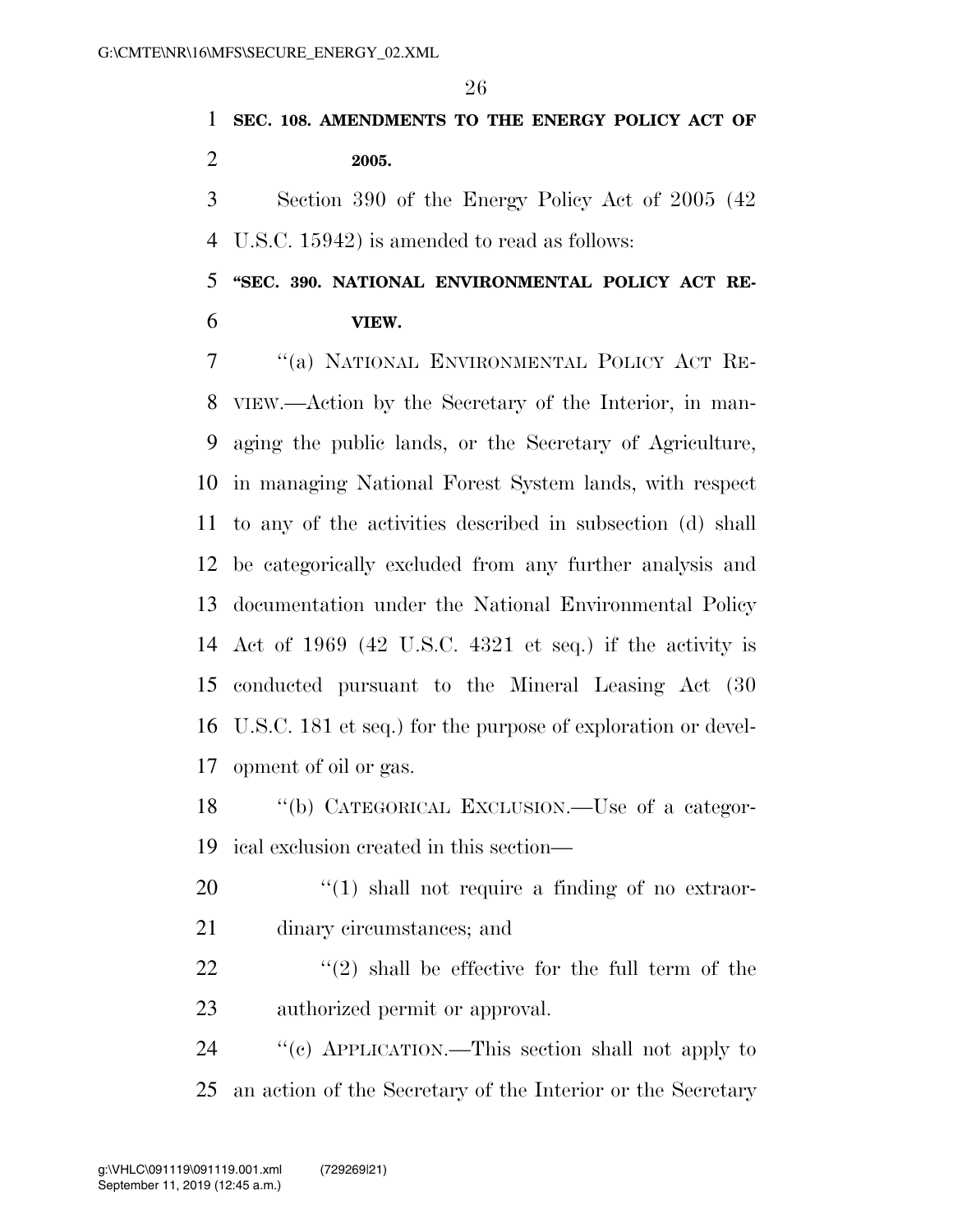**SEC. 108. AMENDMENTS TO THE ENERGY POLICY ACT OF 2005.** 

 Section 390 of the Energy Policy Act of 2005 (42 U.S.C. 15942) is amended to read as follows:

 **''SEC. 390. NATIONAL ENVIRONMENTAL POLICY ACT RE-VIEW.** 

 ''(a) NATIONAL ENVIRONMENTAL POLICY ACT RE- VIEW.—Action by the Secretary of the Interior, in man- aging the public lands, or the Secretary of Agriculture, in managing National Forest System lands, with respect to any of the activities described in subsection (d) shall be categorically excluded from any further analysis and documentation under the National Environmental Policy Act of 1969 (42 U.S.C. 4321 et seq.) if the activity is conducted pursuant to the Mineral Leasing Act (30 U.S.C. 181 et seq.) for the purpose of exploration or devel-opment of oil or gas.

 ''(b) CATEGORICAL EXCLUSION.—Use of a categor-ical exclusion created in this section—

20  $\frac{1}{20}$   $\frac{1}{20}$  shall not require a finding of no extraor-dinary circumstances; and

22  $\langle \langle 2 \rangle$  shall be effective for the full term of the authorized permit or approval.

 ''(c) APPLICATION.—This section shall not apply to an action of the Secretary of the Interior or the Secretary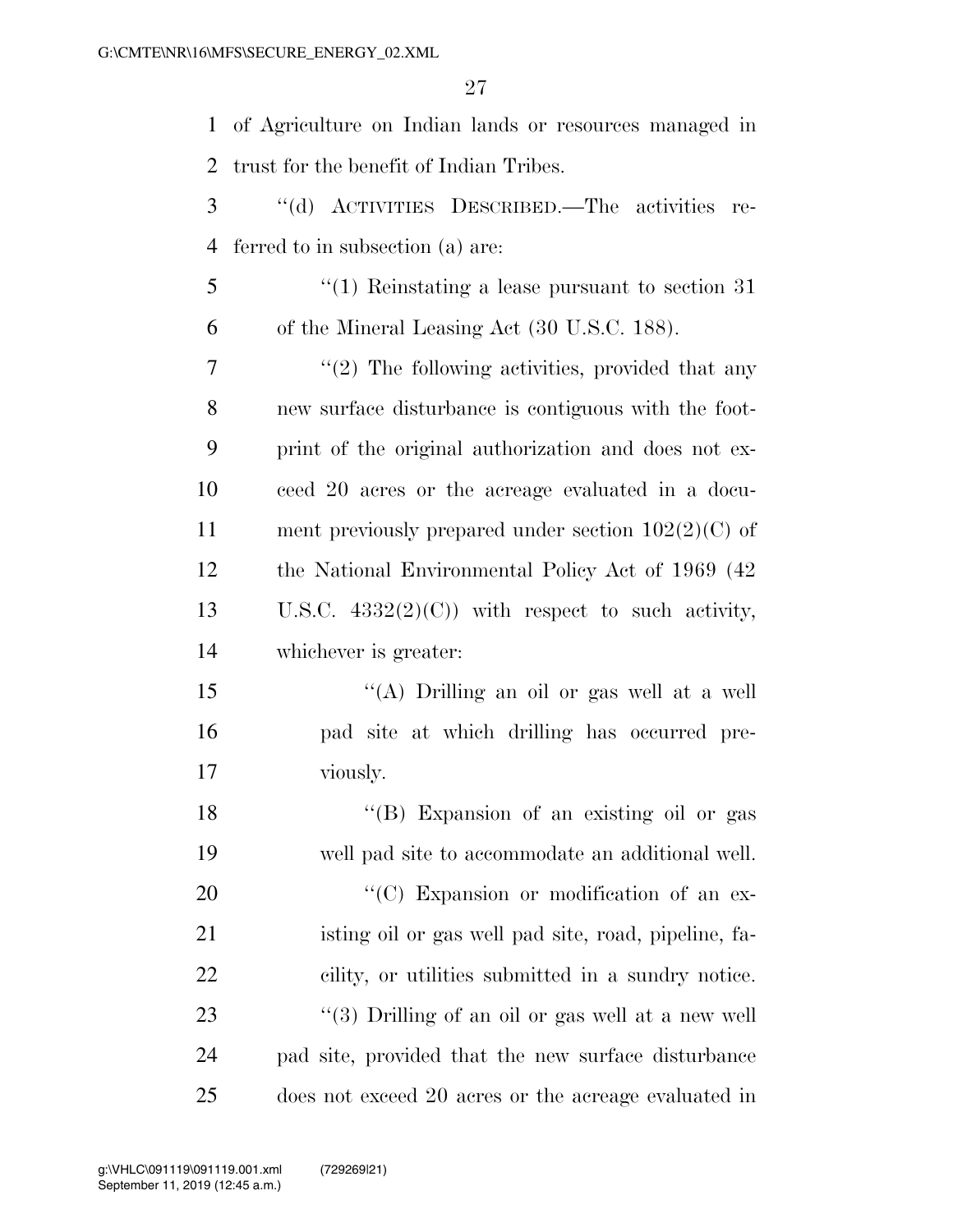of Agriculture on Indian lands or resources managed in trust for the benefit of Indian Tribes.

 ''(d) ACTIVITIES DESCRIBED.—The activities re-ferred to in subsection (a) are:

 ''(1) Reinstating a lease pursuant to section 31 of the Mineral Leasing Act (30 U.S.C. 188).

7 ''(2) The following activities, provided that any new surface disturbance is contiguous with the foot- print of the original authorization and does not ex- ceed 20 acres or the acreage evaluated in a docu- ment previously prepared under section 102(2)(C) of the National Environmental Policy Act of 1969 (42 13 U.S.C.  $4332(2)(C)$  with respect to such activity, whichever is greater:

15 "(A) Drilling an oil or gas well at a well pad site at which drilling has occurred pre-viously.

18 "(B) Expansion of an existing oil or gas well pad site to accommodate an additional well.  $\cdot$  (C) Expansion or modification of an ex- isting oil or gas well pad site, road, pipeline, fa- cility, or utilities submitted in a sundry notice. 23 ''(3) Drilling of an oil or gas well at a new well pad site, provided that the new surface disturbance does not exceed 20 acres or the acreage evaluated in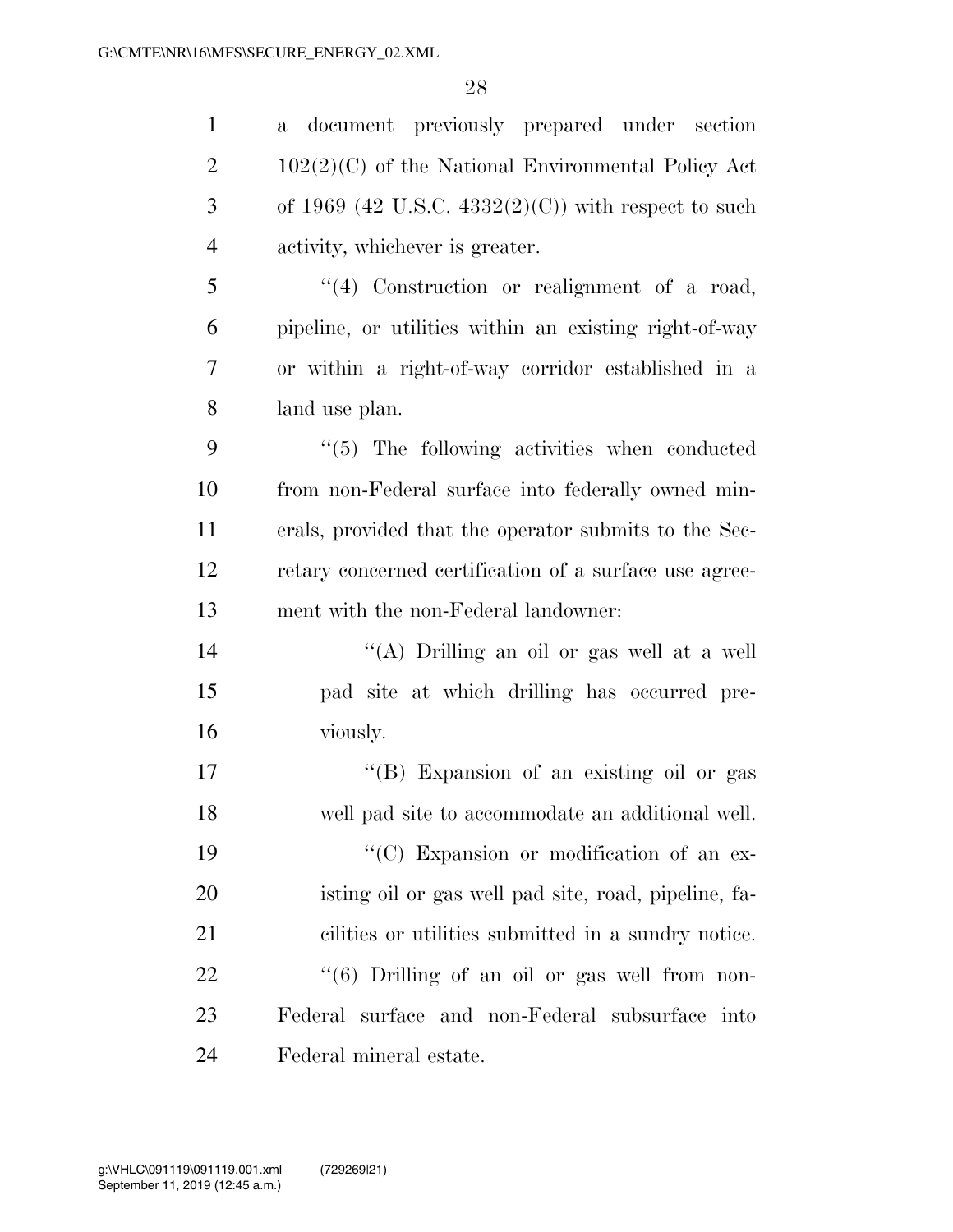a document previously prepared under section

2 102(2)(C) of the National Environmental Policy Act 3 of 1969 (42 U.S.C.  $4332(2)(C)$ ) with respect to such activity, whichever is greater. ''(4) Construction or realignment of a road, pipeline, or utilities within an existing right-of-way or within a right-of-way corridor established in a land use plan. ''(5) The following activities when conducted from non-Federal surface into federally owned min- erals, provided that the operator submits to the Sec- retary concerned certification of a surface use agree- ment with the non-Federal landowner: ''(A) Drilling an oil or gas well at a well pad site at which drilling has occurred pre- viously. ''(B) Expansion of an existing oil or gas well pad site to accommodate an additional well.  $\cdot$  (C) Expansion or modification of an ex- isting oil or gas well pad site, road, pipeline, fa- cilities or utilities submitted in a sundry notice. 22 ''(6) Drilling of an oil or gas well from non- Federal surface and non-Federal subsurface into Federal mineral estate.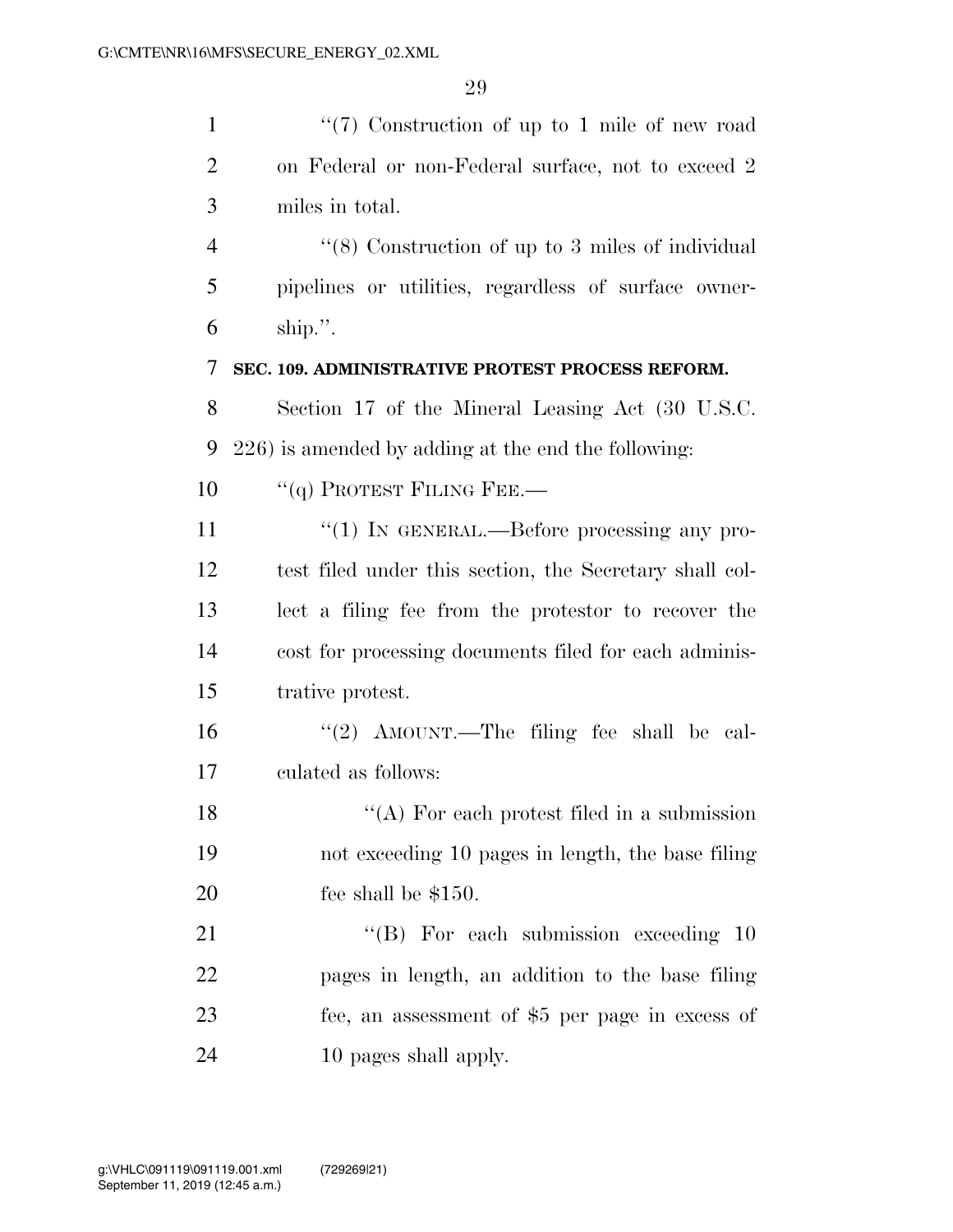| $\mathbf{1}$   | $(7)$ Construction of up to 1 mile of new road          |
|----------------|---------------------------------------------------------|
| $\overline{2}$ | on Federal or non-Federal surface, not to exceed 2      |
| 3              | miles in total.                                         |
| $\overline{4}$ | $\cdot$ (8) Construction of up to 3 miles of individual |
| 5              | pipelines or utilities, regardless of surface owner-    |
| 6              | ship.".                                                 |
| 7              | SEC. 109. ADMINISTRATIVE PROTEST PROCESS REFORM.        |
| 8              | Section 17 of the Mineral Leasing Act (30 U.S.C.        |
| 9              | 226) is amended by adding at the end the following:     |
| 10             | $``(q)$ PROTEST FILING FEE.—                            |
| 11             | "(1) IN GENERAL.—Before processing any pro-             |
| 12             | test filed under this section, the Secretary shall col- |
| 13             | lect a filing fee from the protestor to recover the     |
| 14             | cost for processing documents filed for each adminis-   |
| 15             | trative protest.                                        |
| 16             | "(2) AMOUNT.—The filing fee shall be cal-               |
| 17             | culated as follows:                                     |
| 18             | $\lq\lq$ For each protest filed in a submission         |
| 19             | not exceeding 10 pages in length, the base filing       |
| 20             | fee shall be $$150.$                                    |
| 21             | "(B) For each submission exceeding $10$                 |
| 22             | pages in length, an addition to the base filing         |
| 23             | fee, an assessment of \$5 per page in excess of         |
| 24             | 10 pages shall apply.                                   |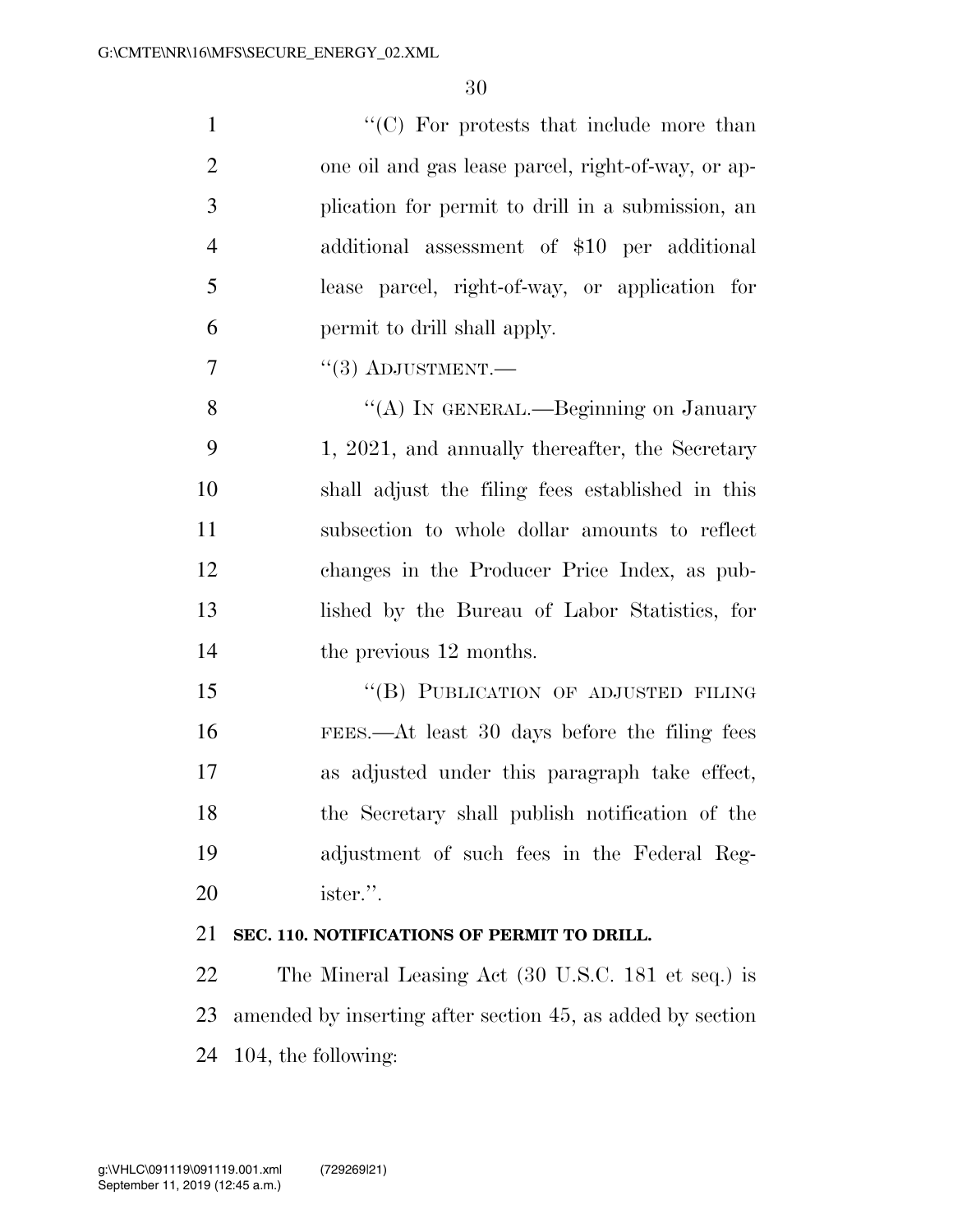| $\mathbf{1}$   | "(C) For protests that include more than           |
|----------------|----------------------------------------------------|
| 2              | one oil and gas lease parcel, right-of-way, or ap- |
| 3              | plication for permit to drill in a submission, an  |
| $\overline{4}$ | additional assessment of \$10 per additional       |
| 5              | lease parcel, right-of-way, or application for     |
| 6              | permit to drill shall apply.                       |
| 7              | $\cdot$ (3) ADJUSTMENT.—                           |
| 8              | "(A) IN GENERAL.—Beginning on January              |

9 1, 2021, and annually thereafter, the Secretary shall adjust the filing fees established in this subsection to whole dollar amounts to reflect changes in the Producer Price Index, as pub- lished by the Bureau of Labor Statistics, for 14 the previous 12 months.

15 "(B) PUBLICATION OF ADJUSTED FILING FEES.—At least 30 days before the filing fees as adjusted under this paragraph take effect, the Secretary shall publish notification of the adjustment of such fees in the Federal Reg-ister.''.

## **SEC. 110. NOTIFICATIONS OF PERMIT TO DRILL.**

 The Mineral Leasing Act (30 U.S.C. 181 et seq.) is amended by inserting after section 45, as added by section 104, the following: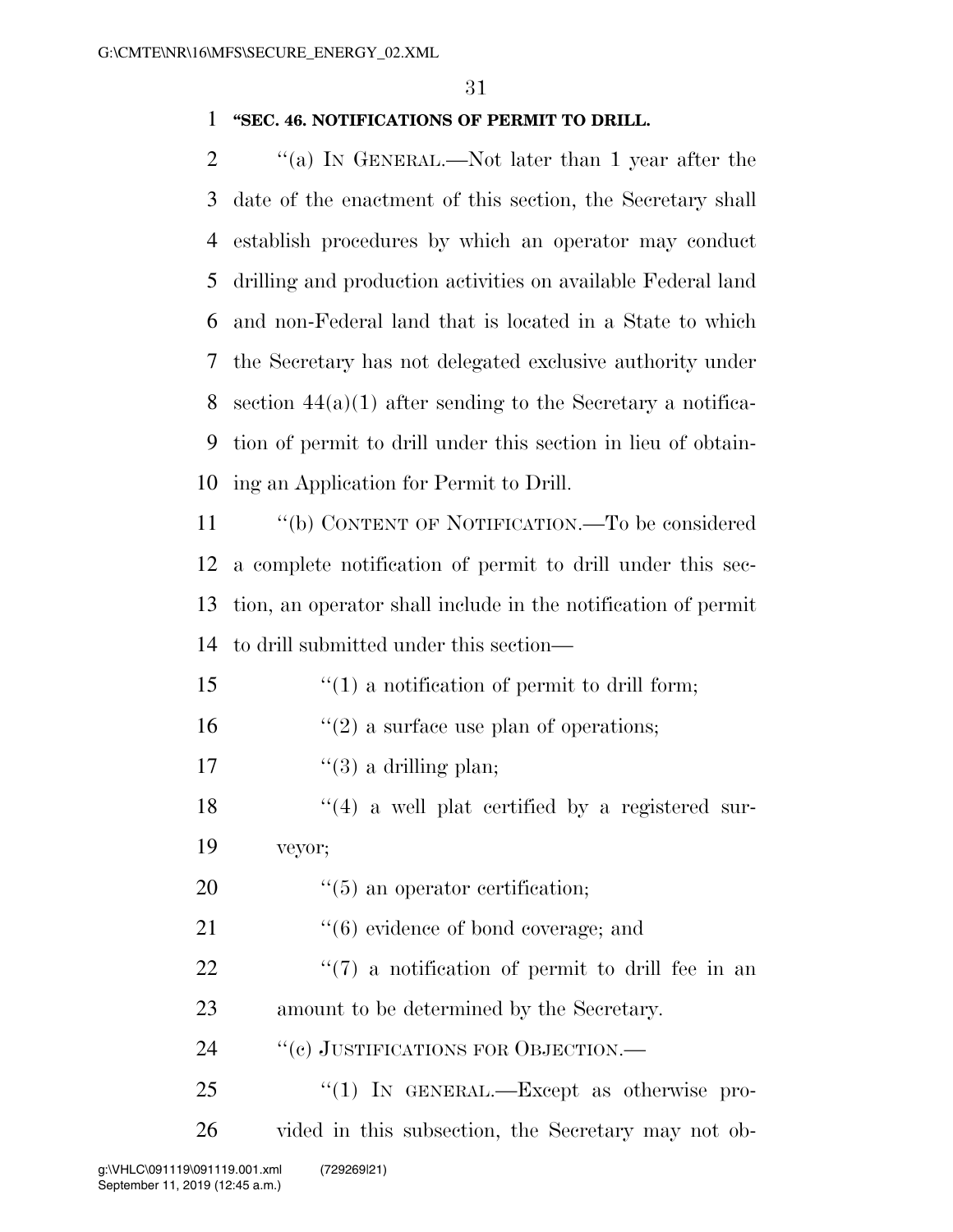### 1 **''SEC. 46. NOTIFICATIONS OF PERMIT TO DRILL.**

2 "(a) IN GENERAL.—Not later than 1 year after the date of the enactment of this section, the Secretary shall establish procedures by which an operator may conduct drilling and production activities on available Federal land and non-Federal land that is located in a State to which the Secretary has not delegated exclusive authority under 8 section  $44(a)(1)$  after sending to the Secretary a notifica- tion of permit to drill under this section in lieu of obtain-ing an Application for Permit to Drill.

 ''(b) CONTENT OF NOTIFICATION.—To be considered a complete notification of permit to drill under this sec- tion, an operator shall include in the notification of permit to drill submitted under this section—

- 15 ''(1) a notification of permit to drill form;
- 16  $\frac{1}{2}$  a surface use plan of operations;
- 17  $\frac{1}{3}$  a drilling plan;
- $\frac{18}{18}$  ''(4) a well plat certified by a registered sur-19 veyor;
- 20  $\frac{1}{20}$  (5) an operator certification;
- 21 ''(6) evidence of bond coverage; and
- $22$   $\frac{4}{7}$  a notification of permit to drill fee in an 23 amount to be determined by the Secretary.
- 24 "(c) JUSTIFICATIONS FOR OBJECTION.—
- 25 "(1) IN GENERAL.—Except as otherwise pro-26 vided in this subsection, the Secretary may not ob-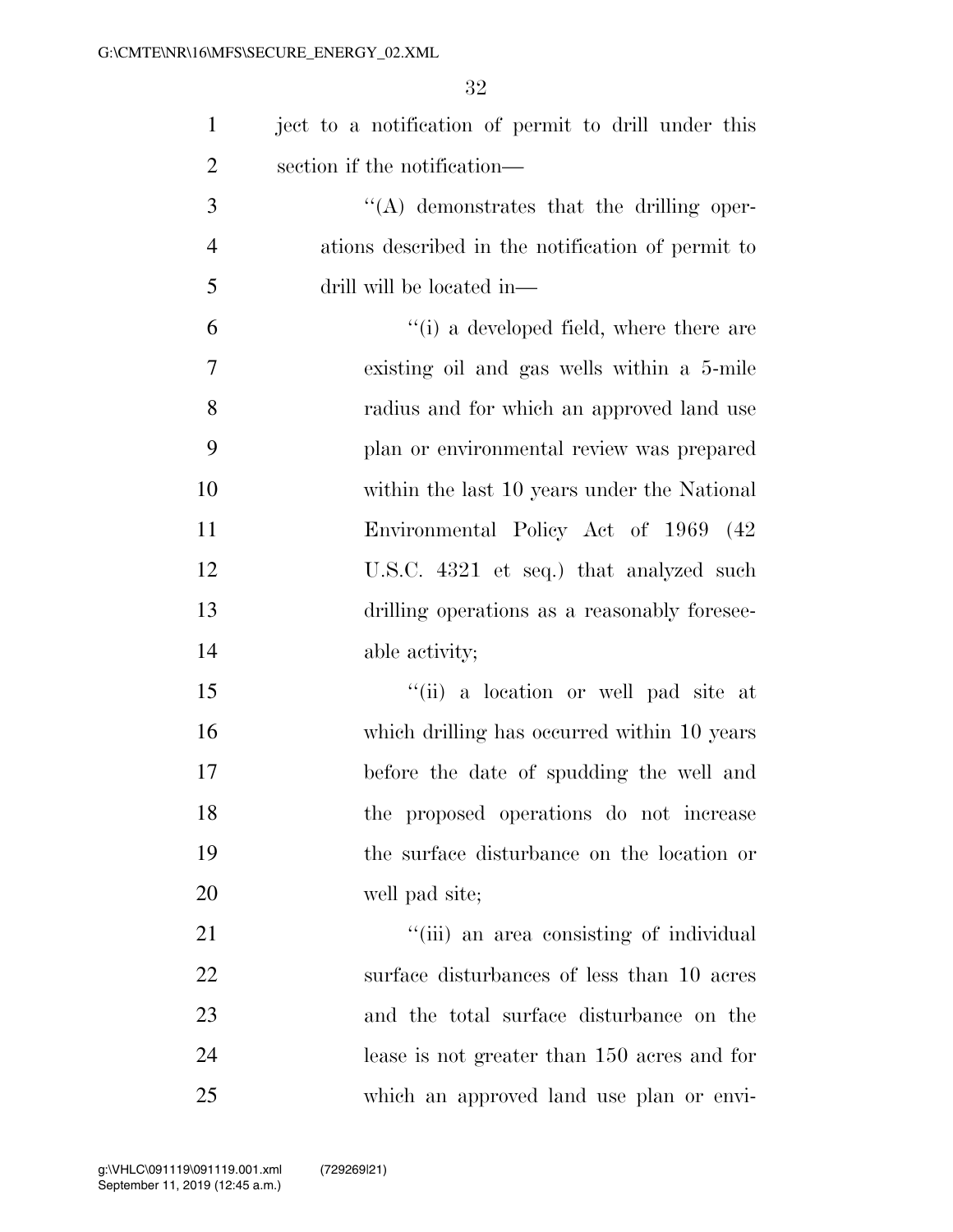| $\mathbf{1}$   | ject to a notification of permit to drill under this |
|----------------|------------------------------------------------------|
| $\overline{2}$ | section if the notification—                         |
| 3              | $\lq\lq$ demonstrates that the drilling oper-        |
| $\overline{4}$ | ations described in the notification of permit to    |
| 5              | drill will be located in—                            |
| 6              | $f(i)$ a developed field, where there are            |
| 7              | existing oil and gas wells within a 5-mile           |
| 8              | radius and for which an approved land use            |
| 9              | plan or environmental review was prepared            |
| 10             | within the last 10 years under the National          |
| 11             | Environmental Policy Act of 1969 (42)                |
| 12             | U.S.C. 4321 et seq.) that analyzed such              |
| 13             | drilling operations as a reasonably foresee-         |
| 14             | able activity;                                       |
| 15             | "(ii) a location or well pad site at                 |
| 16             | which drilling has occurred within 10 years          |
| 17             | before the date of spudding the well and             |
| 18             | the proposed operations do not increase              |
| 19             | the surface disturbance on the location or           |
| 20             | well pad site;                                       |
| 21             | "(iii) an area consisting of individual              |
| 22             | surface disturbances of less than 10 acres           |
| 23             | and the total surface disturbance on the             |
| 24             | lease is not greater than 150 acres and for          |
| 25             | which an approved land use plan or envi-             |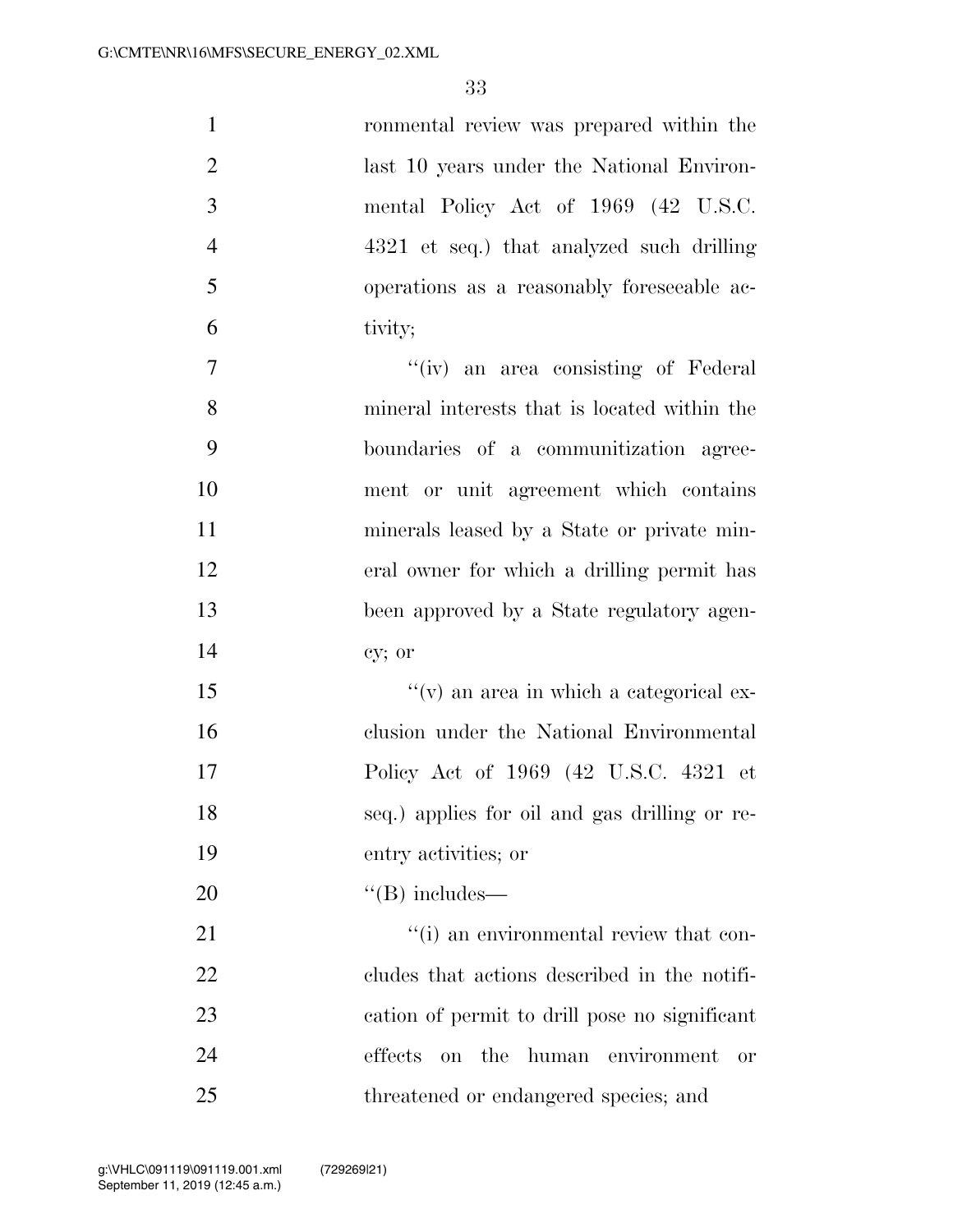| $\mathbf{1}$     | ronmental review was prepared within the                  |
|------------------|-----------------------------------------------------------|
| $\overline{2}$   | last 10 years under the National Environ-                 |
| 3                | mental Policy Act of 1969 (42 U.S.C.                      |
| $\overline{4}$   | 4321 et seq.) that analyzed such drilling                 |
| 5                | operations as a reasonably foreseeable ac-                |
| 6                | tivity;                                                   |
| $\boldsymbol{7}$ | "(iv) an area consisting of Federal                       |
| 8                | mineral interests that is located within the              |
| 9                | boundaries of a communitization agree-                    |
| 10               | ment or unit agreement which contains                     |
| 11               | minerals leased by a State or private min-                |
| 12               | eral owner for which a drilling permit has                |
| 13               | been approved by a State regulatory agen-                 |
| 14               | cy; or                                                    |
| 15               | "(v) an area in which a categorical ex-                   |
| 16               | clusion under the National Environmental                  |
| 17               | Policy Act of 1969 (42 U.S.C. 4321 et                     |
| 18               | seq.) applies for oil and gas drilling or re-             |
| 19               | entry activities; or                                      |
| 20               | $\lq\lq$ (B) includes—                                    |
| 21               | "(i) an environmental review that con-                    |
| 22               | cludes that actions described in the notifi-              |
| 23               | cation of permit to drill pose no significant             |
| 24               | effects<br>the<br>human<br>environment<br>on<br><b>or</b> |
| 25               | threatened or endangered species; and                     |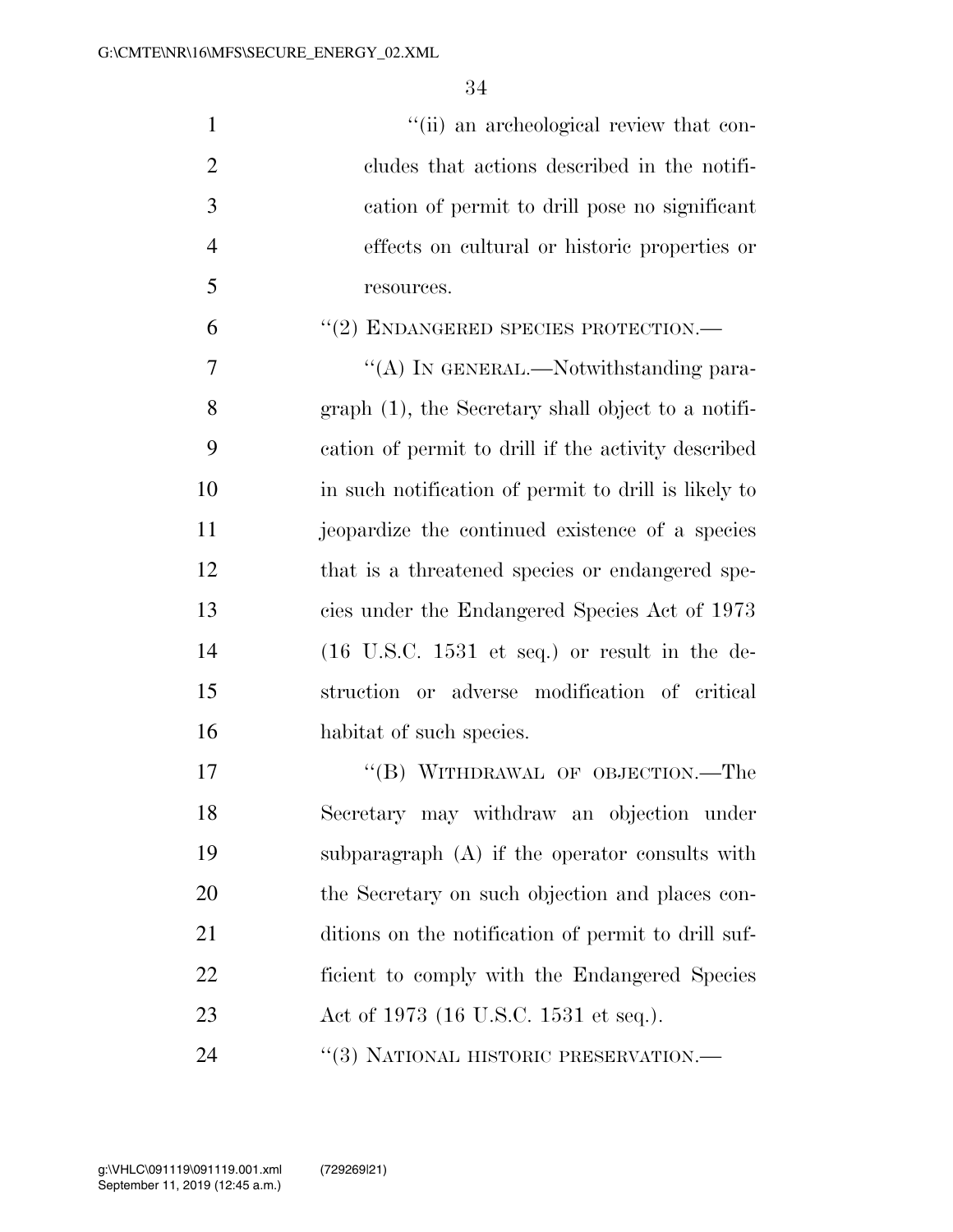| $\mathbf{1}$   | "(ii) an archeological review that con-                          |
|----------------|------------------------------------------------------------------|
| $\overline{2}$ | cludes that actions described in the notifi-                     |
| 3              | cation of permit to drill pose no significant                    |
| $\overline{4}$ | effects on cultural or historic properties or                    |
| 5              | resources.                                                       |
| 6              | "(2) ENDANGERED SPECIES PROTECTION.—                             |
| $\overline{7}$ | "(A) IN GENERAL.—Notwithstanding para-                           |
| 8              | $graph(1)$ , the Secretary shall object to a notifi-             |
| 9              | cation of permit to drill if the activity described              |
| 10             | in such notification of permit to drill is likely to             |
| 11             | jeopardize the continued existence of a species                  |
| 12             | that is a threatened species or endangered spe-                  |
| 13             | cies under the Endangered Species Act of 1973                    |
| 14             | $(16 \text{ U.S.C. } 1531 \text{ et seq.})$ or result in the de- |
| 15             | struction or adverse modification of critical                    |
| 16             | habitat of such species.                                         |
| 17             | "(B) WITHDRAWAL OF OBJECTION.—The                                |
| 18             | Secretary may withdraw an objection under                        |
| 19             | subparagraph $(A)$ if the operator consults with                 |
| 20             | the Secretary on such objection and places con-                  |
| 21             | ditions on the notification of permit to drill suf-              |
| 22             | ficient to comply with the Endangered Species                    |
| 23             | Act of 1973 (16 U.S.C. 1531 et seq.).                            |
| 24             | "(3) NATIONAL HISTORIC PRESERVATION.—                            |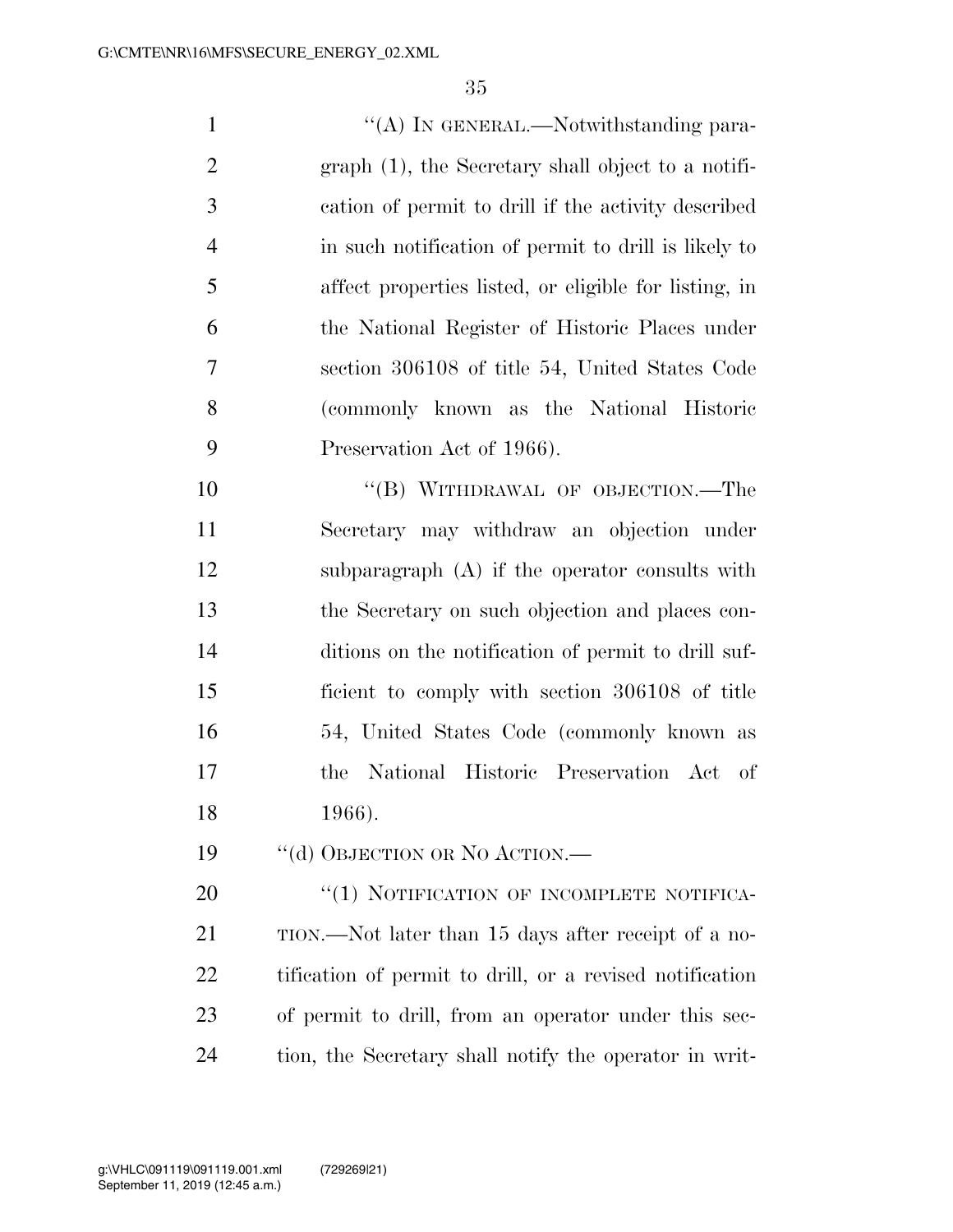$\langle (A) \rangle$  In GENERAL.—Notwithstanding para- graph (1), the Secretary shall object to a notifi- cation of permit to drill if the activity described in such notification of permit to drill is likely to affect properties listed, or eligible for listing, in the National Register of Historic Places under section 306108 of title 54, United States Code (commonly known as the National Historic Preservation Act of 1966).

10 "(B) WITHDRAWAL OF OBJECTION.—The Secretary may withdraw an objection under subparagraph (A) if the operator consults with the Secretary on such objection and places con- ditions on the notification of permit to drill suf- ficient to comply with section 306108 of title 54, United States Code (commonly known as the National Historic Preservation Act of 1966).

19 "(d) OBJECTION OR NO ACTION.—

20 "(1) NOTIFICATION OF INCOMPLETE NOTIFICA-21 TION.—Not later than 15 days after receipt of a no- tification of permit to drill, or a revised notification of permit to drill, from an operator under this sec-tion, the Secretary shall notify the operator in writ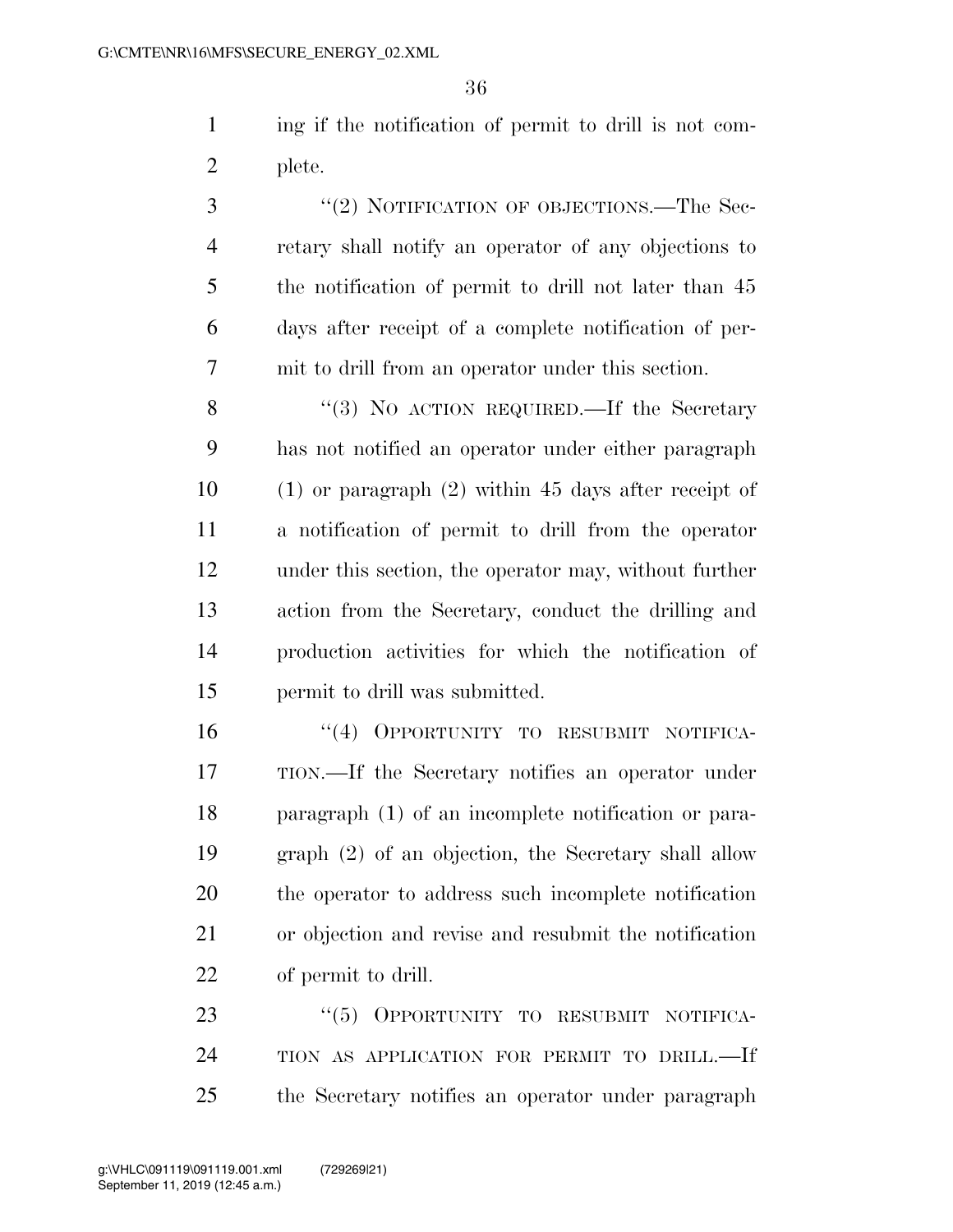ing if the notification of permit to drill is not com-plete.

3 "(2) NOTIFICATION OF OBJECTIONS.—The Sec- retary shall notify an operator of any objections to the notification of permit to drill not later than 45 days after receipt of a complete notification of per-mit to drill from an operator under this section.

8 "(3) No ACTION REQUIRED.—If the Secretary has not notified an operator under either paragraph (1) or paragraph (2) within 45 days after receipt of a notification of permit to drill from the operator under this section, the operator may, without further action from the Secretary, conduct the drilling and production activities for which the notification of permit to drill was submitted.

16 "(4) OPPORTUNITY TO RESUBMIT NOTIFICA- TION.—If the Secretary notifies an operator under paragraph (1) of an incomplete notification or para- graph (2) of an objection, the Secretary shall allow the operator to address such incomplete notification or objection and revise and resubmit the notification of permit to drill.

23 "(5) OPPORTUNITY TO RESUBMIT NOTIFICA- TION AS APPLICATION FOR PERMIT TO DRILL.—If the Secretary notifies an operator under paragraph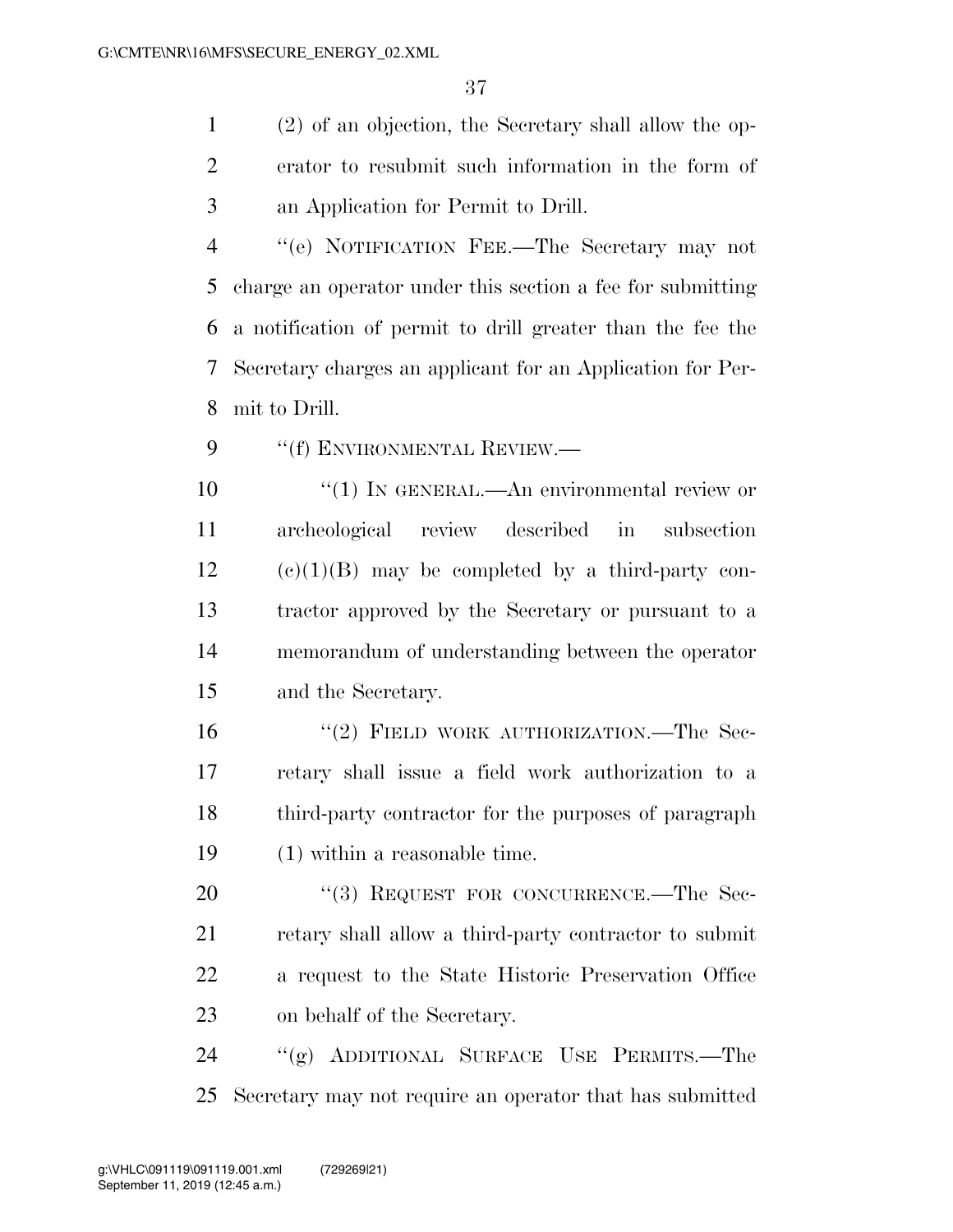(2) of an objection, the Secretary shall allow the op- erator to resubmit such information in the form of an Application for Permit to Drill.

 ''(e) NOTIFICATION FEE.—The Secretary may not charge an operator under this section a fee for submitting a notification of permit to drill greater than the fee the Secretary charges an applicant for an Application for Per-mit to Drill.

9 "(f) ENVIRONMENTAL REVIEW.—

10 <sup>"</sup>(1) IN GENERAL.—An environmental review or archeological review described in subsection (e)(1)(B) may be completed by a third-party con- tractor approved by the Secretary or pursuant to a memorandum of understanding between the operator and the Secretary.

16 "(2) FIELD WORK AUTHORIZATION.—The Sec- retary shall issue a field work authorization to a third-party contractor for the purposes of paragraph (1) within a reasonable time.

20 "(3) REQUEST FOR CONCURRENCE.—The Sec- retary shall allow a third-party contractor to submit a request to the State Historic Preservation Office on behalf of the Secretary.

 ''(g) ADDITIONAL SURFACE USE PERMITS.—The Secretary may not require an operator that has submitted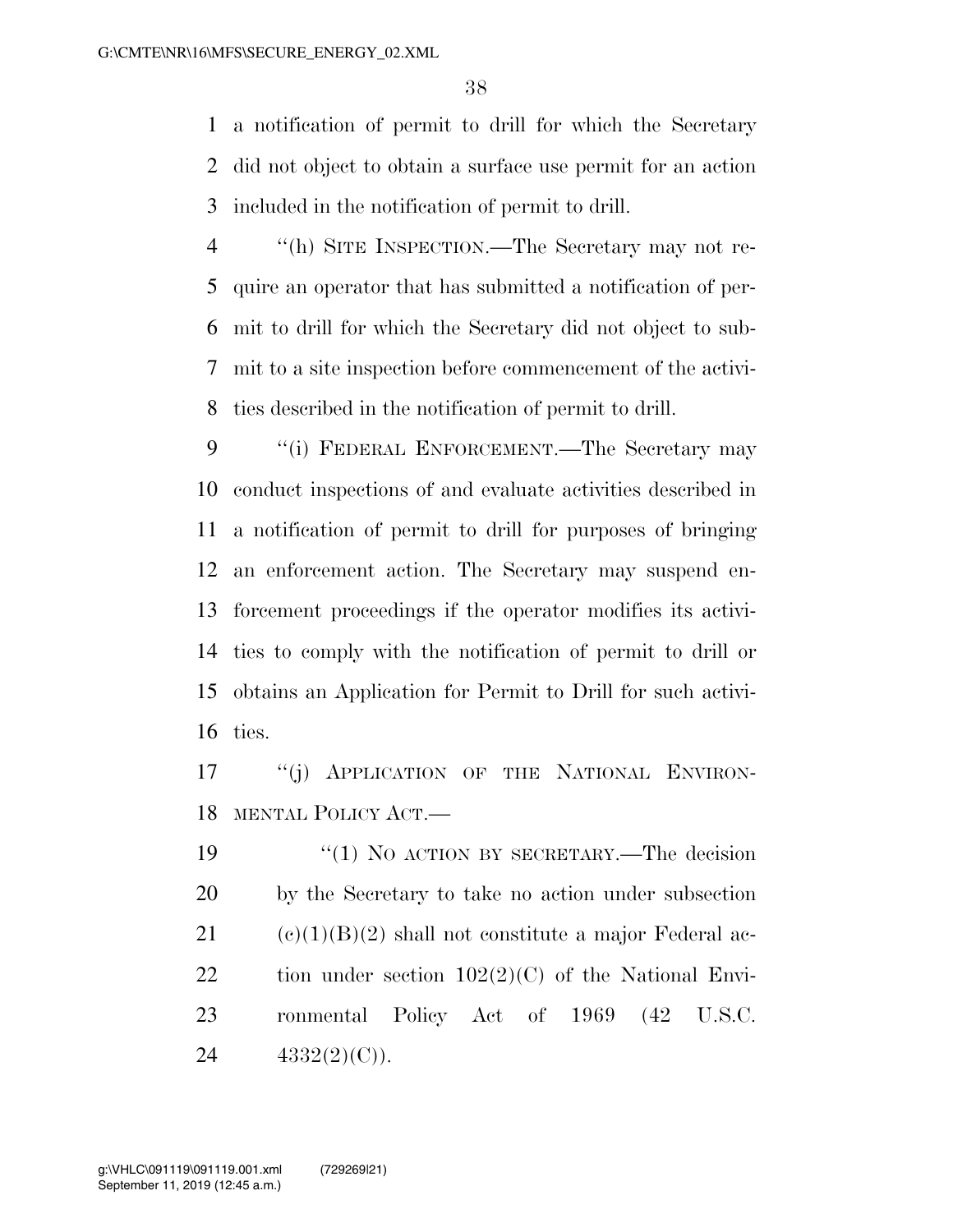a notification of permit to drill for which the Secretary did not object to obtain a surface use permit for an action included in the notification of permit to drill.

 ''(h) SITE INSPECTION.—The Secretary may not re- quire an operator that has submitted a notification of per- mit to drill for which the Secretary did not object to sub- mit to a site inspection before commencement of the activi-ties described in the notification of permit to drill.

9 "(i) FEDERAL ENFORCEMENT.—The Secretary may conduct inspections of and evaluate activities described in a notification of permit to drill for purposes of bringing an enforcement action. The Secretary may suspend en- forcement proceedings if the operator modifies its activi- ties to comply with the notification of permit to drill or obtains an Application for Permit to Drill for such activi-ties.

17 "(i) APPLICATION OF THE NATIONAL ENVIRON-MENTAL POLICY ACT.—

19 "(1) NO ACTION BY SECRETARY.—The decision by the Secretary to take no action under subsection 21 (c)(1)(B)(2) shall not constitute a major Federal ac-22 tion under section  $102(2)(C)$  of the National Envi- ronmental Policy Act of 1969 (42 U.S.C. 24  $4332(2)(C)$ .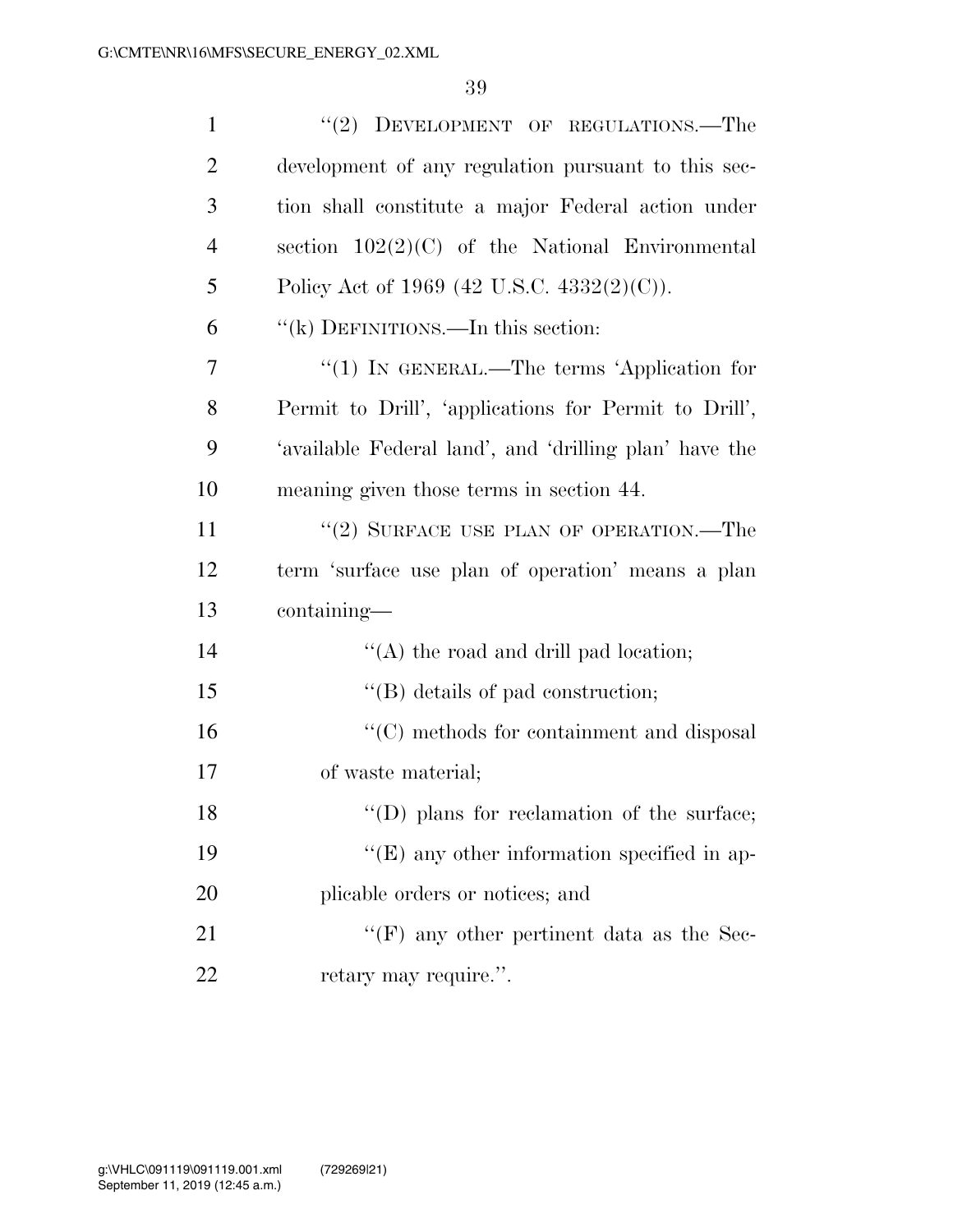| $\mathbf{1}$   | "(2) DEVELOPMENT OF REGULATIONS.—The                   |
|----------------|--------------------------------------------------------|
| $\overline{2}$ | development of any regulation pursuant to this sec-    |
| 3              | tion shall constitute a major Federal action under     |
| $\overline{4}$ | section $102(2)(C)$ of the National Environmental      |
| 5              | Policy Act of 1969 (42 U.S.C. 4332(2)(C)).             |
| 6              | "(k) DEFINITIONS.—In this section:                     |
| 7              | " $(1)$ IN GENERAL.—The terms 'Application for         |
| 8              | Permit to Drill', 'applications for Permit to Drill',  |
| 9              | 'available Federal land', and 'drilling plan' have the |
| 10             | meaning given those terms in section 44.               |
| 11             | "(2) SURFACE USE PLAN OF OPERATION.—The                |
| 12             | term 'surface use plan of operation' means a plan      |
| 13             | containing—                                            |
| 14             | $\lq\lq$ the road and drill pad location;              |
| 15             | $\lq\lq$ details of pad construction;                  |
| 16             | "(C) methods for containment and disposal              |
| 17             | of waste material;                                     |
| 18             | $\lq\lq$ (D) plans for reclamation of the surface;     |
| 19             | $\lq\lq(E)$ any other information specified in ap-     |
| 20             | plicable orders or notices; and                        |
| 21             | "(F) any other pertinent data as the Sec-              |
| 22             | retary may require.".                                  |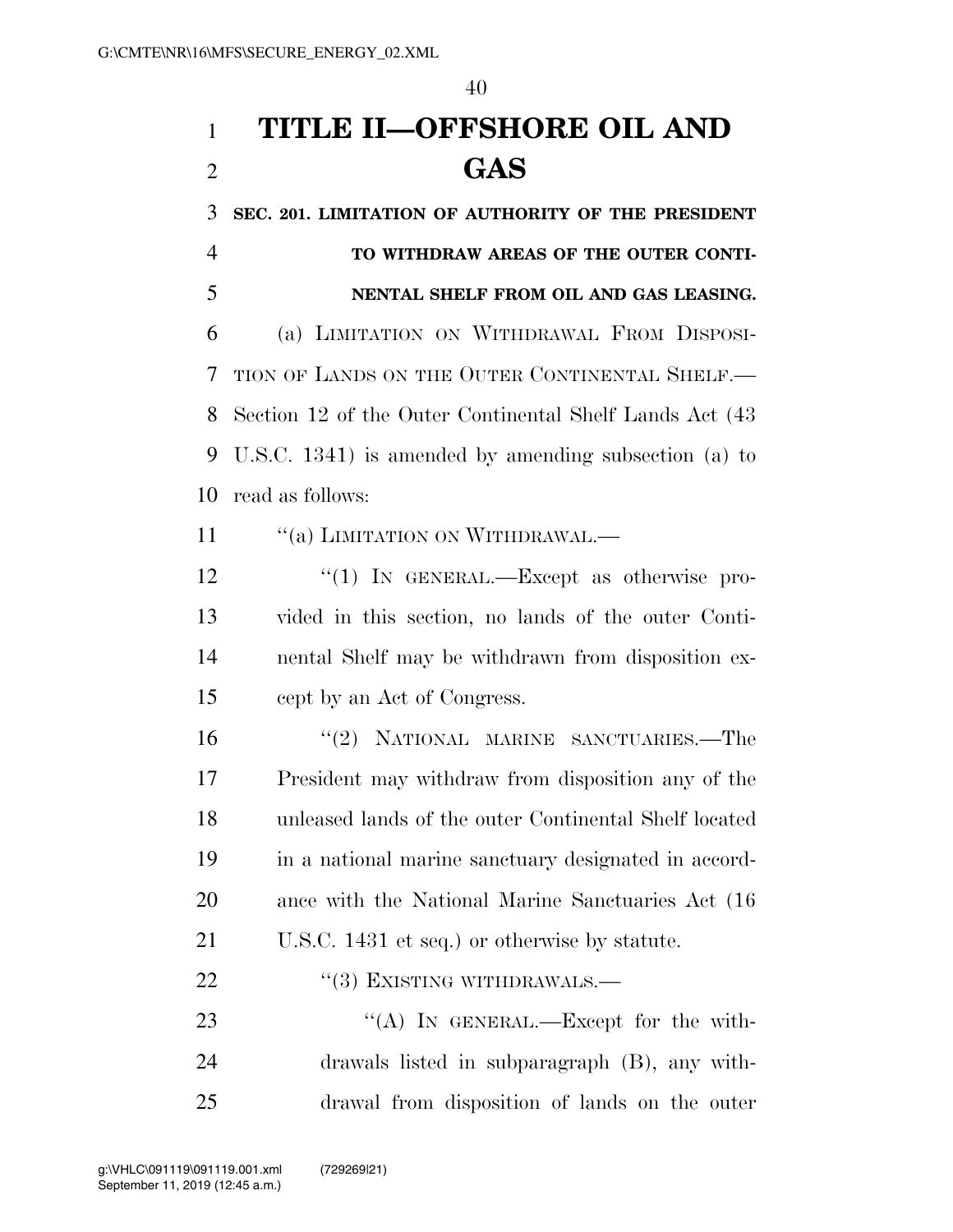## **TITLE II—OFFSHORE OIL AND GAS**

 **SEC. 201. LIMITATION OF AUTHORITY OF THE PRESIDENT TO WITHDRAW AREAS OF THE OUTER CONTI- NENTAL SHELF FROM OIL AND GAS LEASING.**  (a) LIMITATION ON WITHDRAWAL FROM DISPOSI- TION OF LANDS ON THE OUTER CONTINENTAL SHELF.— Section 12 of the Outer Continental Shelf Lands Act (43 U.S.C. 1341) is amended by amending subsection (a) to read as follows:

11 "(a) LIMITATION ON WITHDRAWAL.—

12 "(1) In GENERAL.—Except as otherwise pro- vided in this section, no lands of the outer Conti- nental Shelf may be withdrawn from disposition ex-cept by an Act of Congress.

 ''(2) NATIONAL MARINE SANCTUARIES.—The President may withdraw from disposition any of the unleased lands of the outer Continental Shelf located in a national marine sanctuary designated in accord- ance with the National Marine Sanctuaries Act (16 U.S.C. 1431 et seq.) or otherwise by statute.

22 "(3) EXISTING WITHDRAWALS.—

23 "(A) IN GENERAL.—Except for the with- drawals listed in subparagraph (B), any with-drawal from disposition of lands on the outer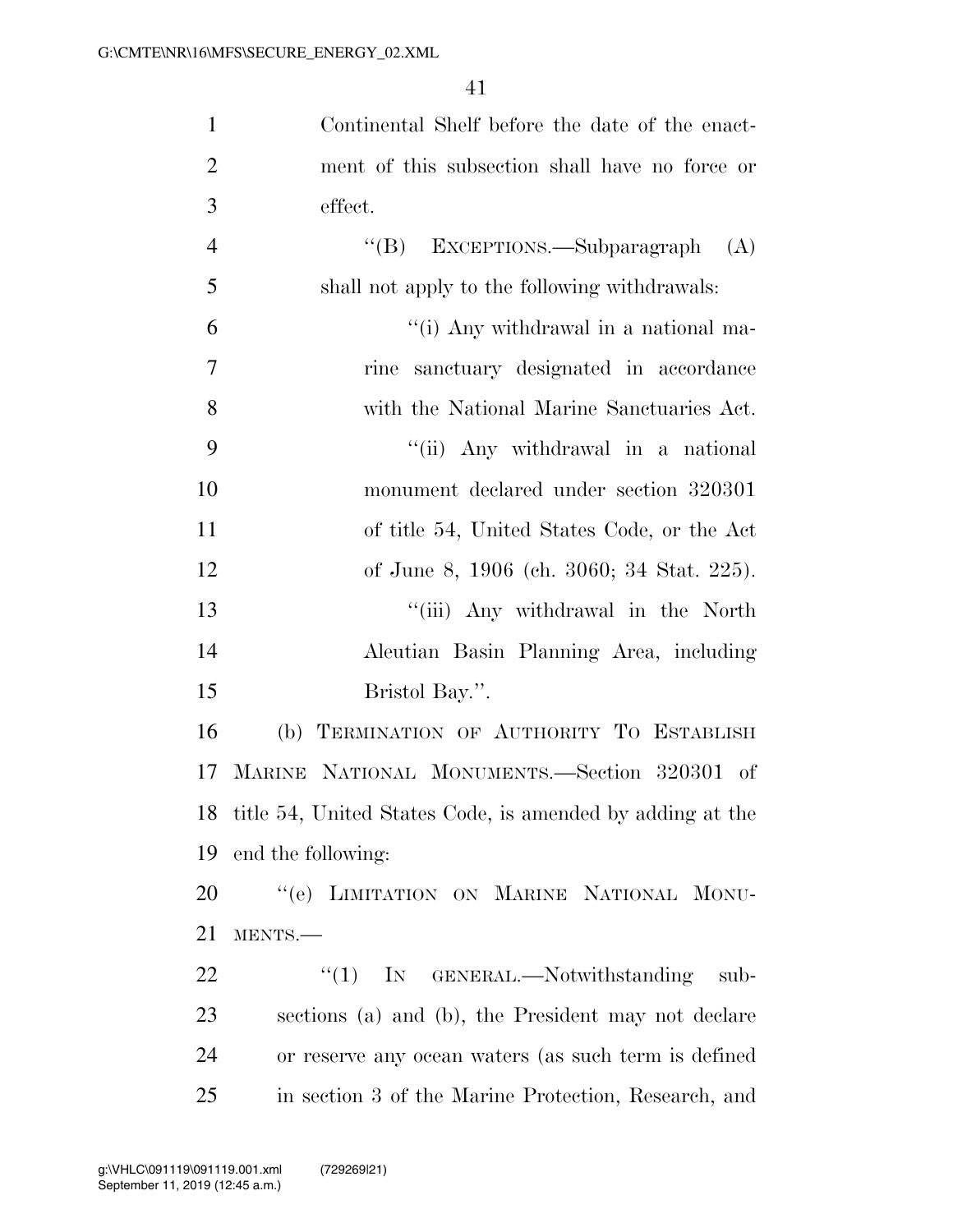Continental Shelf before the date of the enact-

| $\mathbf{2}$   | ment of this subsection shall have no force or            |
|----------------|-----------------------------------------------------------|
| 3              | effect.                                                   |
| $\overline{4}$ | "(B) EXCEPTIONS.—Subparagraph $(A)$                       |
| 5              | shall not apply to the following withdrawals:             |
| 6              | "(i) Any withdrawal in a national ma-                     |
| $\tau$         | rine sanctuary designated in accordance                   |
| 8              | with the National Marine Sanctuaries Act.                 |
| 9              | "(ii) Any withdrawal in a national                        |
| 10             | monument declared under section 320301                    |
| 11             | of title 54, United States Code, or the Act               |
| 12             | of June 8, 1906 (ch. 3060; 34 Stat. 225).                 |
| 13             | "(iii) Any withdrawal in the North                        |
| 14             | Aleutian Basin Planning Area, including                   |
| 15             | Bristol Bay.".                                            |
| 16             | TERMINATION OF AUTHORITY TO ESTABLISH<br>(b)              |
| 17             | MARINE NATIONAL MONUMENTS.—Section 320301 of              |
| 18             | title 54, United States Code, is amended by adding at the |
| 19             | end the following:                                        |
| 20             | "(e) LIMITATION ON MARINE NATIONAL MONU-                  |
| 21             | MENTS.                                                    |
| 22             | IN GENERAL.—Notwithstanding<br>``(1)<br>sub-              |
| 23             | sections (a) and (b), the President may not declare       |
| 24             | or reserve any ocean waters (as such term is defined      |
| 25             | in section 3 of the Marine Protection, Research, and      |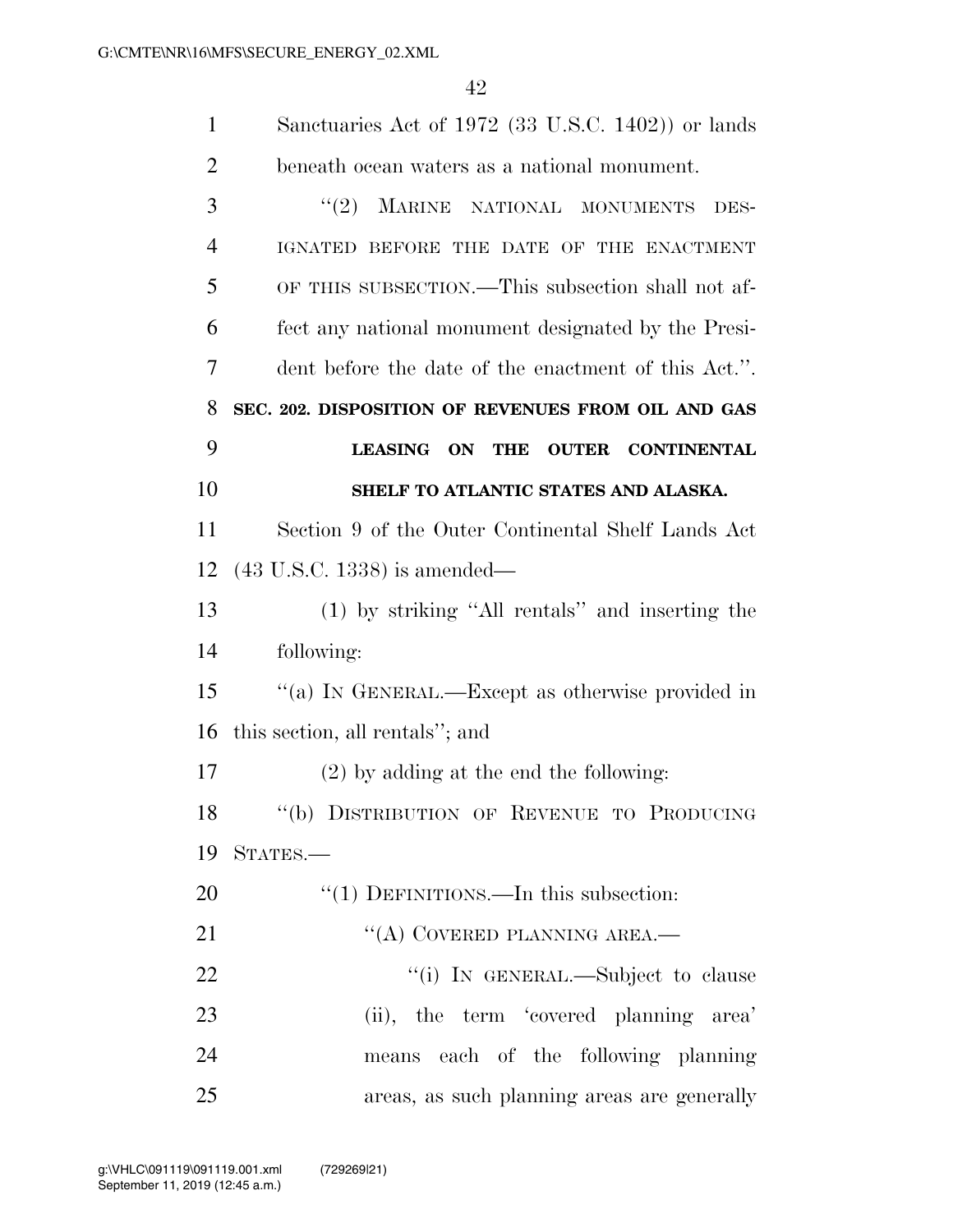| $\mathbf{1}$   | Sanctuaries Act of 1972 (33 U.S.C. 1402)) or lands   |
|----------------|------------------------------------------------------|
| $\overline{2}$ | beneath ocean waters as a national monument.         |
| 3              | (2)<br>MARINE NATIONAL MONUMENTS<br>DES-             |
| 4              | IGNATED BEFORE THE DATE OF THE ENACTMENT             |
| 5              | OF THIS SUBSECTION.—This subsection shall not af-    |
| 6              | fect any national monument designated by the Presi-  |
| 7              | dent before the date of the enactment of this Act.". |
| 8              | SEC. 202. DISPOSITION OF REVENUES FROM OIL AND GAS   |
| 9              | LEASING ON THE OUTER CONTINENTAL                     |
| 10             | SHELF TO ATLANTIC STATES AND ALASKA.                 |
| 11             | Section 9 of the Outer Continental Shelf Lands Act   |
| 12             | $(43 \text{ U.S.C. } 1338)$ is amended—              |
| 13             | (1) by striking "All rentals" and inserting the      |
| 14             | following:                                           |
| 15             | "(a) IN GENERAL.—Except as otherwise provided in     |
| 16             | this section, all rentals"; and                      |
| 17             | $(2)$ by adding at the end the following:            |
| 18             | "(b) DISTRIBUTION OF REVENUE TO PRODUCING            |
| 19             | STATES.                                              |
| 20             | "(1) DEFINITIONS.—In this subsection:                |
| 21             | "(A) COVERED PLANNING AREA.—                         |
| 22             | "(i) IN GENERAL.—Subject to clause                   |
| 23             | (ii), the term 'covered planning area'               |
| 24             | means each of the following planning                 |
| 25             | areas, as such planning areas are generally          |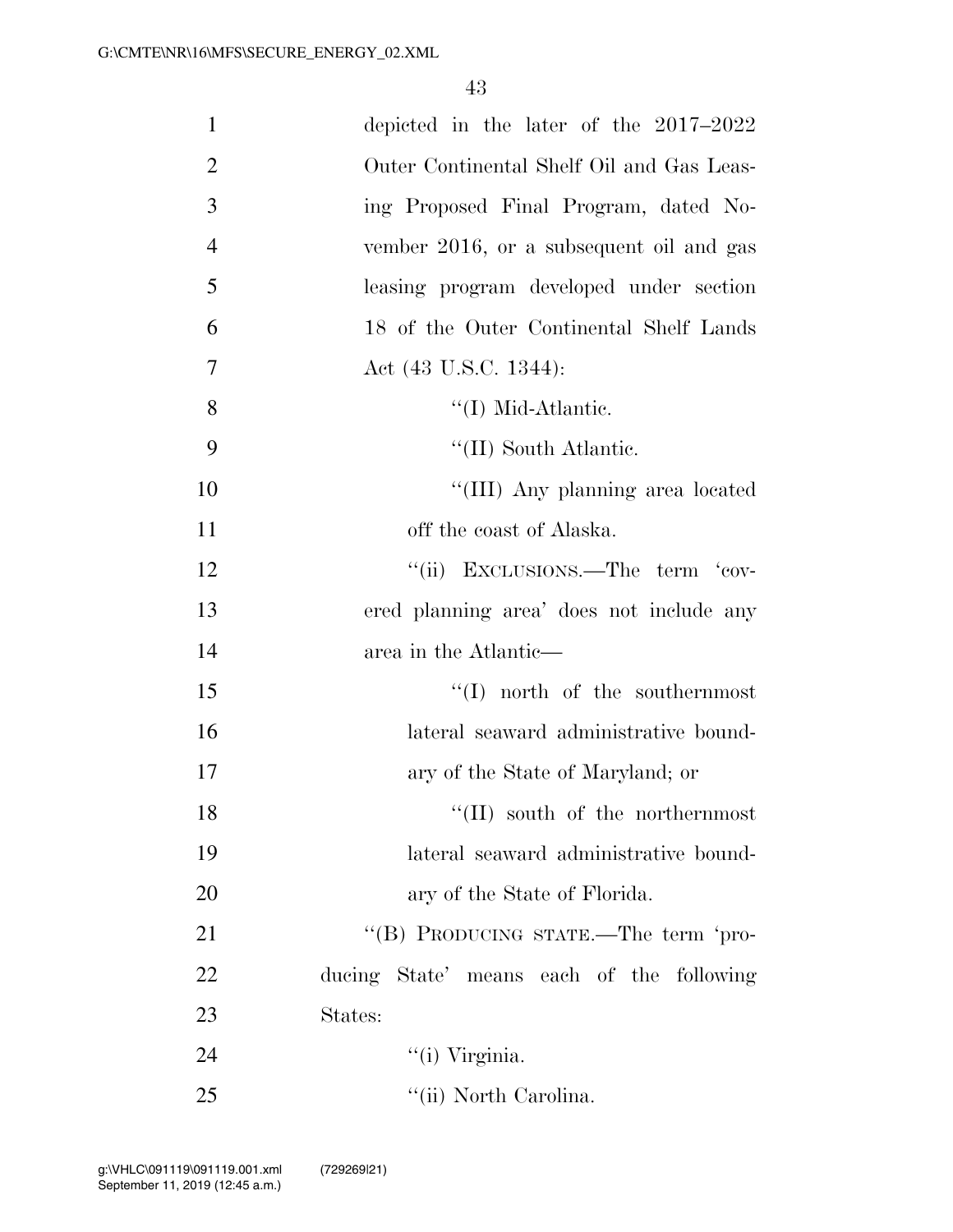| $\mathbf{1}$   | depicted in the later of the $2017-2022$  |
|----------------|-------------------------------------------|
| $\overline{2}$ | Outer Continental Shelf Oil and Gas Leas- |
| 3              | ing Proposed Final Program, dated No-     |
| $\overline{4}$ | vember 2016, or a subsequent oil and gas  |
| 5              | leasing program developed under section   |
| 6              | 18 of the Outer Continental Shelf Lands   |
| 7              | Act (43 U.S.C. 1344):                     |
| 8              | $\lq (I)$ Mid-Atlantic.                   |
| 9              | "(II) South Atlantic.                     |
| 10             | "(III) Any planning area located          |
| 11             | off the coast of Alaska.                  |
| 12             | "(ii) EXCLUSIONS.—The term 'cov-          |
| 13             | ered planning area' does not include any  |
| 14             | area in the Atlantic—                     |
| 15             | $\lq\lq$ north of the southernmost        |
| 16             | lateral seaward administrative bound-     |
| 17             | ary of the State of Maryland; or          |
| 18             | $\lq\lq$ (II) south of the northernmost   |
| 19             | lateral seaward administrative bound-     |
| 20             | ary of the State of Florida.              |
| 21             | "(B) PRODUCING STATE.—The term 'pro-      |
| 22             | ducing State' means each of the following |
| 23             | States:                                   |
| 24             | "(i) Virginia.                            |
| 25             | "(ii) North Carolina.                     |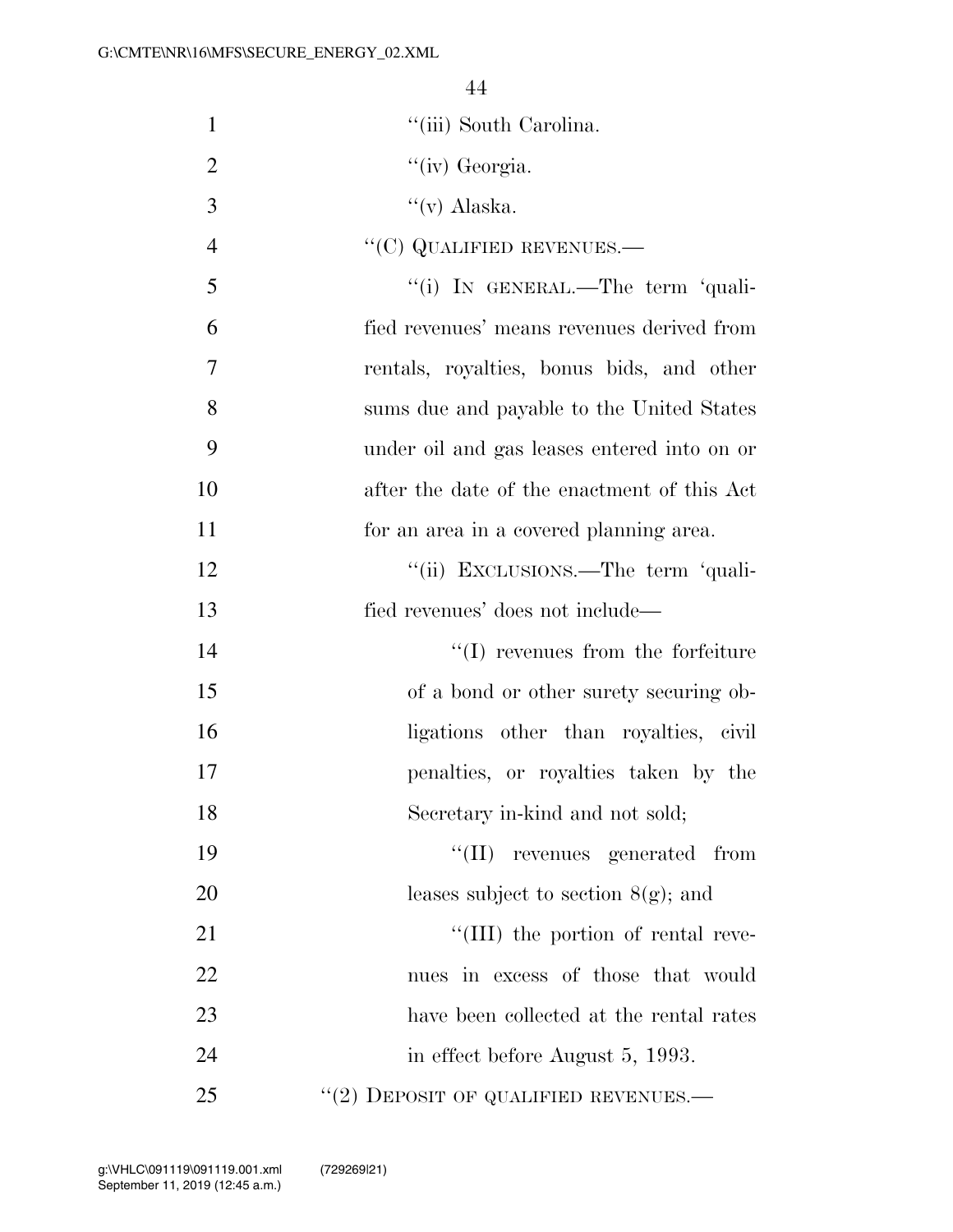| $\mathbf{1}$   | "(iii) South Carolina.                      |
|----------------|---------------------------------------------|
| $\overline{2}$ | "(iv) Georgia.                              |
| 3              | $\lq\lq$ (v) Alaska.                        |
| $\overline{4}$ | $\lq\lq$ (C) QUALIFIED REVENUES.—           |
| 5              | "(i) IN GENERAL.—The term 'quali-           |
| 6              | fied revenues' means revenues derived from  |
| 7              | rentals, royalties, bonus bids, and other   |
| 8              | sums due and payable to the United States   |
| 9              | under oil and gas leases entered into on or |
| 10             | after the date of the enactment of this Act |
| 11             | for an area in a covered planning area.     |
| 12             | "(ii) EXCLUSIONS.—The term 'quali-          |
| 13             | fied revenues' does not include—            |
| 14             | $\lq\lq$ revenues from the forfeiture       |
| 15             | of a bond or other surety securing ob-      |
| 16             | ligations other than royalties, civil       |
| 17             | penalties, or royalties taken by the        |
| 18             | Secretary in-kind and not sold;             |
| 19             | "(II) revenues generated from               |
| 20             | leases subject to section $8(g)$ ; and      |
| 21             | "(III) the portion of rental reve-          |
| 22             | nues in excess of those that would          |
| 23             | have been collected at the rental rates     |
| 24             | in effect before August 5, 1993.            |
| 25             | $``(2)$ DEPOSIT OF QUALIFIED REVENUES.—     |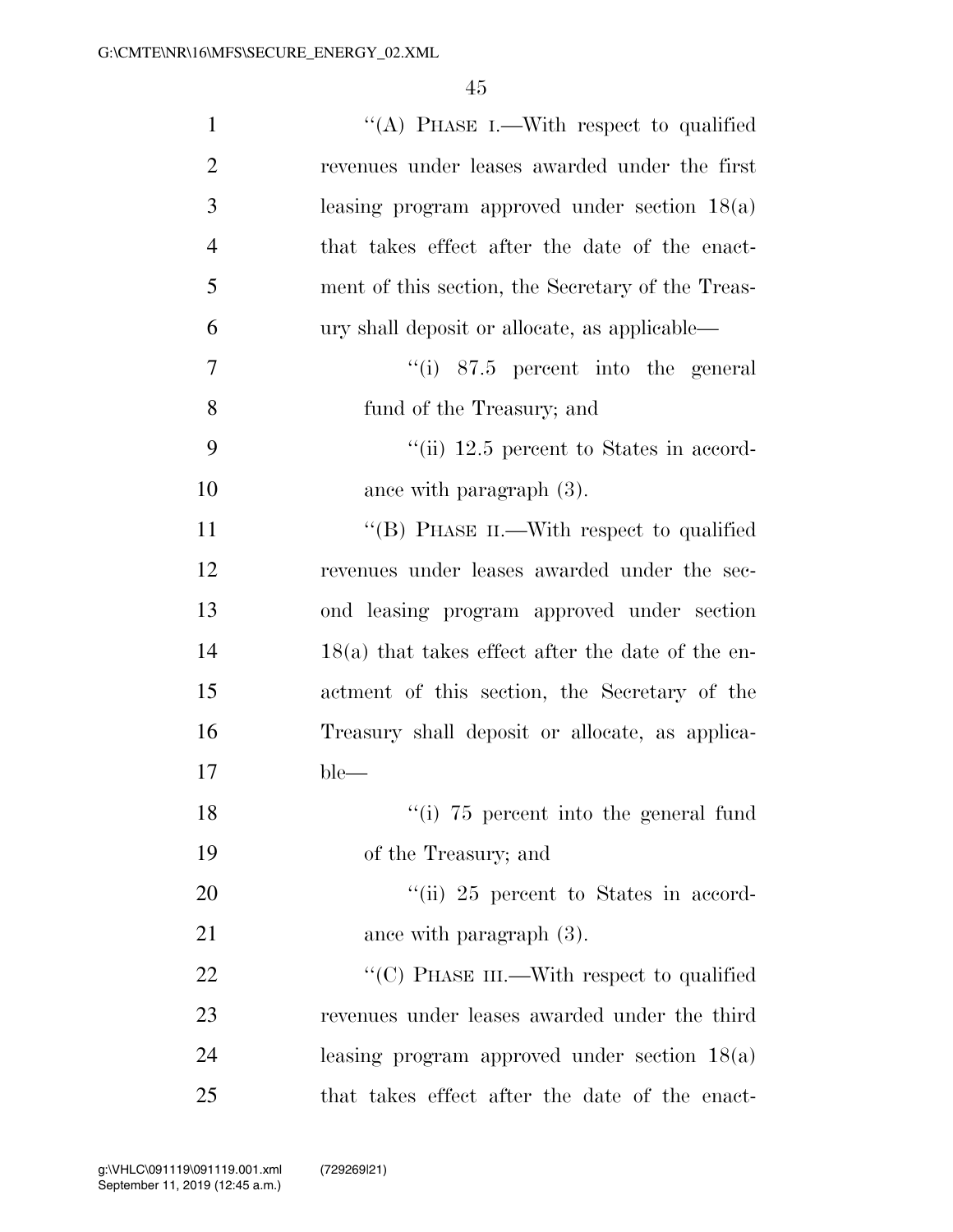| $\mathbf{1}$   | "(A) PHASE I.—With respect to qualified             |
|----------------|-----------------------------------------------------|
| $\overline{2}$ | revenues under leases awarded under the first       |
| 3              | leasing program approved under section $18(a)$      |
| $\overline{4}$ | that takes effect after the date of the enact-      |
| 5              | ment of this section, the Secretary of the Treas-   |
| 6              | ury shall deposit or allocate, as applicable—       |
| $\overline{7}$ | $``(i)$ 87.5 percent into the general               |
| 8              | fund of the Treasury; and                           |
| 9              | "(ii) $12.5$ percent to States in accord-           |
| 10             | ance with paragraph $(3)$ .                         |
| 11             | "(B) PHASE II.—With respect to qualified            |
| 12             | revenues under leases awarded under the sec-        |
| 13             | ond leasing program approved under section          |
| 14             | $18(a)$ that takes effect after the date of the en- |
| 15             | actment of this section, the Secretary of the       |
| 16             | Treasury shall deposit or allocate, as applica-     |
| 17             | $ble-$                                              |
| 18             | "(i) 75 percent into the general fund               |
| 19             | of the Treasury; and                                |
| 20             | "(ii) 25 percent to States in accord-               |
| 21             | ance with paragraph $(3)$ .                         |
| 22             | "(C) PHASE III.—With respect to qualified           |
| 23             | revenues under leases awarded under the third       |
| 24             | leasing program approved under section $18(a)$      |
| 25             | that takes effect after the date of the enact-      |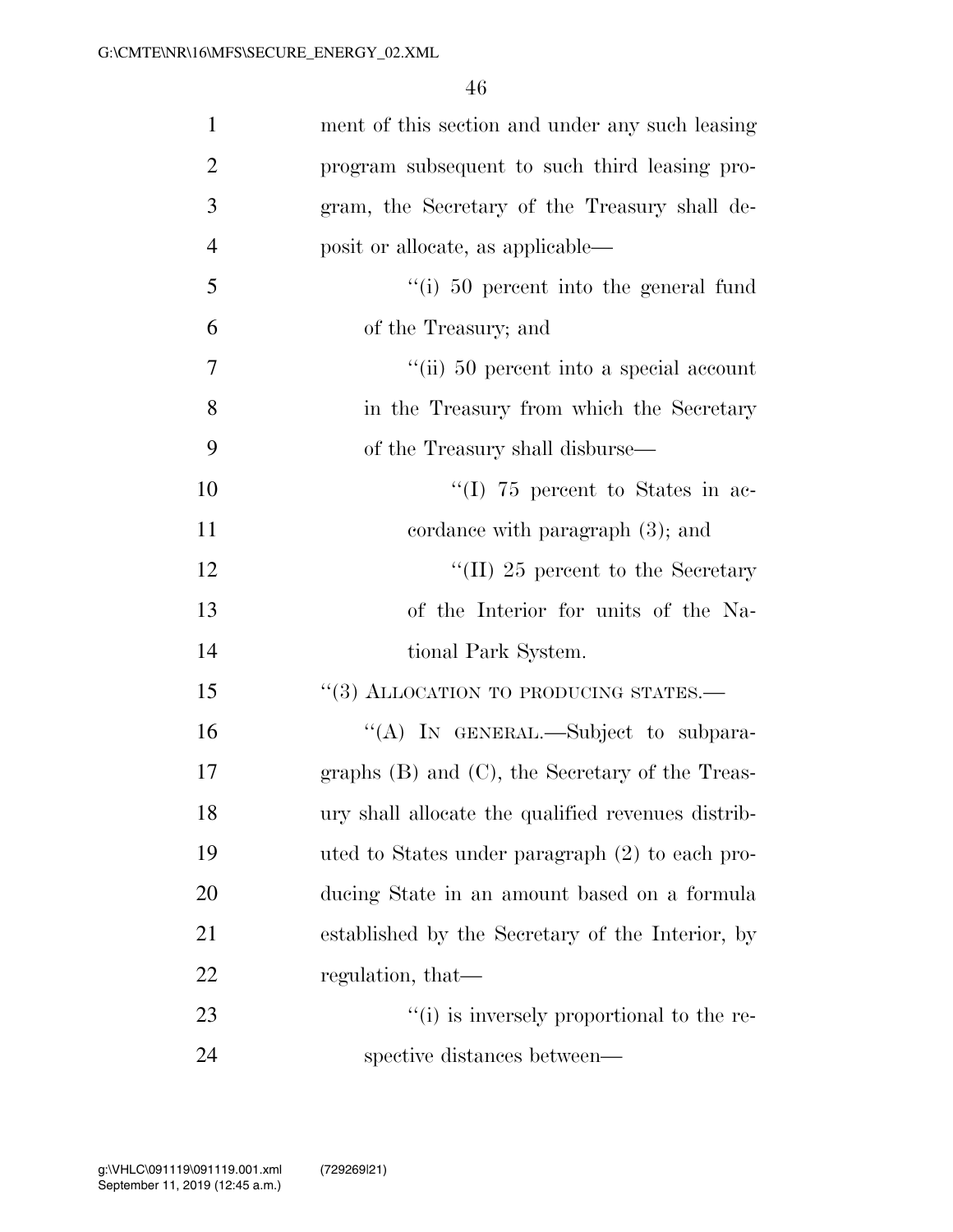| $\mathbf{1}$   | ment of this section and under any such leasing           |
|----------------|-----------------------------------------------------------|
| $\overline{2}$ | program subsequent to such third leasing pro-             |
| 3              | gram, the Secretary of the Treasury shall de-             |
| $\overline{4}$ | posit or allocate, as applicable—                         |
| 5              | $\lq\lq$ (i) 50 percent into the general fund             |
| 6              | of the Treasury; and                                      |
| $\overline{7}$ | $\lq$ <sup>"</sup> (ii) 50 percent into a special account |
| 8              | in the Treasury from which the Secretary                  |
| 9              | of the Treasury shall disburse—                           |
| 10             | $\lq(1)$ 75 percent to States in ac-                      |
| 11             | cordance with paragraph $(3)$ ; and                       |
| 12             | "(II) 25 percent to the Secretary                         |
| 13             | of the Interior for units of the Na-                      |
| 14             | tional Park System.                                       |
| 15             | "(3) ALLOCATION TO PRODUCING STATES.-                     |
| 16             | "(A) IN GENERAL.—Subject to subpara-                      |
| 17             | graphs $(B)$ and $(C)$ , the Secretary of the Treas-      |
| 18             | ury shall allocate the qualified revenues distrib-        |
| 19             | uted to States under paragraph (2) to each pro-           |
| 20             | ducing State in an amount based on a formula              |
| 21             | established by the Secretary of the Interior, by          |
| 22             | regulation, that—                                         |
| 23             | "(i) is inversely proportional to the re-                 |
| 24             | spective distances between—                               |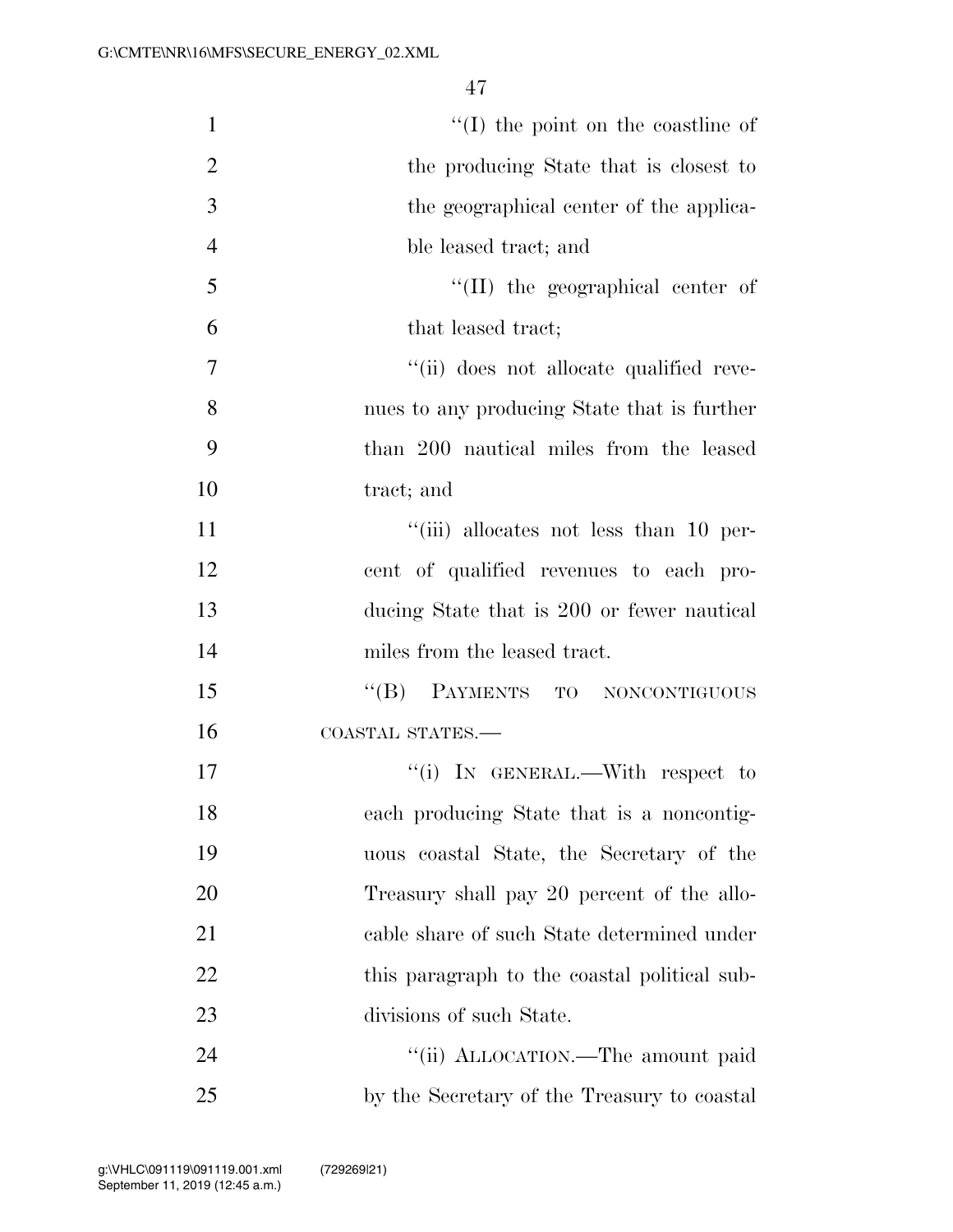| $\mathbf{1}$   | $\lq\lq$ (I) the point on the coastline of   |
|----------------|----------------------------------------------|
| $\overline{2}$ | the producing State that is closest to       |
| 3              | the geographical center of the applica-      |
| $\overline{4}$ | ble leased tract; and                        |
| 5              | $\lq\lq$ (II) the geographical center of     |
| 6              | that leased tract;                           |
| 7              | "(ii) does not allocate qualified reve-      |
| 8              | nues to any producing State that is further  |
| 9              | than 200 nautical miles from the leased      |
| 10             | tract; and                                   |
| 11             | "(iii) allocates not less than 10 per-       |
| 12             | cent of qualified revenues to each pro-      |
| 13             | ducing State that is 200 or fewer nautical   |
| 14             | miles from the leased tract.                 |
| 15             | "(B) PAYMENTS TO NONCONTIGUOUS               |
| 16             | COASTAL STATES.-                             |
| 17             | "(i) IN GENERAL.—With respect to             |
| 18             | each producing State that is a noncontig-    |
| 19             | uous coastal State, the Secretary of the     |
| 20             | Treasury shall pay 20 percent of the allo-   |
| 21             | cable share of such State determined under   |
| 22             | this paragraph to the coastal political sub- |
| 23             | divisions of such State.                     |
| 24             | "(ii) ALLOCATION.—The amount paid            |
| 25             | by the Secretary of the Treasury to coastal  |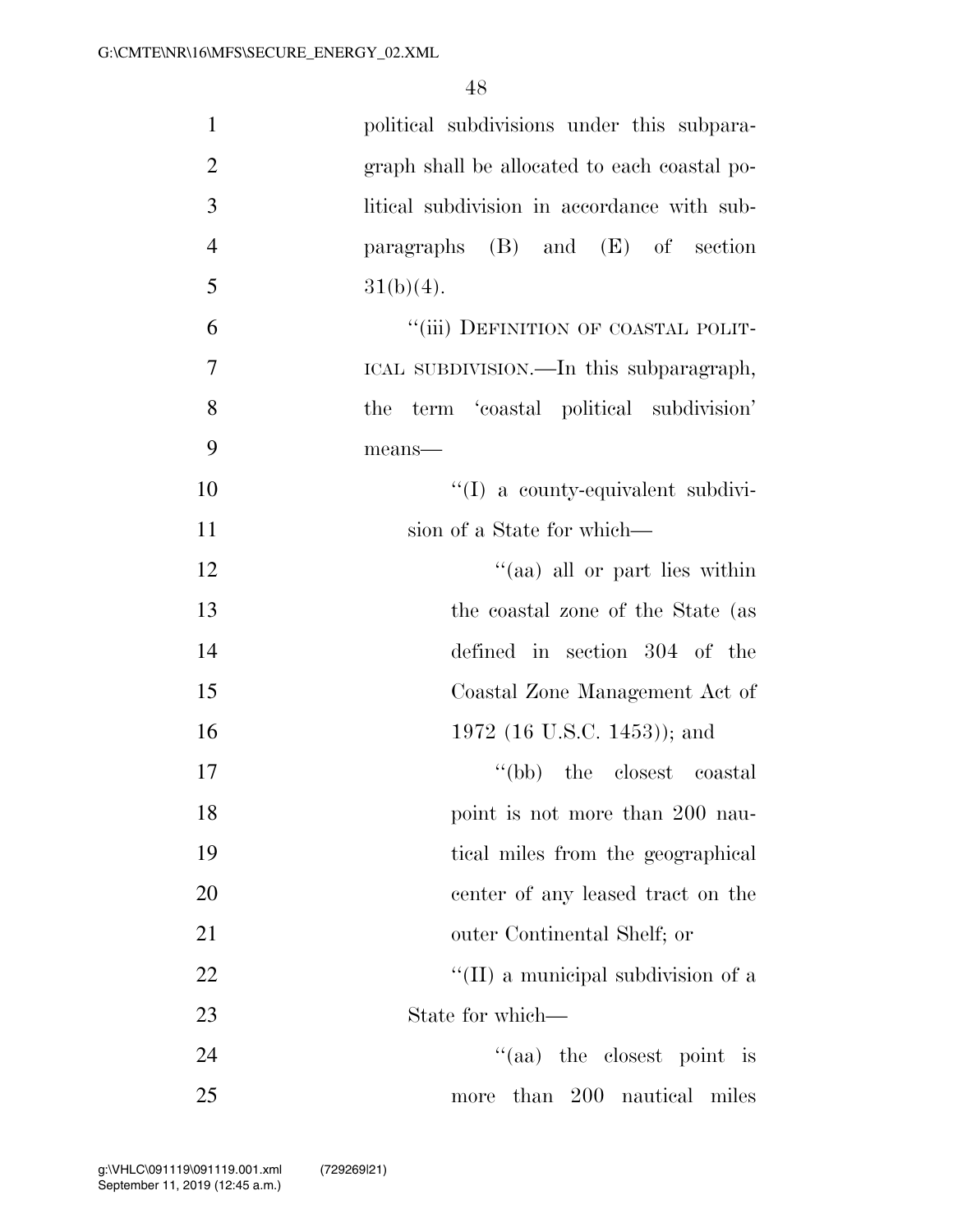| $\mathbf{1}$   | political subdivisions under this subpara-   |
|----------------|----------------------------------------------|
| $\overline{2}$ | graph shall be allocated to each coastal po- |
| 3              | litical subdivision in accordance with sub-  |
| $\overline{4}$ | paragraphs (B) and (E) of section            |
| 5              | $31(b)(4)$ .                                 |
| 6              | "(iii) DEFINITION OF COASTAL POLIT-          |
| $\overline{7}$ | ICAL SUBDIVISION.—In this subparagraph,      |
| 8              | term 'coastal political subdivision'<br>the  |
| 9              | means-                                       |
| 10             | "(I) a county-equivalent subdivi-            |
| 11             | sion of a State for which—                   |
| 12             | "(aa) all or part lies within                |
| 13             | the coastal zone of the State (as            |
| 14             | defined in section 304 of the                |
| 15             | Coastal Zone Management Act of               |
| 16             | 1972 (16 U.S.C. 1453)); and                  |
| 17             | "(bb) the closest coastal                    |
| 18             | point is not more than 200 nau-              |
| 19             | tical miles from the geographical            |
| 20             | center of any leased tract on the            |
| 21             | outer Continental Shelf; or                  |
| 22             | "(II) a municipal subdivision of a           |
| 23             | State for which—                             |
| 24             | "(aa) the closest point is                   |
| 25             | more than 200 nautical miles                 |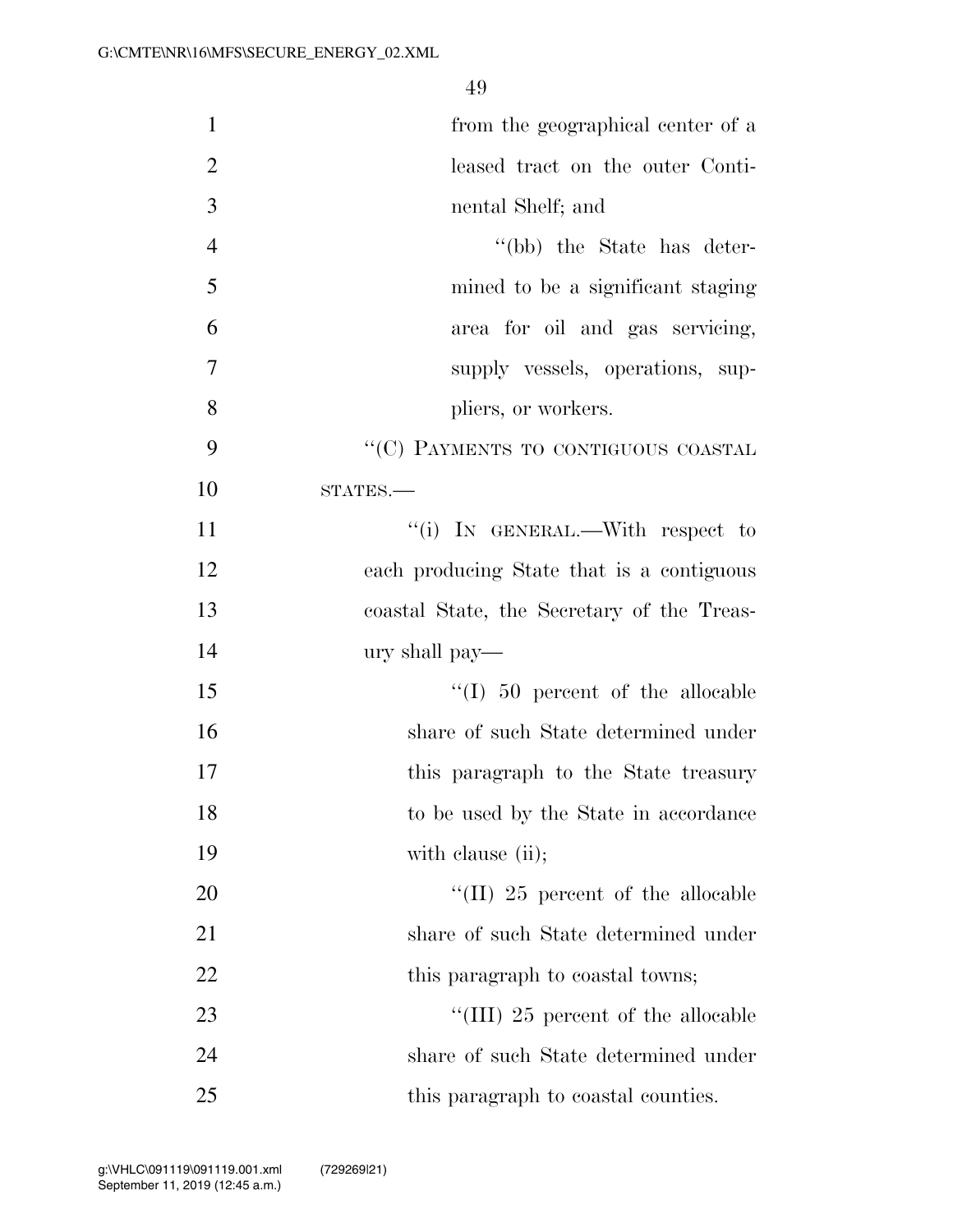| $\mathbf{1}$   | from the geographical center of a                      |
|----------------|--------------------------------------------------------|
| $\overline{2}$ | leased tract on the outer Conti-                       |
| 3              | nental Shelf; and                                      |
| $\overline{4}$ | "(bb) the State has deter-                             |
| 5              | mined to be a significant staging                      |
| 6              | area for oil and gas servicing,                        |
| $\tau$         | supply vessels, operations, sup-                       |
| 8              | pliers, or workers.                                    |
| 9              | "(C) PAYMENTS TO CONTIGUOUS COASTAL                    |
| 10             | $STATES$ .                                             |
| 11             | "(i) IN GENERAL.—With respect to                       |
| 12             | each producing State that is a contiguous              |
| 13             | coastal State, the Secretary of the Treas-             |
| 14             | ury shall pay—                                         |
| 15             | $\lq(1)$ 50 percent of the allocable                   |
| 16             | share of such State determined under                   |
| 17             | this paragraph to the State treasury                   |
| 18             | to be used by the State in accordance                  |
| 19             | with clause (ii);                                      |
| 20             | $\rm ^{\prime \prime}(II)$ 25 percent of the allocable |
| 21             | share of such State determined under                   |
| 22             | this paragraph to coastal towns;                       |
| 23             | "(III) 25 percent of the allocable                     |
| 24             | share of such State determined under                   |
| 25             | this paragraph to coastal counties.                    |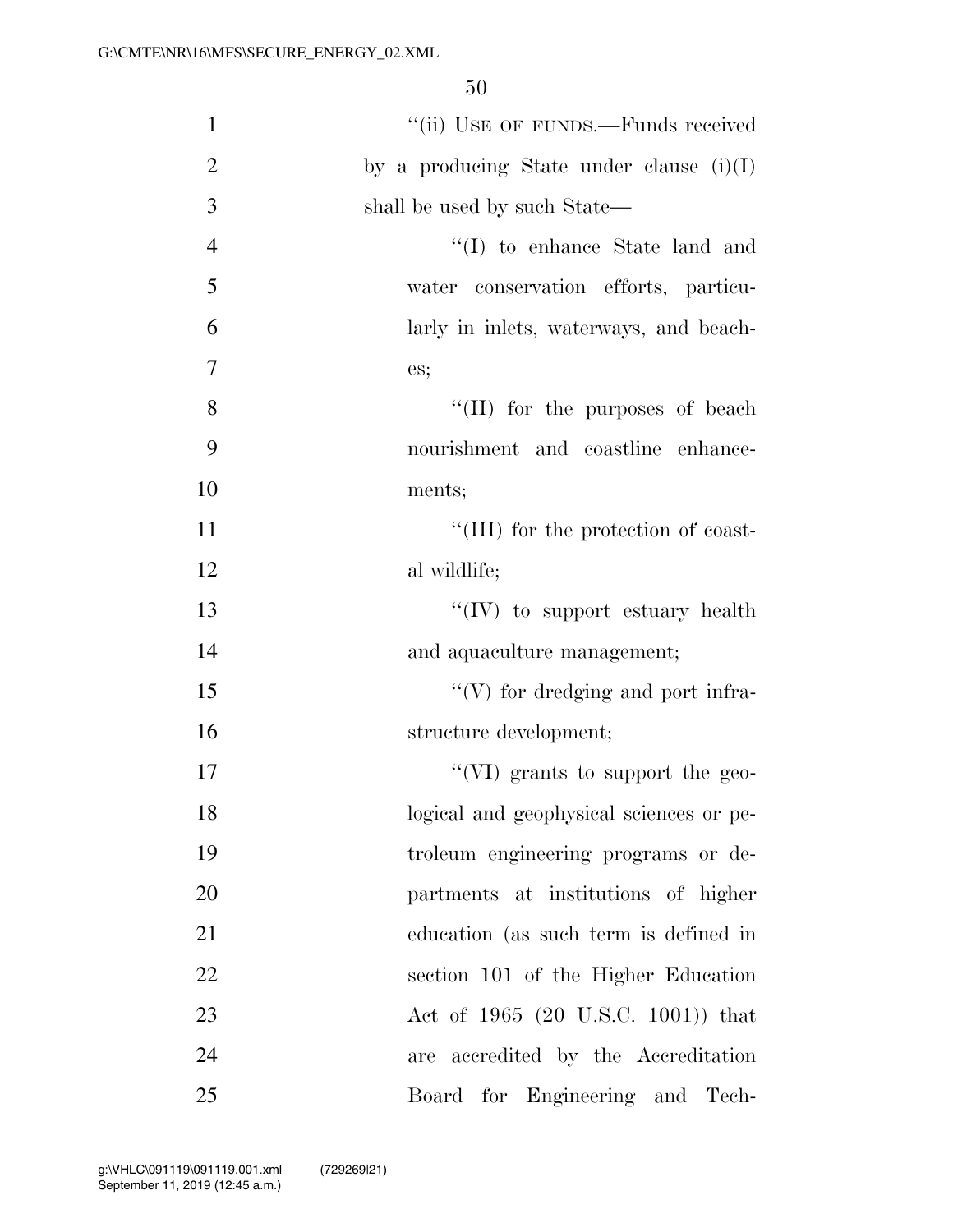| $\mathbf{1}$   | "(ii) USE OF FUNDS.—Funds received         |
|----------------|--------------------------------------------|
| $\overline{2}$ | by a producing State under clause $(i)(I)$ |
| 3              | shall be used by such State—               |
| $\overline{4}$ | "(I) to enhance State land and             |
| 5              | water conservation efforts, particu-       |
| 6              | larly in inlets, waterways, and beach-     |
| $\overline{7}$ | es;                                        |
| 8              | $\lq\lq$ (II) for the purposes of beach    |
| 9              | nourishment and coastline enhance-         |
| 10             | ments;                                     |
| 11             | "(III) for the protection of coast-        |
| 12             | al wildlife;                               |
| 13             | $\lq\lq (IV)$ to support estuary health    |
| 14             | and aquaculture management;                |
| 15             | $\lq\lq(V)$ for dredging and port infra-   |
| 16             | structure development;                     |
| 17             | "(VI) grants to support the geo-           |
| 18             | logical and geophysical sciences or pe-    |
| 19             | troleum engineering programs or de-        |
| 20             | partments at institutions of higher        |
| 21             | education (as such term is defined in      |
| 22             | section 101 of the Higher Education        |
| 23             | Act of 1965 (20 U.S.C. 1001)) that         |
| 24             | accredited by the Accreditation<br>are     |
| 25             | Board for Engineering and Tech-            |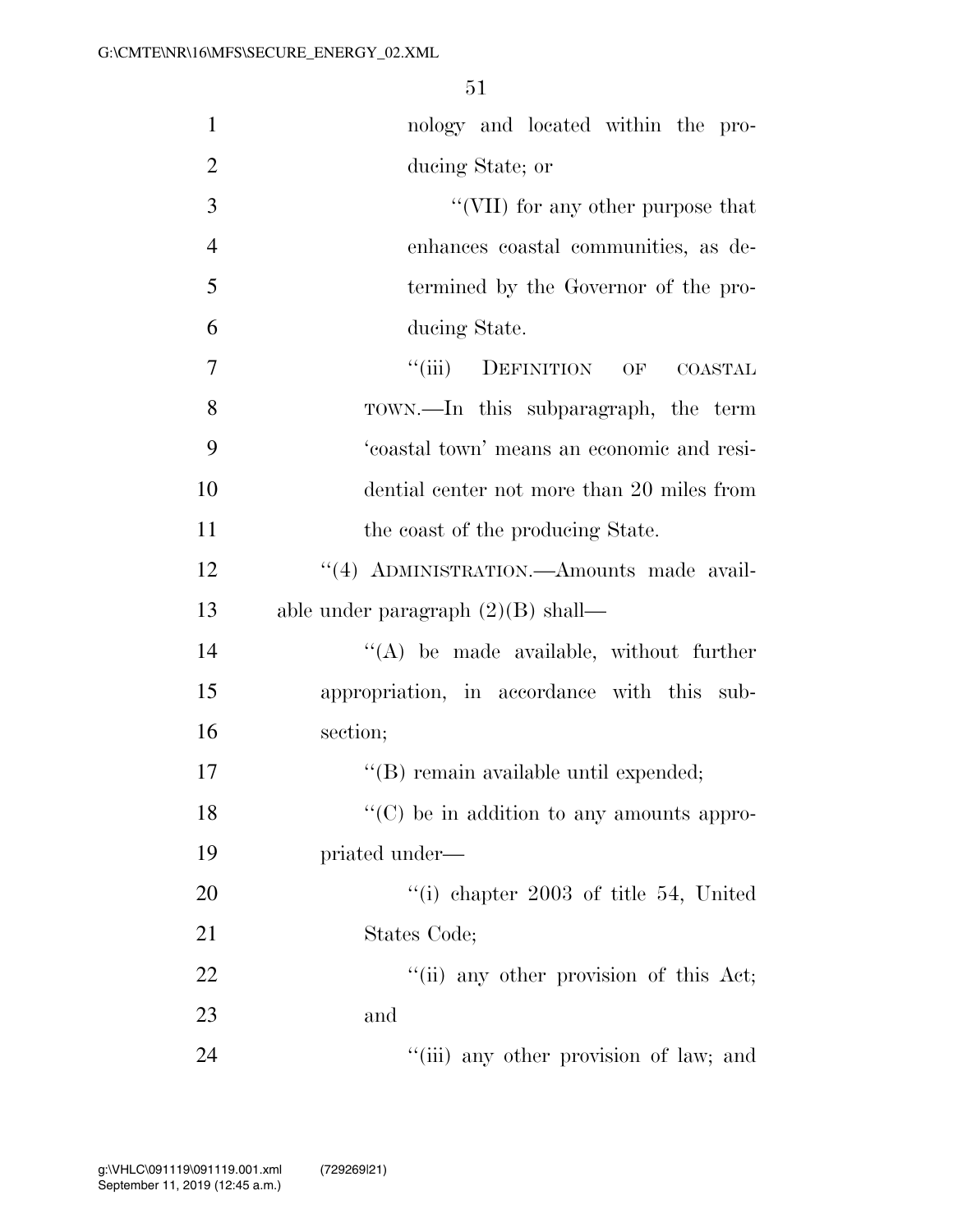| $\mathbf{1}$   | nology and located within the pro-                |
|----------------|---------------------------------------------------|
| $\overline{2}$ | ducing State; or                                  |
| 3              | "(VII) for any other purpose that                 |
| $\overline{4}$ | enhances coastal communities, as de-              |
| 5              | termined by the Governor of the pro-              |
| 6              | ducing State.                                     |
| 7              | ``(iii)<br>DEFINITION OF COASTAL                  |
| 8              | TOWN.—In this subparagraph, the term              |
| 9              | 'coastal town' means an economic and resi-        |
| 10             | dential center not more than 20 miles from        |
| 11             | the coast of the producing State.                 |
| 12             | "(4) ADMINISTRATION.—Amounts made avail-          |
| 13             | able under paragraph $(2)(B)$ shall—              |
| 14             | "(A) be made available, without further           |
| 15             | appropriation, in accordance with this sub-       |
| 16             | section;                                          |
| 17             | "(B) remain available until expended;             |
| 18             | $\lq\lq$ (C) be in addition to any amounts appro- |
| 19             | priated under—                                    |
| 20             | "(i) chapter $2003$ of title 54, United           |
| 21             | States Code;                                      |
| 22             | "(ii) any other provision of this Act;            |
| 23             | and                                               |
| 24             | "(iii) any other provision of law; and            |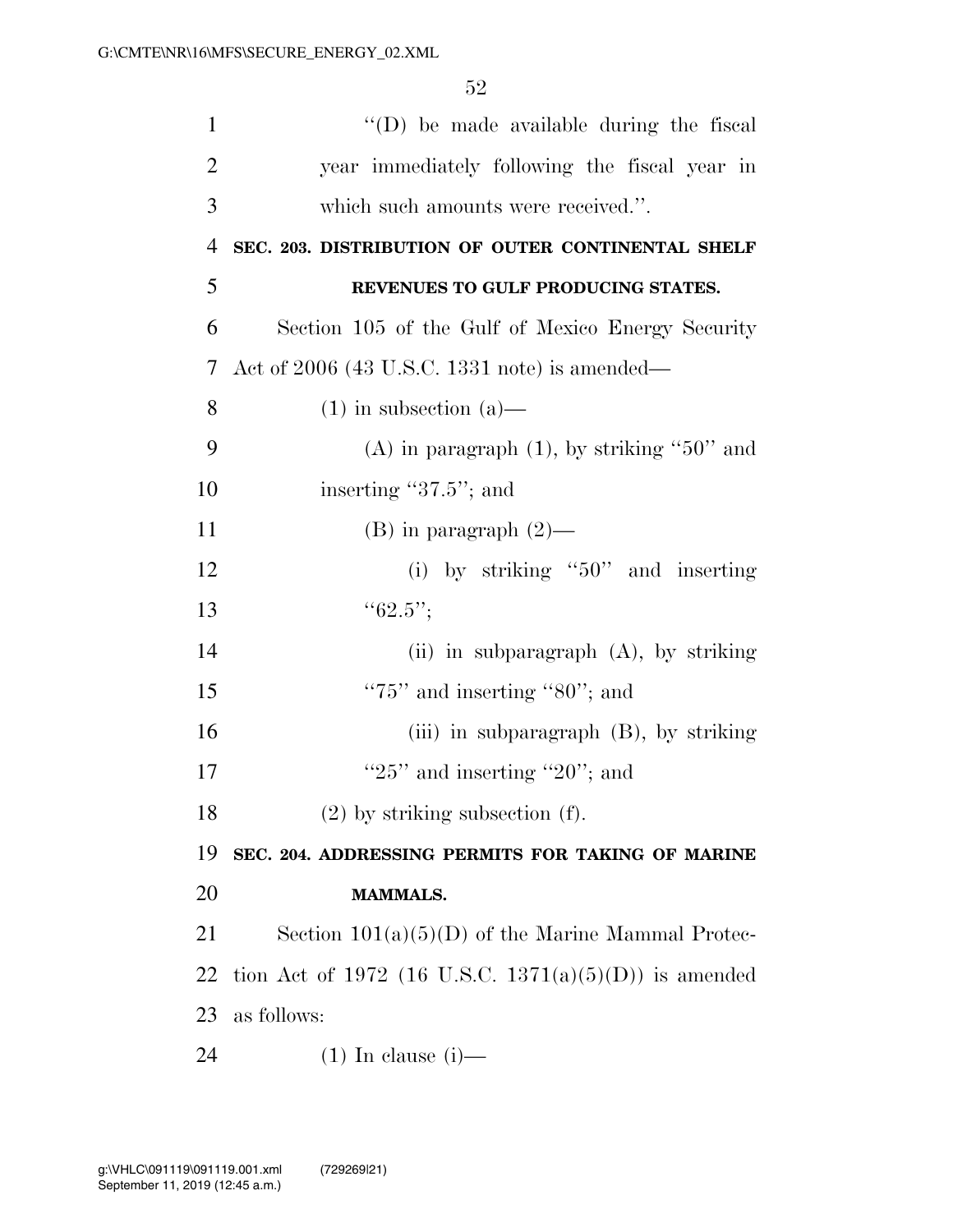| $\mathbf{1}$   | "(D) be made available during the fiscal              |
|----------------|-------------------------------------------------------|
| $\overline{2}$ | year immediately following the fiscal year in         |
| 3              | which such amounts were received.".                   |
| 4              | SEC. 203. DISTRIBUTION OF OUTER CONTINENTAL SHELF     |
| 5              | REVENUES TO GULF PRODUCING STATES.                    |
| 6              | Section 105 of the Gulf of Mexico Energy Security     |
| 7              | Act of $2006$ (43 U.S.C. 1331 note) is amended—       |
| 8              | $(1)$ in subsection $(a)$ —                           |
| 9              | (A) in paragraph $(1)$ , by striking "50" and         |
| 10             | inserting "37.5"; and                                 |
| 11             | (B) in paragraph $(2)$ —                              |
| 12             | (i) by striking " $50$ " and inserting                |
| 13             | ``62.5";                                              |
| 14             | (ii) in subparagraph $(A)$ , by striking              |
| 15             | " $75$ " and inserting " $80$ "; and                  |
| 16             | (iii) in subparagraph $(B)$ , by striking             |
| 17             | " $25$ " and inserting " $20$ "; and                  |
| 18             | $(2)$ by striking subsection $(f)$ .                  |
| 19             | SEC. 204. ADDRESSING PERMITS FOR TAKING OF MARINE     |
| 20             | <b>MAMMALS.</b>                                       |
| 21             | Section $101(a)(5)(D)$ of the Marine Mammal Protec-   |
| 22             | tion Act of 1972 (16 U.S.C. 1371(a)(5)(D)) is amended |
| 23             | as follows:                                           |
| 24             | $(1)$ In clause $(i)$ —                               |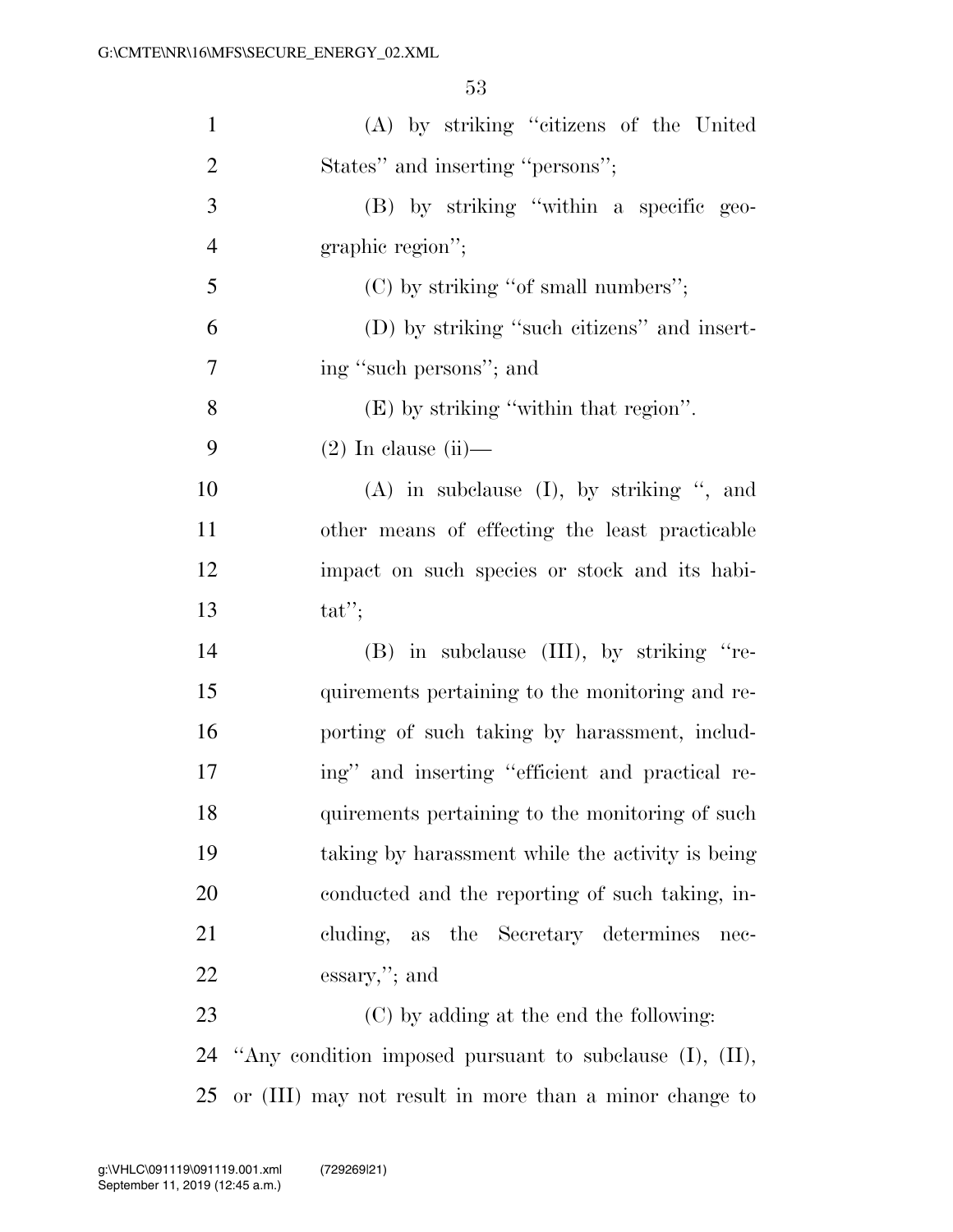| $\mathbf{1}$   | (A) by striking "citizens of the United          |
|----------------|--------------------------------------------------|
| $\overline{2}$ | States" and inserting "persons";                 |
| 3              | (B) by striking "within a specific geo-          |
| $\overline{4}$ | graphic region";                                 |
| 5              | (C) by striking "of small numbers";              |
| 6              | (D) by striking "such citizens" and insert-      |
| 7              | ing "such persons"; and                          |
| 8              | $(E)$ by striking "within that region".          |
| 9              | $(2)$ In clause $(ii)$ —                         |
| 10             | $(A)$ in subclause $(I)$ , by striking ", and    |
| 11             | other means of effecting the least practicable   |
| 12             | impact on such species or stock and its habi-    |
| 13             | $tat$ ";                                         |
| 14             | (B) in subclause (III), by striking "re-         |
| 15             | quirements pertaining to the monitoring and re-  |
| 16             | porting of such taking by harassment, includ-    |
| 17             | ing" and inserting "efficient and practical re-  |
| 18             | quirements pertaining to the monitoring of such  |
| 19             | taking by harassment while the activity is being |
| 20             | conducted and the reporting of such taking, in-  |
| 21             | cluding, as the Secretary determines<br>nec-     |
| <u>22</u>      | $\operatorname{essary},$ "; and                  |
| 23             | (C) by adding at the end the following:          |
| 24             |                                                  |

or (III) may not result in more than a minor change to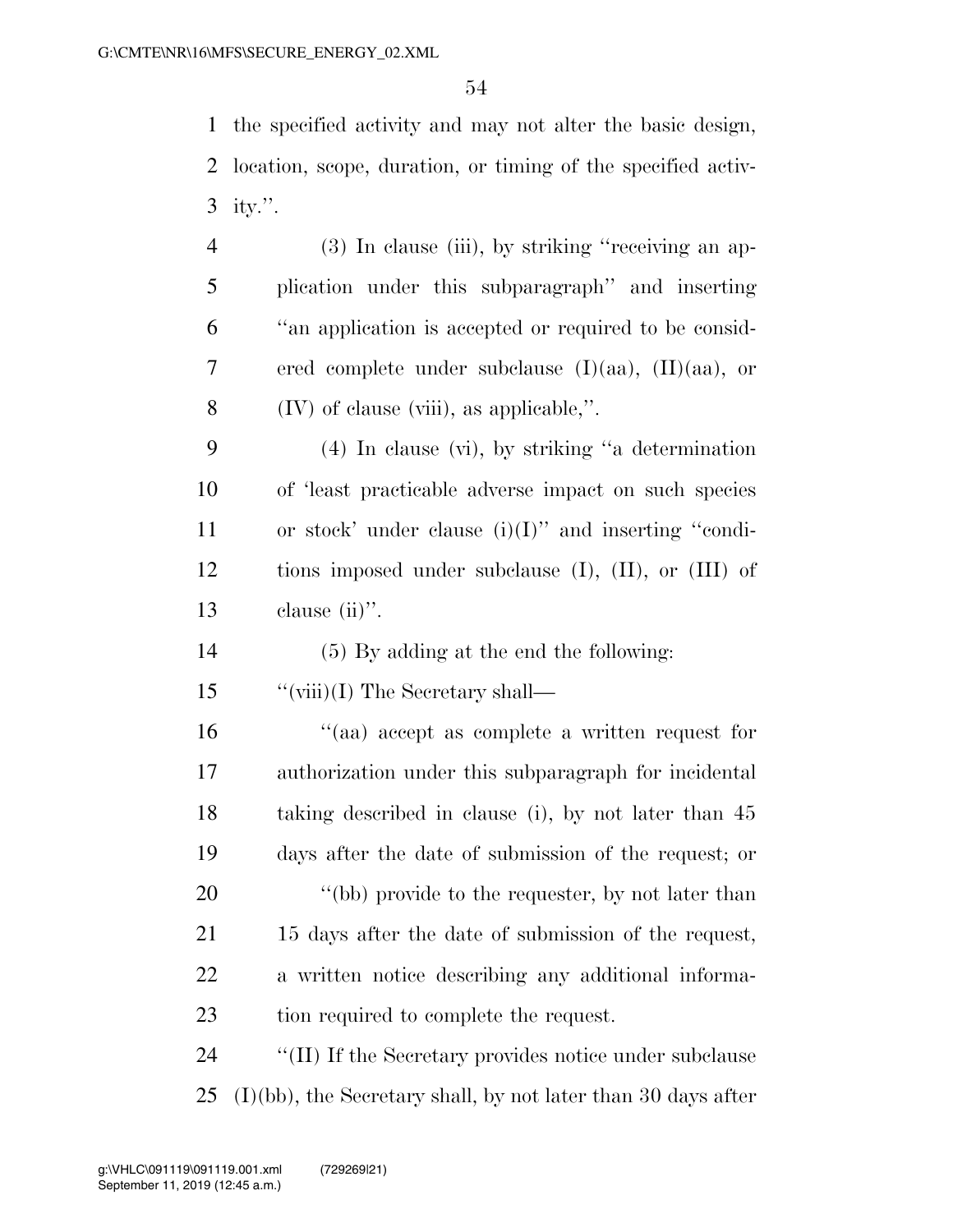the specified activity and may not alter the basic design, location, scope, duration, or timing of the specified activ-ity.''.

- (3) In clause (iii), by striking ''receiving an ap- plication under this subparagraph'' and inserting ''an application is accepted or required to be consid- ered complete under subclause (I)(aa), (II)(aa), or (IV) of clause (viii), as applicable,''.
- (4) In clause (vi), by striking ''a determination of 'least practicable adverse impact on such species or stock' under clause (i)(I)'' and inserting ''condi- tions imposed under subclause (I), (II), or (III) of 13 clause (ii)".
- (5) By adding at the end the following:
- 15 "(viii)(I) The Secretary shall—
- ''(aa) accept as complete a written request for authorization under this subparagraph for incidental taking described in clause (i), by not later than 45 days after the date of submission of the request; or 20 "(bb) provide to the requester, by not later than 15 days after the date of submission of the request, a written notice describing any additional informa-tion required to complete the request.
- 24  $\cdot$  "(II) If the Secretary provides notice under subclause (I)(bb), the Secretary shall, by not later than 30 days after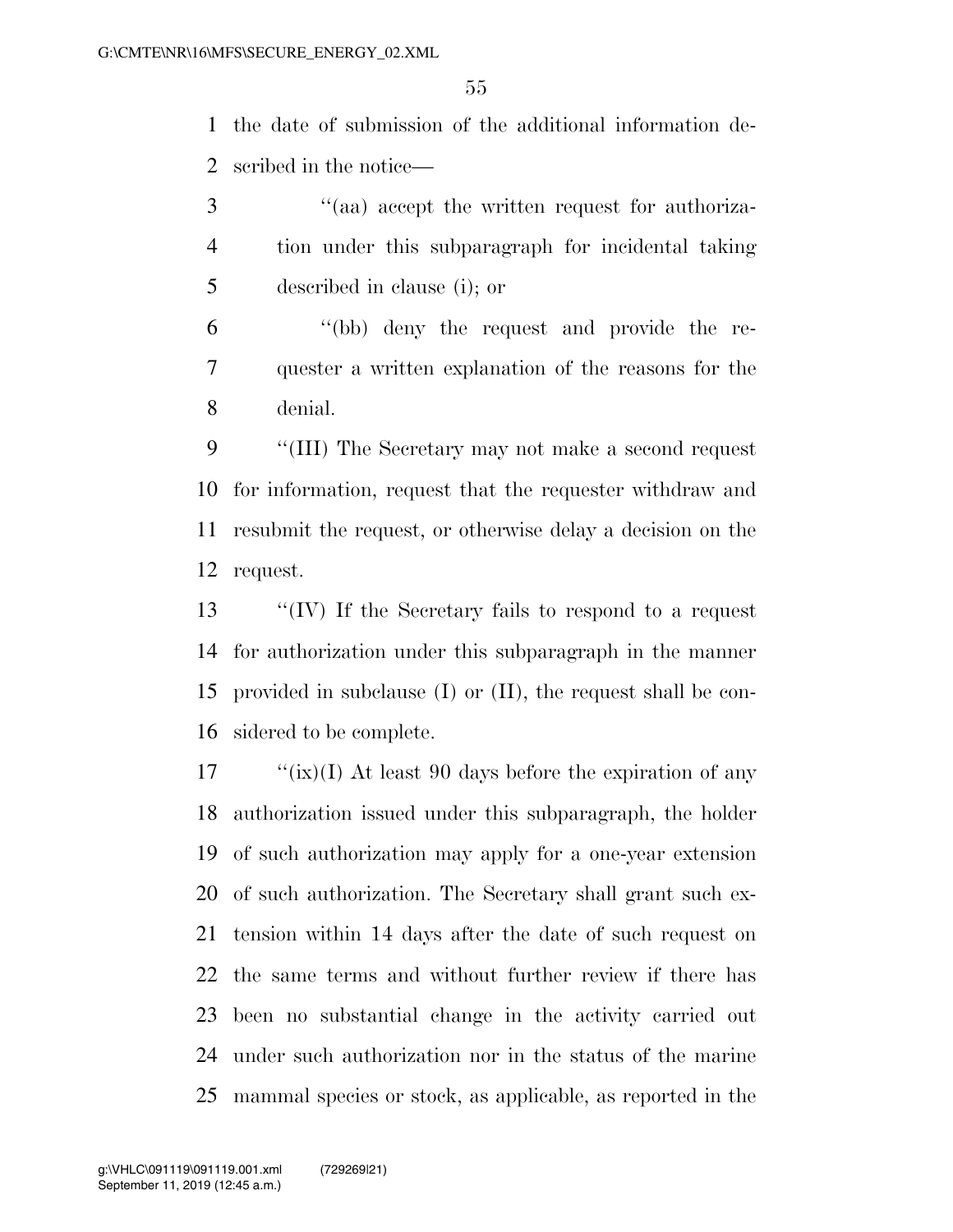the date of submission of the additional information de-scribed in the notice—

 ''(aa) accept the written request for authoriza- tion under this subparagraph for incidental taking described in clause (i); or

 ''(bb) deny the request and provide the re- quester a written explanation of the reasons for the denial.

 ''(III) The Secretary may not make a second request for information, request that the requester withdraw and resubmit the request, or otherwise delay a decision on the request.

 ''(IV) If the Secretary fails to respond to a request for authorization under this subparagraph in the manner provided in subclause (I) or (II), the request shall be con-sidered to be complete.

 ''(ix)(I) At least 90 days before the expiration of any authorization issued under this subparagraph, the holder of such authorization may apply for a one-year extension of such authorization. The Secretary shall grant such ex- tension within 14 days after the date of such request on the same terms and without further review if there has been no substantial change in the activity carried out under such authorization nor in the status of the marine mammal species or stock, as applicable, as reported in the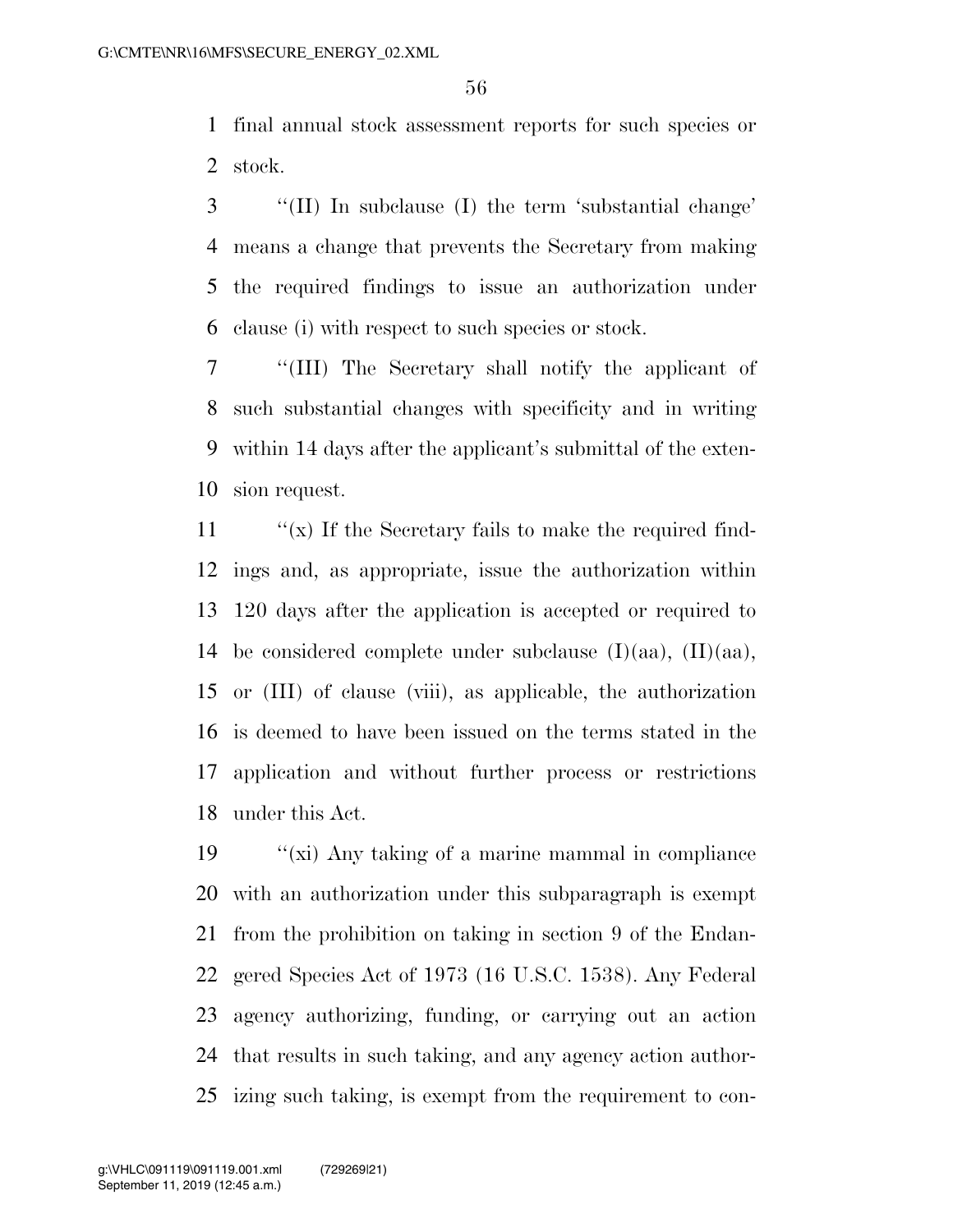final annual stock assessment reports for such species or stock.

 ''(II) In subclause (I) the term 'substantial change' means a change that prevents the Secretary from making the required findings to issue an authorization under clause (i) with respect to such species or stock.

 ''(III) The Secretary shall notify the applicant of such substantial changes with specificity and in writing within 14 days after the applicant's submittal of the exten-sion request.

 $\langle x \rangle$  If the Secretary fails to make the required find- ings and, as appropriate, issue the authorization within 120 days after the application is accepted or required to 14 be considered complete under subclause  $(I)(aa)$ ,  $(II)(aa)$ , or (III) of clause (viii), as applicable, the authorization is deemed to have been issued on the terms stated in the application and without further process or restrictions under this Act.

 $\frac{1}{2}$   $\frac{1}{2}$   $\frac{1}{2}$  Any taking of a marine mammal in compliance with an authorization under this subparagraph is exempt from the prohibition on taking in section 9 of the Endan- gered Species Act of 1973 (16 U.S.C. 1538). Any Federal agency authorizing, funding, or carrying out an action that results in such taking, and any agency action author-izing such taking, is exempt from the requirement to con-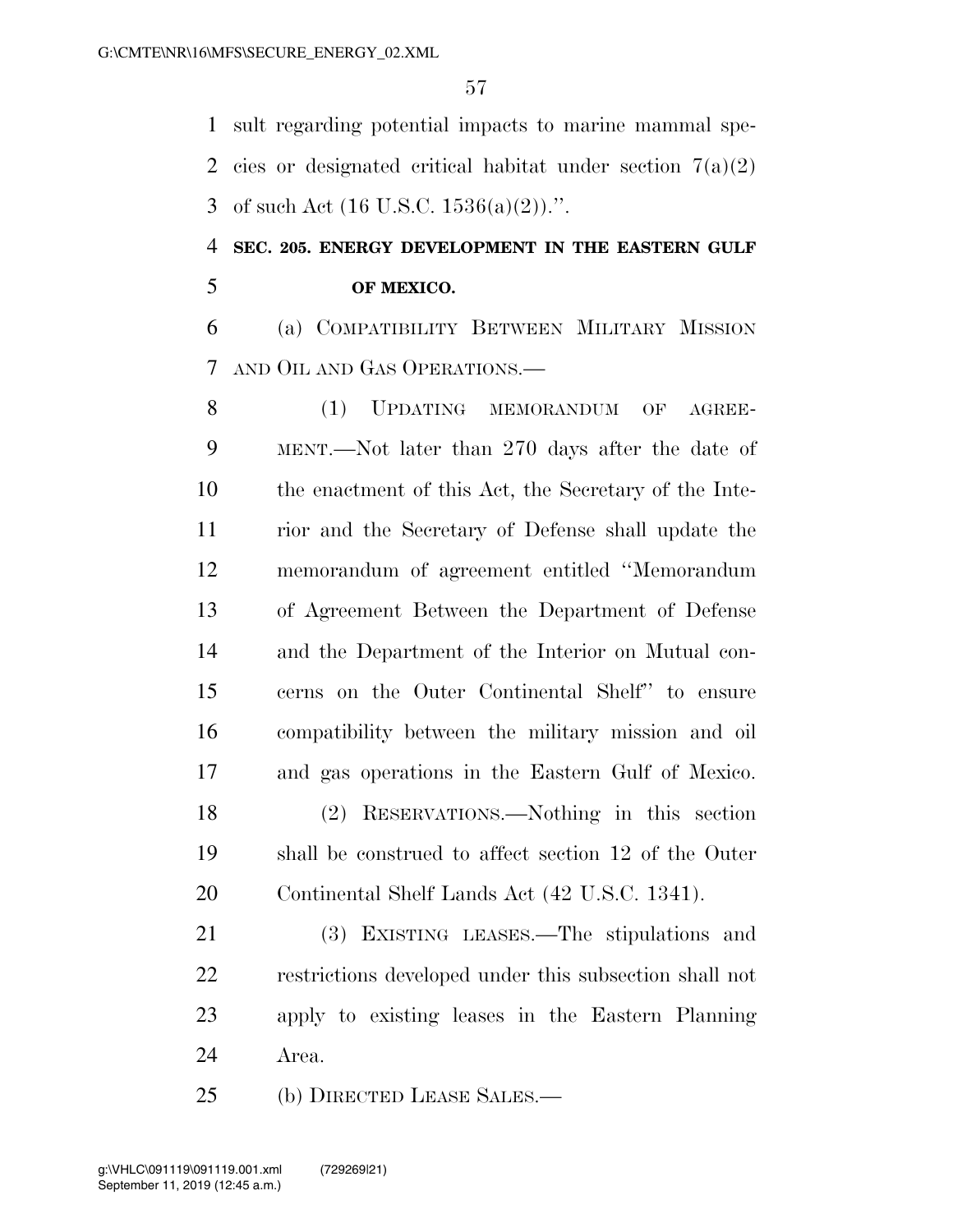sult regarding potential impacts to marine mammal spe-2 cies or designated critical habitat under section  $7(a)(2)$ 3 of such Act  $(16 \text{ U.S.C. } 1536(a)(2))$ .".

### **SEC. 205. ENERGY DEVELOPMENT IN THE EASTERN GULF OF MEXICO.**

 (a) COMPATIBILITY BETWEEN MILITARY MISSION AND OIL AND GAS OPERATIONS.—

 (1) UPDATING MEMORANDUM OF AGREE- MENT.—Not later than 270 days after the date of the enactment of this Act, the Secretary of the Inte- rior and the Secretary of Defense shall update the memorandum of agreement entitled ''Memorandum of Agreement Between the Department of Defense and the Department of the Interior on Mutual con- cerns on the Outer Continental Shelf'' to ensure compatibility between the military mission and oil and gas operations in the Eastern Gulf of Mexico. (2) RESERVATIONS.—Nothing in this section shall be construed to affect section 12 of the Outer Continental Shelf Lands Act (42 U.S.C. 1341).

 (3) EXISTING LEASES.—The stipulations and restrictions developed under this subsection shall not apply to existing leases in the Eastern Planning Area.

(b) DIRECTED LEASE SALES.—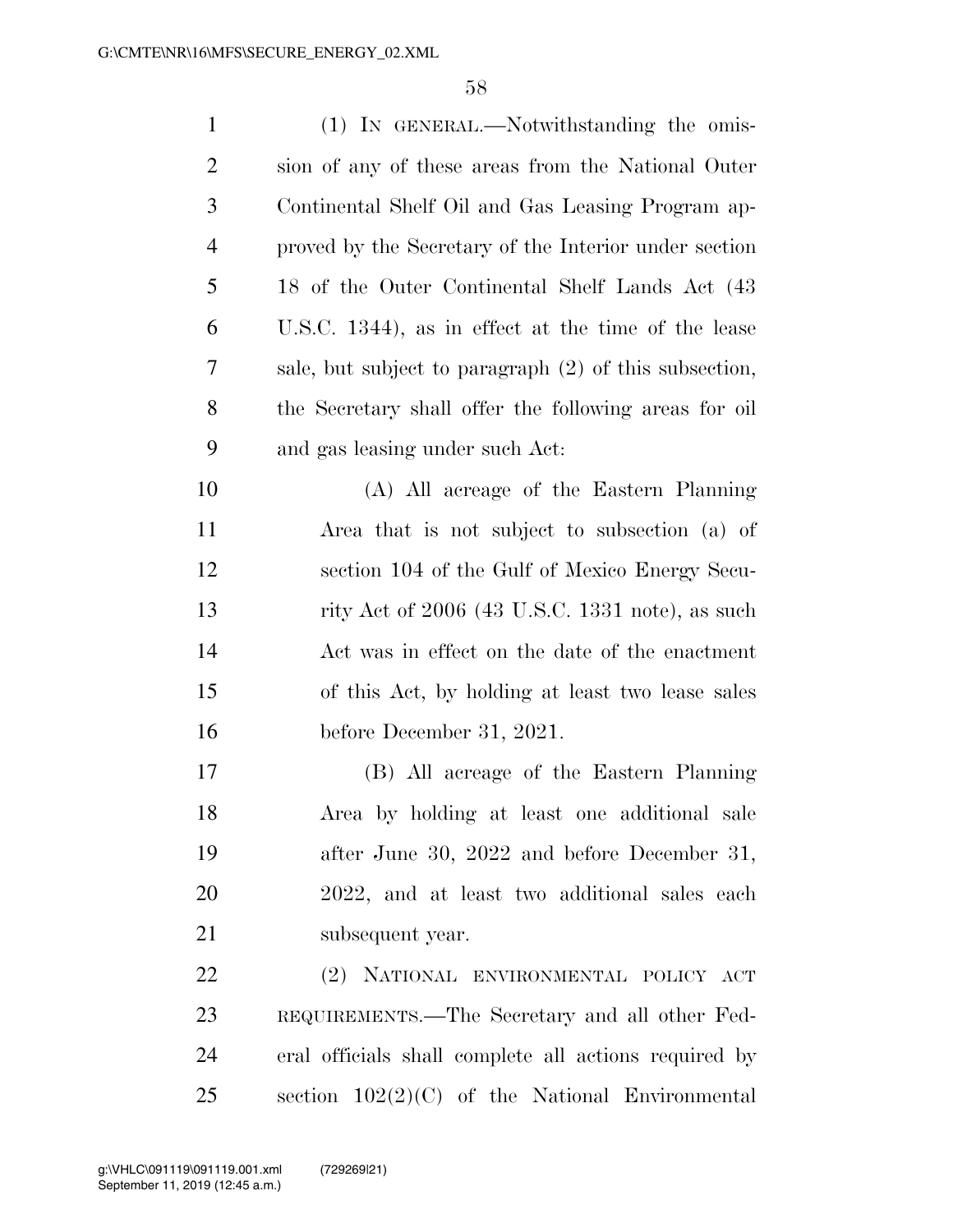| $\mathbf{1}$   | (1) IN GENERAL.—Notwithstanding the omis-              |
|----------------|--------------------------------------------------------|
| $\overline{2}$ | sion of any of these areas from the National Outer     |
| 3              | Continental Shelf Oil and Gas Leasing Program ap-      |
| $\overline{4}$ | proved by the Secretary of the Interior under section  |
| 5              | 18 of the Outer Continental Shelf Lands Act (43)       |
| 6              | U.S.C. 1344), as in effect at the time of the lease    |
| 7              | sale, but subject to paragraph (2) of this subsection, |
| 8              | the Secretary shall offer the following areas for oil  |
| 9              | and gas leasing under such Act:                        |
| 10             | (A) All acreage of the Eastern Planning                |
| 11             | Area that is not subject to subsection (a) of          |
| 12             | section 104 of the Gulf of Mexico Energy Secu-         |
| 13             | rity Act of $2006$ (43 U.S.C. 1331 note), as such      |
| 14             | Act was in effect on the date of the enactment         |
| 15             | of this Act, by holding at least two lease sales       |
| 16             | before December 31, 2021.                              |
| 17             | (B) All acreage of the Eastern Planning                |
| 18             | Area by holding at least one additional sale           |
| 19             | after June 30, 2022 and before December 31,            |
| 20             | 2022, and at least two additional sales each           |
| 21             | subsequent year.                                       |
| 22             | (2) NATIONAL ENVIRONMENTAL POLICY ACT                  |
| 23             | REQUIREMENTS.—The Secretary and all other Fed-         |
| 24             | eral officials shall complete all actions required by  |
| 25             | section $102(2)(C)$ of the National Environmental      |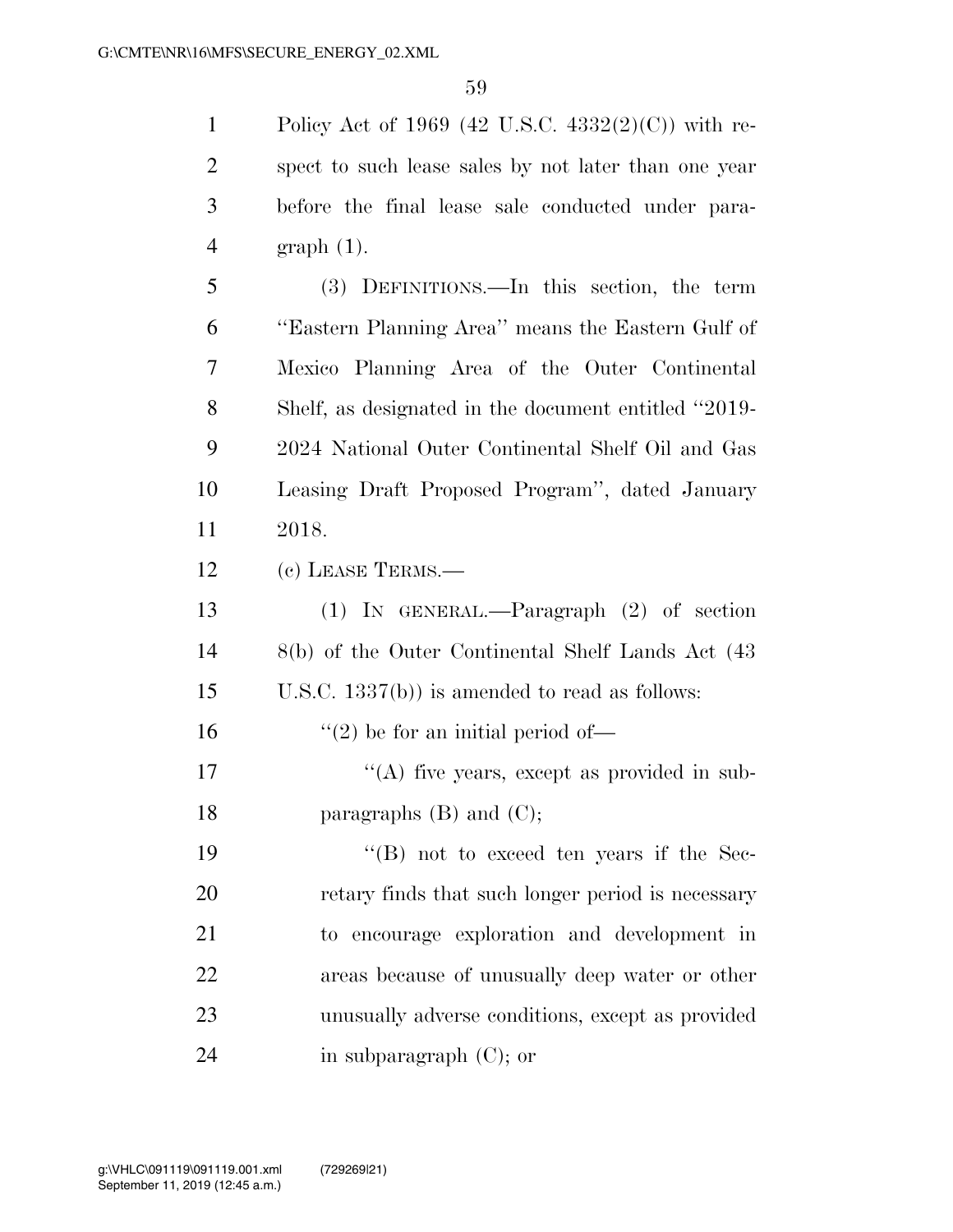Policy Act of 1969 (42 U.S.C. 4332(2)(C)) with re- spect to such lease sales by not later than one year before the final lease sale conducted under para- graph (1). (3) DEFINITIONS.—In this section, the term

 ''Eastern Planning Area'' means the Eastern Gulf of Mexico Planning Area of the Outer Continental Shelf, as designated in the document entitled ''2019- 2024 National Outer Continental Shelf Oil and Gas Leasing Draft Proposed Program'', dated January 2018.

(c) LEASE TERMS.—

 (1) IN GENERAL.—Paragraph (2) of section 8(b) of the Outer Continental Shelf Lands Act (43 U.S.C. 1337(b)) is amended to read as follows:

16  $"(2)$  be for an initial period of  $-$ 

 "(A) five years, except as provided in sub-18 paragraphs  $(B)$  and  $(C)$ ;

 ''(B) not to exceed ten years if the Sec- retary finds that such longer period is necessary to encourage exploration and development in areas because of unusually deep water or other unusually adverse conditions, except as provided in subparagraph (C); or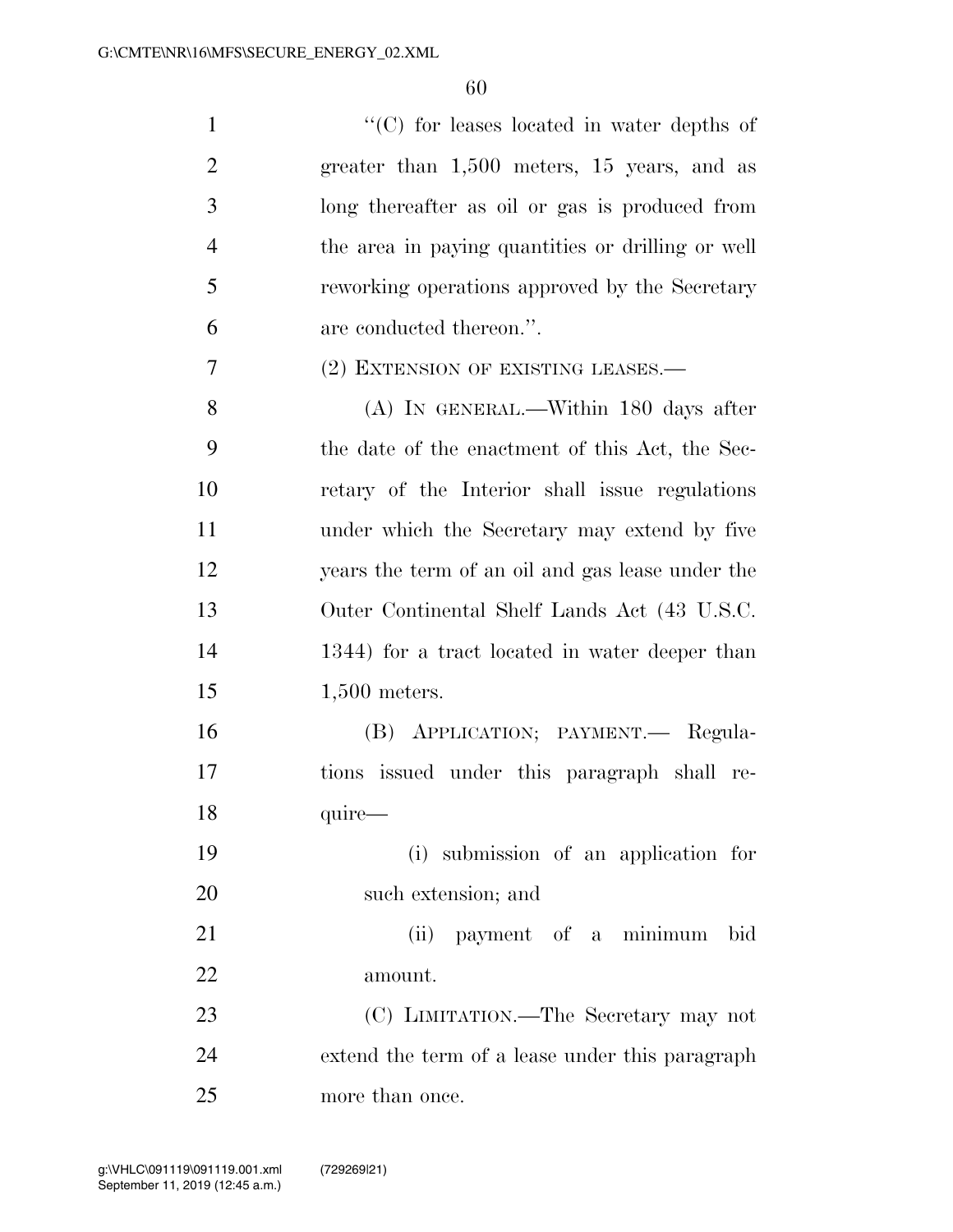| $\mathbf{1}$   | $\cdot$ (C) for leases located in water depths of |
|----------------|---------------------------------------------------|
| $\overline{2}$ | greater than $1,500$ meters, $15$ years, and as   |
| 3              | long thereafter as oil or gas is produced from    |
| $\overline{4}$ | the area in paying quantities or drilling or well |
| 5              | reworking operations approved by the Secretary    |
| 6              | are conducted thereon.".                          |
| 7              | (2) EXTENSION OF EXISTING LEASES.—                |
| 8              | (A) IN GENERAL.—Within 180 days after             |
| 9              | the date of the enactment of this Act, the Sec-   |
| 10             | retary of the Interior shall issue regulations    |
| 11             | under which the Secretary may extend by five      |
| 12             | years the term of an oil and gas lease under the  |
| 13             | Outer Continental Shelf Lands Act (43 U.S.C.      |
| 14             | 1344) for a tract located in water deeper than    |
| 15             | $1,500$ meters.                                   |
| 16             | (B) APPLICATION; PAYMENT. Regula-                 |
| 17             | tions issued under this paragraph shall re-       |
| 18             | quire-                                            |
| 19             | (i) submission of an application for              |
| 20             | such extension; and                               |
| 21             | (ii) payment of a minimum<br>bid                  |
| 22             | amount.                                           |
| 23             | (C) LIMITATION.—The Secretary may not             |
| 24             | extend the term of a lease under this paragraph   |

more than once.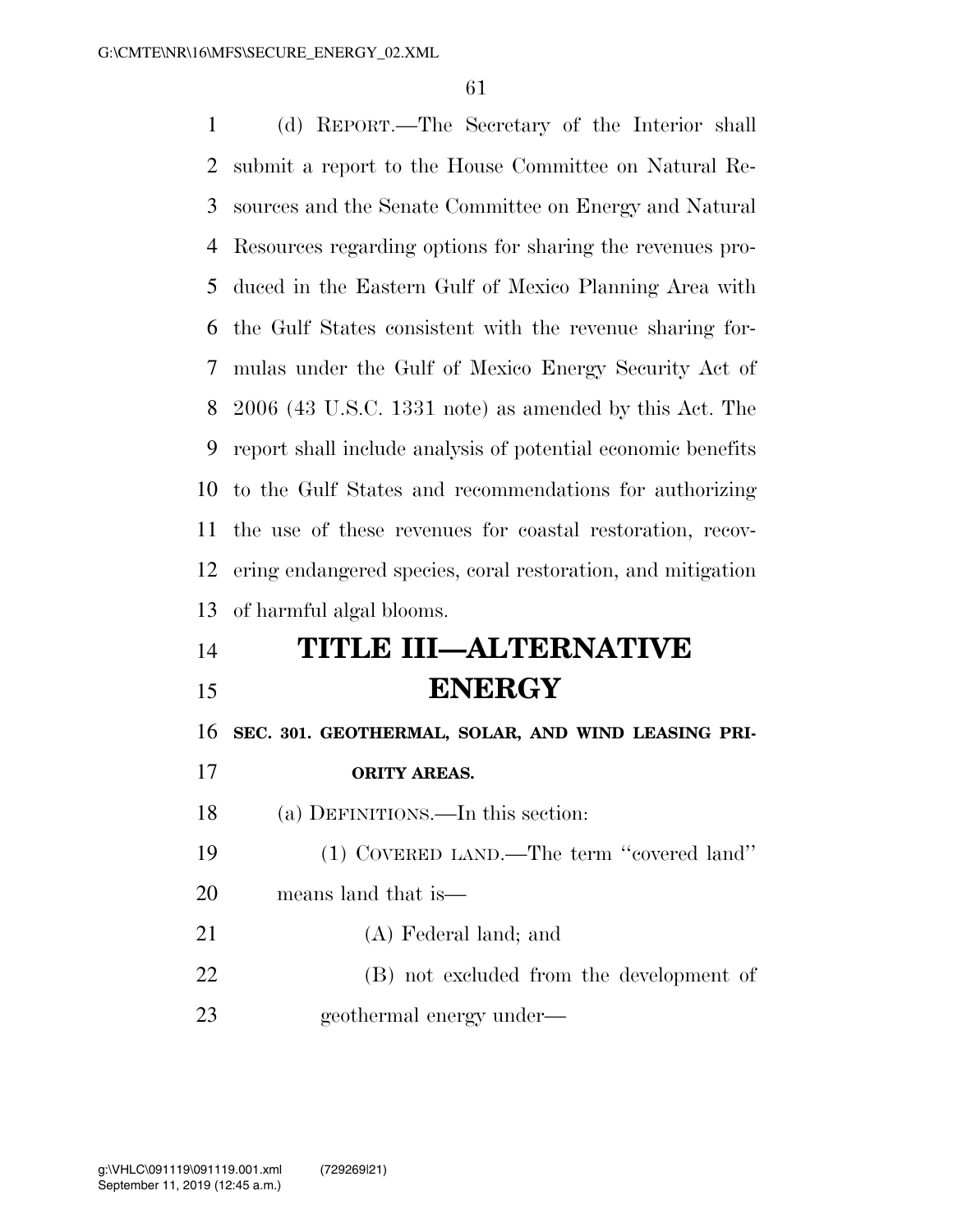(d) REPORT.—The Secretary of the Interior shall submit a report to the House Committee on Natural Re- sources and the Senate Committee on Energy and Natural Resources regarding options for sharing the revenues pro- duced in the Eastern Gulf of Mexico Planning Area with the Gulf States consistent with the revenue sharing for- mulas under the Gulf of Mexico Energy Security Act of 2006 (43 U.S.C. 1331 note) as amended by this Act. The report shall include analysis of potential economic benefits to the Gulf States and recommendations for authorizing the use of these revenues for coastal restoration, recov- ering endangered species, coral restoration, and mitigation of harmful algal blooms.

## **TITLE III—ALTERNATIVE ENERGY**

**SEC. 301. GEOTHERMAL, SOLAR, AND WIND LEASING PRI-**

- **ORITY AREAS.**
- (a) DEFINITIONS.—In this section:
- (1) COVERED LAND.—The term ''covered land''
- means land that is—
- (A) Federal land; and
- (B) not excluded from the development of geothermal energy under—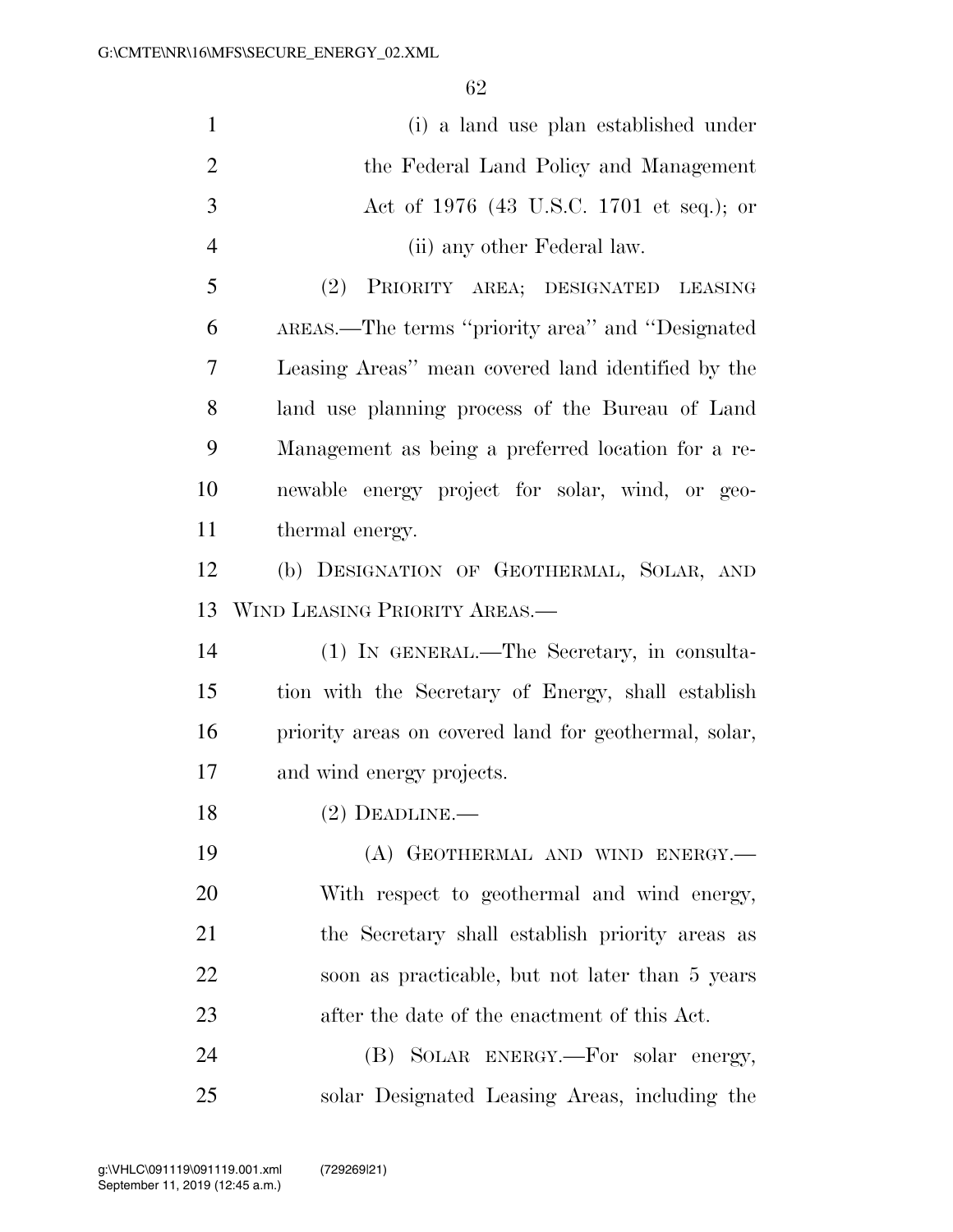| $\mathbf{1}$   | (i) a land use plan established under                 |
|----------------|-------------------------------------------------------|
| $\overline{2}$ | the Federal Land Policy and Management                |
| 3              | Act of 1976 (43 U.S.C. 1701 et seq.); or              |
| $\overline{4}$ | (ii) any other Federal law.                           |
| 5              | (2) PRIORITY AREA; DESIGNATED LEASING                 |
| 6              | AREAS.—The terms "priority area" and "Designated      |
| 7              | Leasing Areas" mean covered land identified by the    |
| 8              | land use planning process of the Bureau of Land       |
| 9              | Management as being a preferred location for a re-    |
| 10             | newable energy project for solar, wind, or geo-       |
| 11             | thermal energy.                                       |
| 12             | (b) DESIGNATION OF GEOTHERMAL, SOLAR, AND             |
| 13             | WIND LEASING PRIORITY AREAS.—                         |
| 14             | (1) IN GENERAL.—The Secretary, in consulta-           |
| 15             | tion with the Secretary of Energy, shall establish    |
| 16             | priority areas on covered land for geothermal, solar, |
| 17             | and wind energy projects.                             |
| 18             | $(2)$ DEADLINE.—                                      |
| 19             | (A) GEOTHERMAL AND WIND ENERGY.—                      |
| 20             | With respect to geothermal and wind energy,           |
| 21             | the Secretary shall establish priority areas as       |
| 22             | soon as practicable, but not later than 5 years       |
| 23             | after the date of the enactment of this Act.          |
| 24             | (B) SOLAR ENERGY.—For solar energy,                   |
| 25             | solar Designated Leasing Areas, including the         |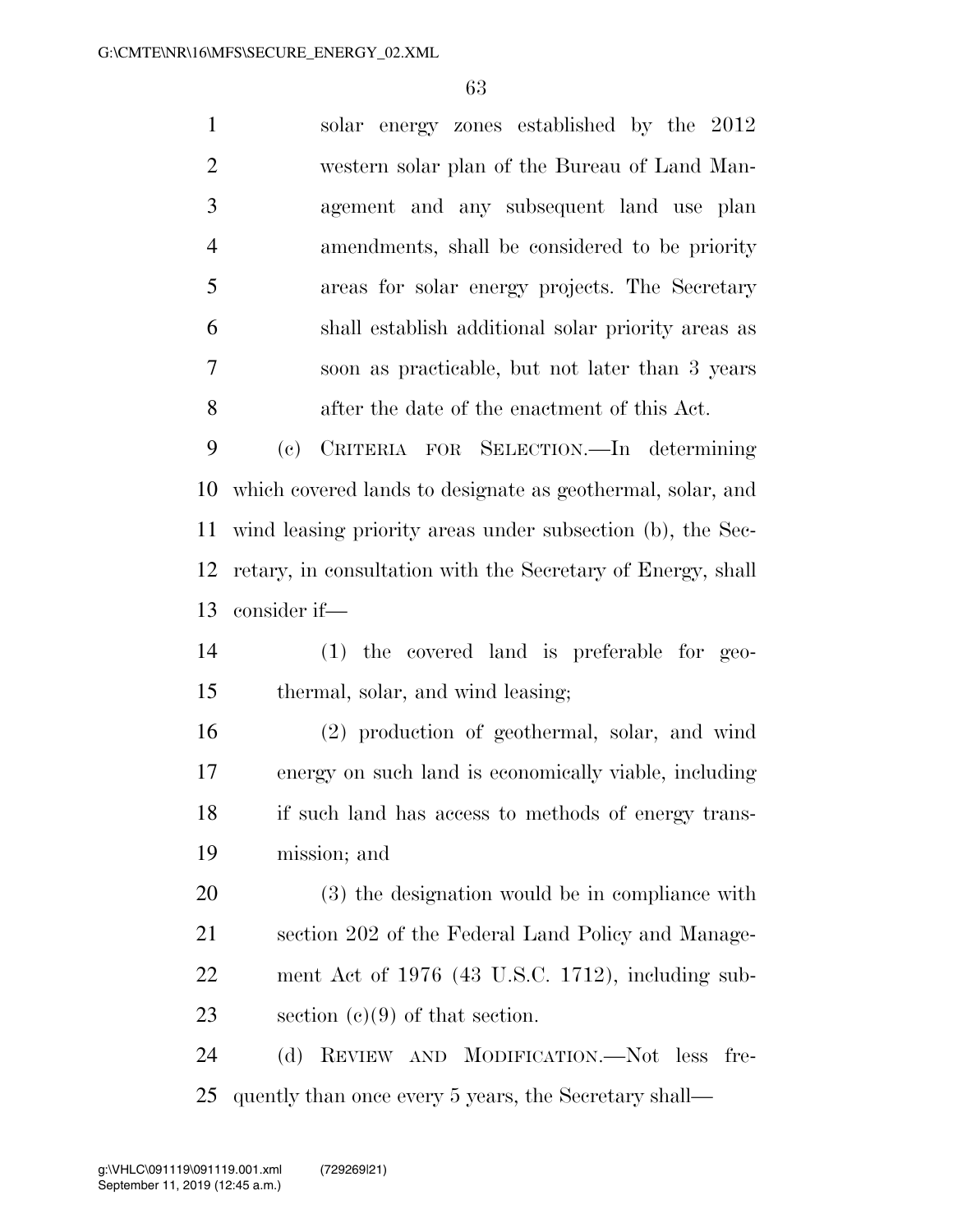solar energy zones established by the 2012 western solar plan of the Bureau of Land Man- agement and any subsequent land use plan amendments, shall be considered to be priority areas for solar energy projects. The Secretary shall establish additional solar priority areas as soon as practicable, but not later than 3 years after the date of the enactment of this Act. (c) CRITERIA FOR SELECTION.—In determining which covered lands to designate as geothermal, solar, and wind leasing priority areas under subsection (b), the Sec- retary, in consultation with the Secretary of Energy, shall consider if— (1) the covered land is preferable for geo- thermal, solar, and wind leasing; (2) production of geothermal, solar, and wind energy on such land is economically viable, including if such land has access to methods of energy trans- mission; and (3) the designation would be in compliance with section 202 of the Federal Land Policy and Manage-

 ment Act of 1976 (43 U.S.C. 1712), including sub-section (c)(9) of that section.

 (d) REVIEW AND MODIFICATION.—Not less fre-quently than once every 5 years, the Secretary shall—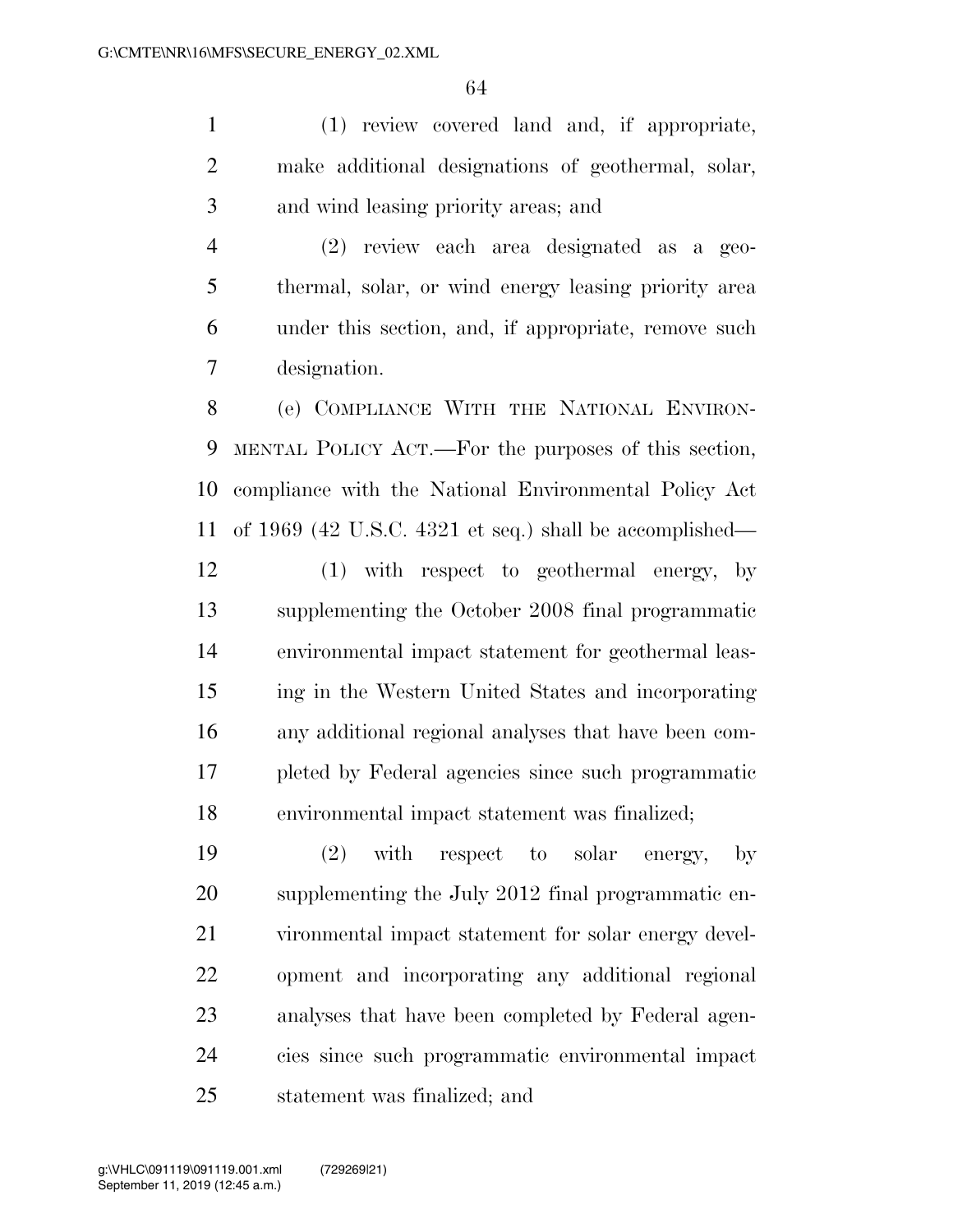(1) review covered land and, if appropriate, make additional designations of geothermal, solar, and wind leasing priority areas; and

 (2) review each area designated as a geo- thermal, solar, or wind energy leasing priority area under this section, and, if appropriate, remove such designation.

 (e) COMPLIANCE WITH THE NATIONAL ENVIRON- MENTAL POLICY ACT.—For the purposes of this section, compliance with the National Environmental Policy Act of 1969 (42 U.S.C. 4321 et seq.) shall be accomplished—

 (1) with respect to geothermal energy, by supplementing the October 2008 final programmatic environmental impact statement for geothermal leas- ing in the Western United States and incorporating any additional regional analyses that have been com- pleted by Federal agencies since such programmatic environmental impact statement was finalized;

 (2) with respect to solar energy, by supplementing the July 2012 final programmatic en- vironmental impact statement for solar energy devel- opment and incorporating any additional regional analyses that have been completed by Federal agen- cies since such programmatic environmental impact statement was finalized; and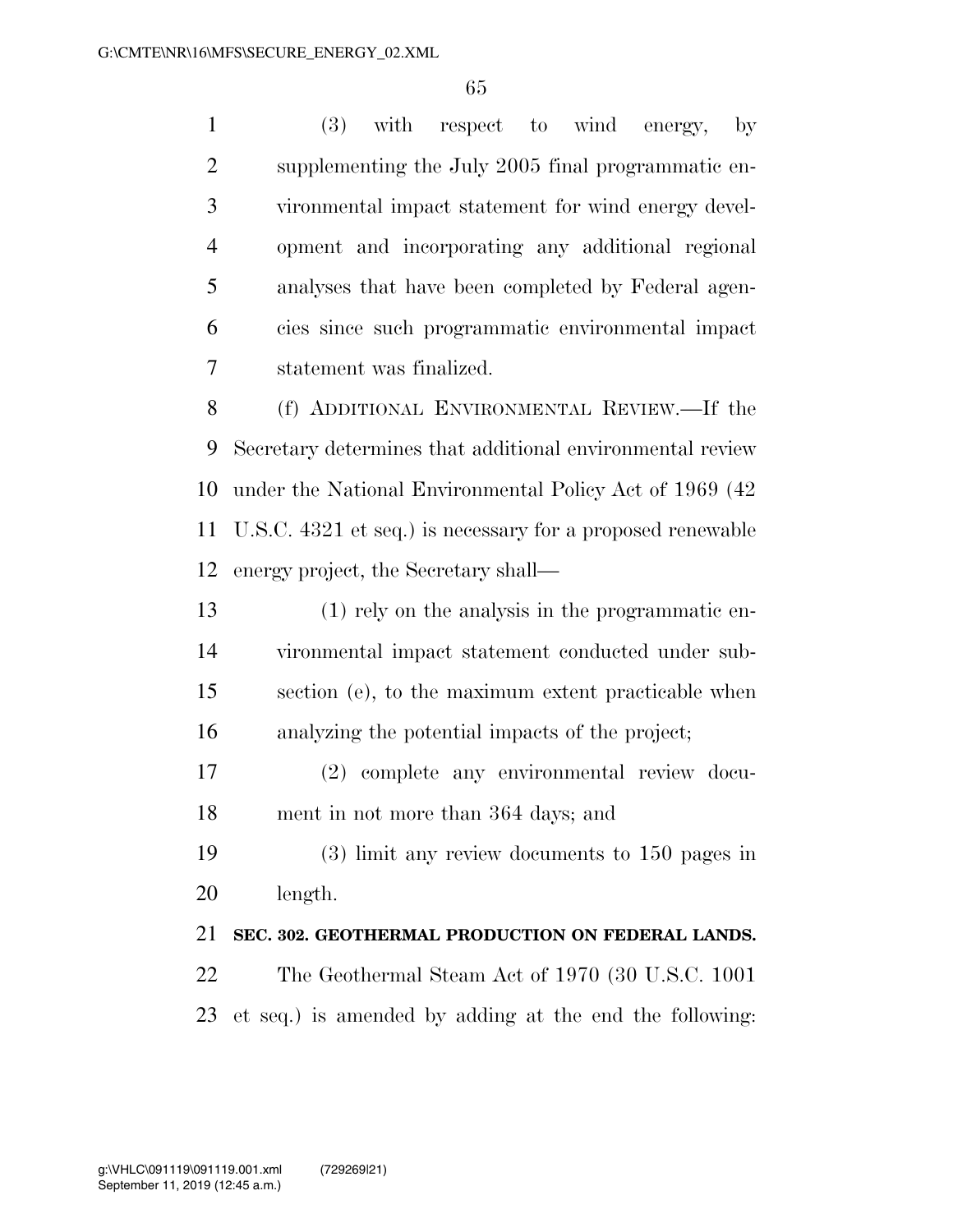(3) with respect to wind energy, by supplementing the July 2005 final programmatic en- vironmental impact statement for wind energy devel- opment and incorporating any additional regional analyses that have been completed by Federal agen- cies since such programmatic environmental impact statement was finalized.

 (f) ADDITIONAL ENVIRONMENTAL REVIEW.—If the Secretary determines that additional environmental review under the National Environmental Policy Act of 1969 (42 U.S.C. 4321 et seq.) is necessary for a proposed renewable energy project, the Secretary shall—

 (1) rely on the analysis in the programmatic en- vironmental impact statement conducted under sub- section (e), to the maximum extent practicable when analyzing the potential impacts of the project;

 (2) complete any environmental review docu-ment in not more than 364 days; and

 (3) limit any review documents to 150 pages in length.

#### **SEC. 302. GEOTHERMAL PRODUCTION ON FEDERAL LANDS.**

 The Geothermal Steam Act of 1970 (30 U.S.C. 1001 et seq.) is amended by adding at the end the following: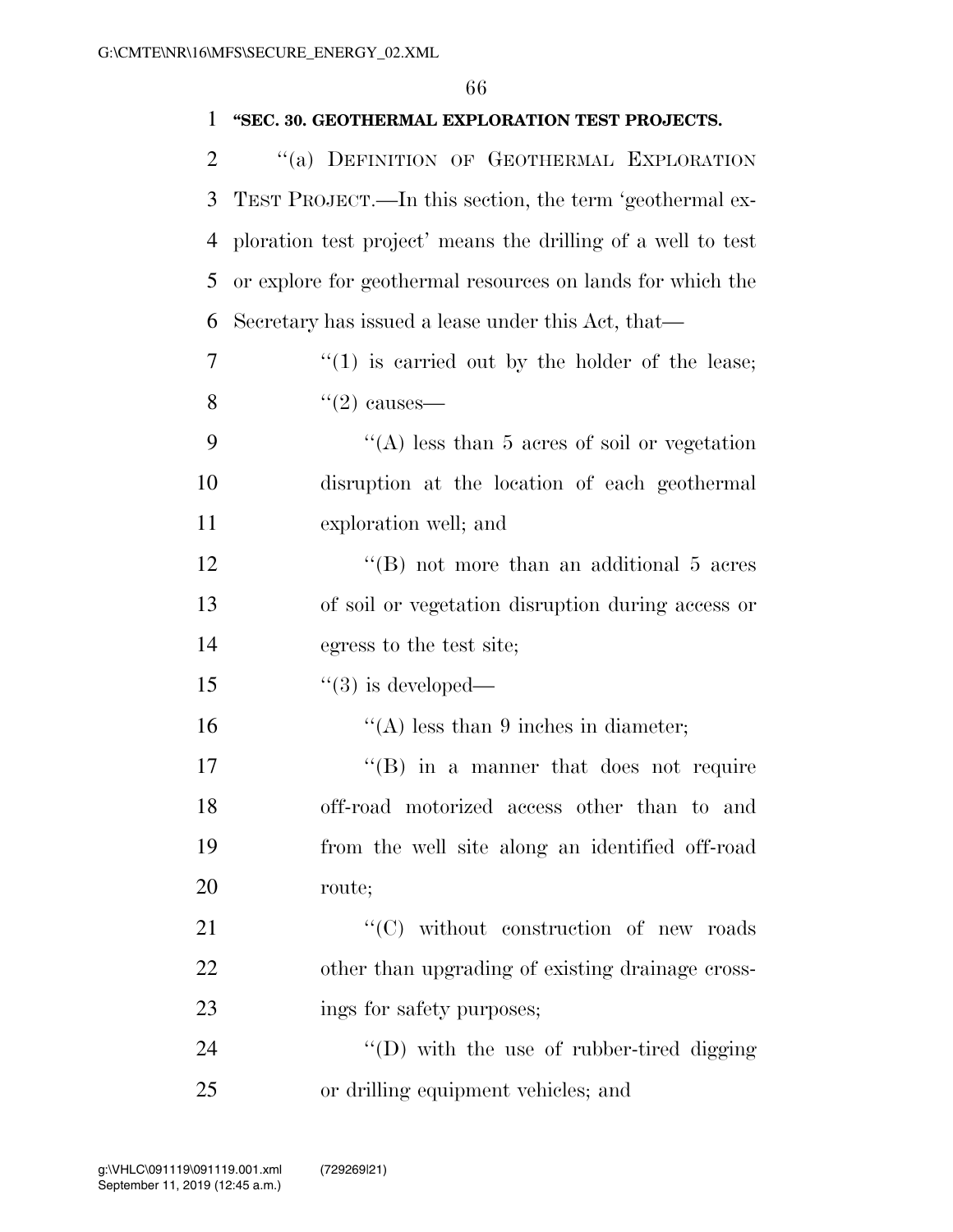| 1              | "SEC. 30. GEOTHERMAL EXPLORATION TEST PROJECTS.              |
|----------------|--------------------------------------------------------------|
| $\overline{2}$ | "(a) DEFINITION OF GEOTHERMAL EXPLORATION                    |
| 3              | TEST PROJECT.—In this section, the term 'geothermal ex-      |
| 4              | ploration test project' means the drilling of a well to test |
| 5              | or explore for geothermal resources on lands for which the   |
| 6              | Secretary has issued a lease under this Act, that—           |
| 7              | $f''(1)$ is carried out by the holder of the lease;          |
| 8              | $\lq(2)$ causes—                                             |
| 9              | "(A) less than 5 acres of soil or vegetation                 |
| 10             | disruption at the location of each geothermal                |
| 11             | exploration well; and                                        |
| 12             | "(B) not more than an additional 5 acres                     |
| 13             | of soil or vegetation disruption during access or            |
| 14             | egress to the test site;                                     |
| 15             | $\degree$ (3) is developed—                                  |
| 16             | "(A) less than 9 inches in diameter;                         |
| 17             | "(B) in a manner that does not require                       |
| 18             | off-road motorized access other than to and                  |
| 19             | from the well site along an identified off-road              |
| 20             | route;                                                       |
| 21             | "(C) without construction of new roads                       |
| 22             | other than upgrading of existing drainage cross-             |
| 23             | ings for safety purposes;                                    |
| 24             | "(D) with the use of rubber-tired digging                    |
| 25             | or drilling equipment vehicles; and                          |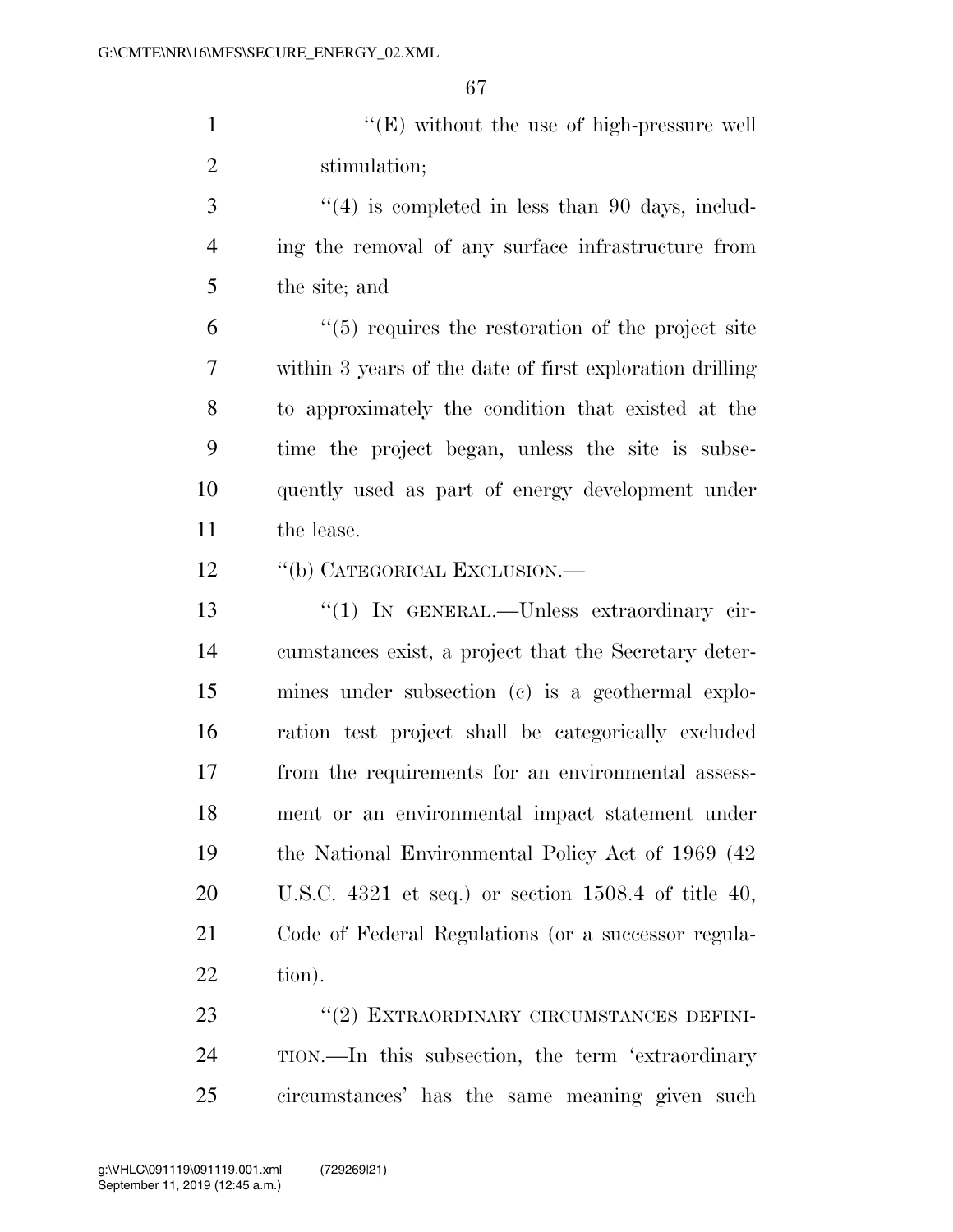1 ''(E) without the use of high-pressure well stimulation;

3 ''(4) is completed in less than 90 days, includ- ing the removal of any surface infrastructure from the site; and

 ''(5) requires the restoration of the project site within 3 years of the date of first exploration drilling to approximately the condition that existed at the time the project began, unless the site is subse- quently used as part of energy development under the lease.

12 "(b) CATEGORICAL EXCLUSION.—

13 "(1) IN GENERAL.—Unless extraordinary cir- cumstances exist, a project that the Secretary deter- mines under subsection (c) is a geothermal explo- ration test project shall be categorically excluded from the requirements for an environmental assess- ment or an environmental impact statement under the National Environmental Policy Act of 1969 (42 U.S.C. 4321 et seq.) or section 1508.4 of title 40, Code of Federal Regulations (or a successor regula-tion).

23 "(2) EXTRAORDINARY CIRCUMSTANCES DEFINI- TION.—In this subsection, the term 'extraordinary circumstances' has the same meaning given such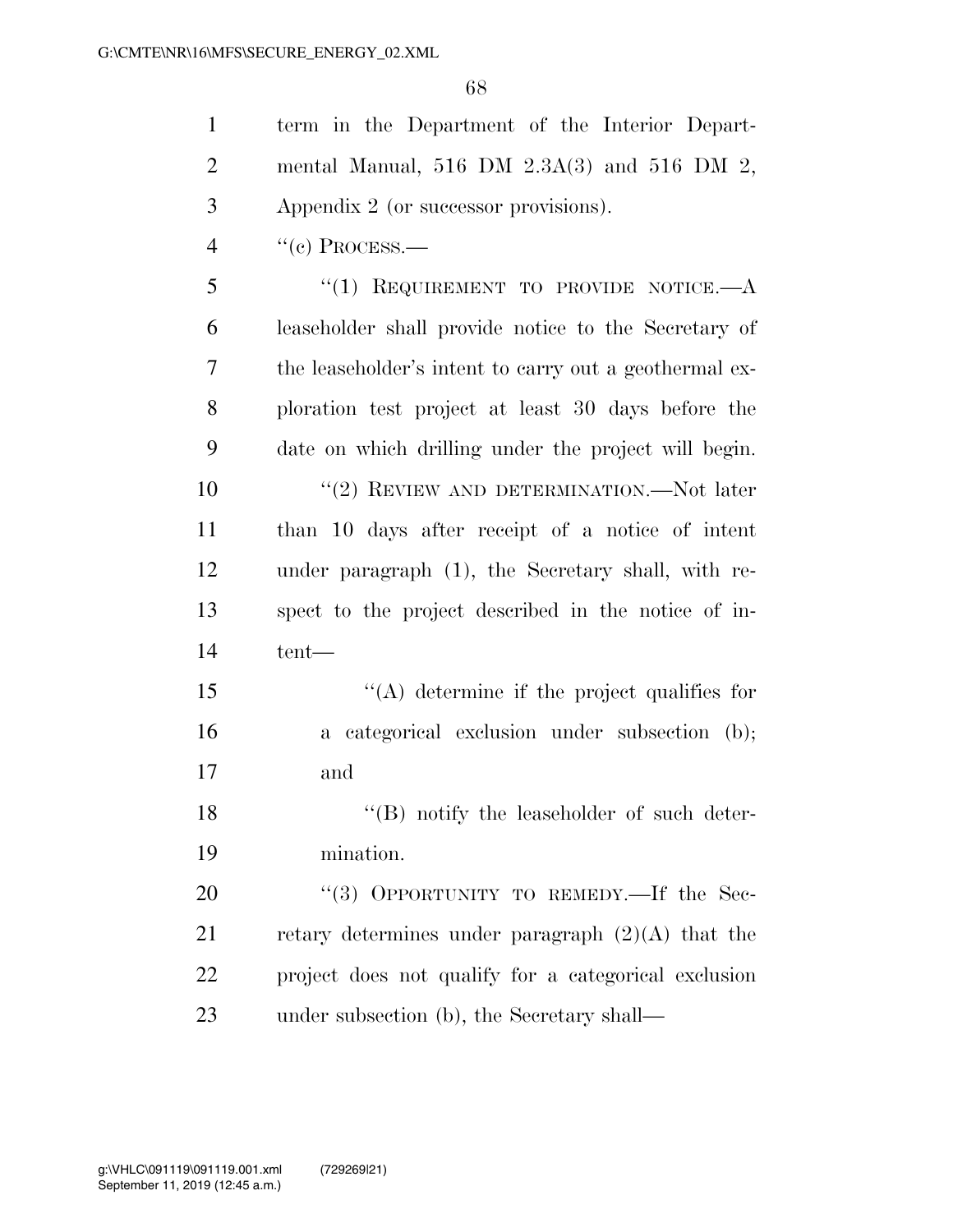term in the Department of the Interior Depart- mental Manual, 516 DM 2.3A(3) and 516 DM 2, Appendix 2 (or successor provisions).

"(c) PROCESS.—

5 "(1) REQUIREMENT TO PROVIDE NOTICE.—A leaseholder shall provide notice to the Secretary of the leaseholder's intent to carry out a geothermal ex- ploration test project at least 30 days before the date on which drilling under the project will begin. ''(2) REVIEW AND DETERMINATION.—Not later than 10 days after receipt of a notice of intent under paragraph (1), the Secretary shall, with re- spect to the project described in the notice of in-tent—

15  $\langle (A)$  determine if the project qualifies for a categorical exclusion under subsection (b); and

18 ''(B) notify the leaseholder of such deter-mination.

20 "(3) OPPORTUNITY TO REMEDY.—If the Sec-21 retary determines under paragraph  $(2)(A)$  that the project does not qualify for a categorical exclusion under subsection (b), the Secretary shall—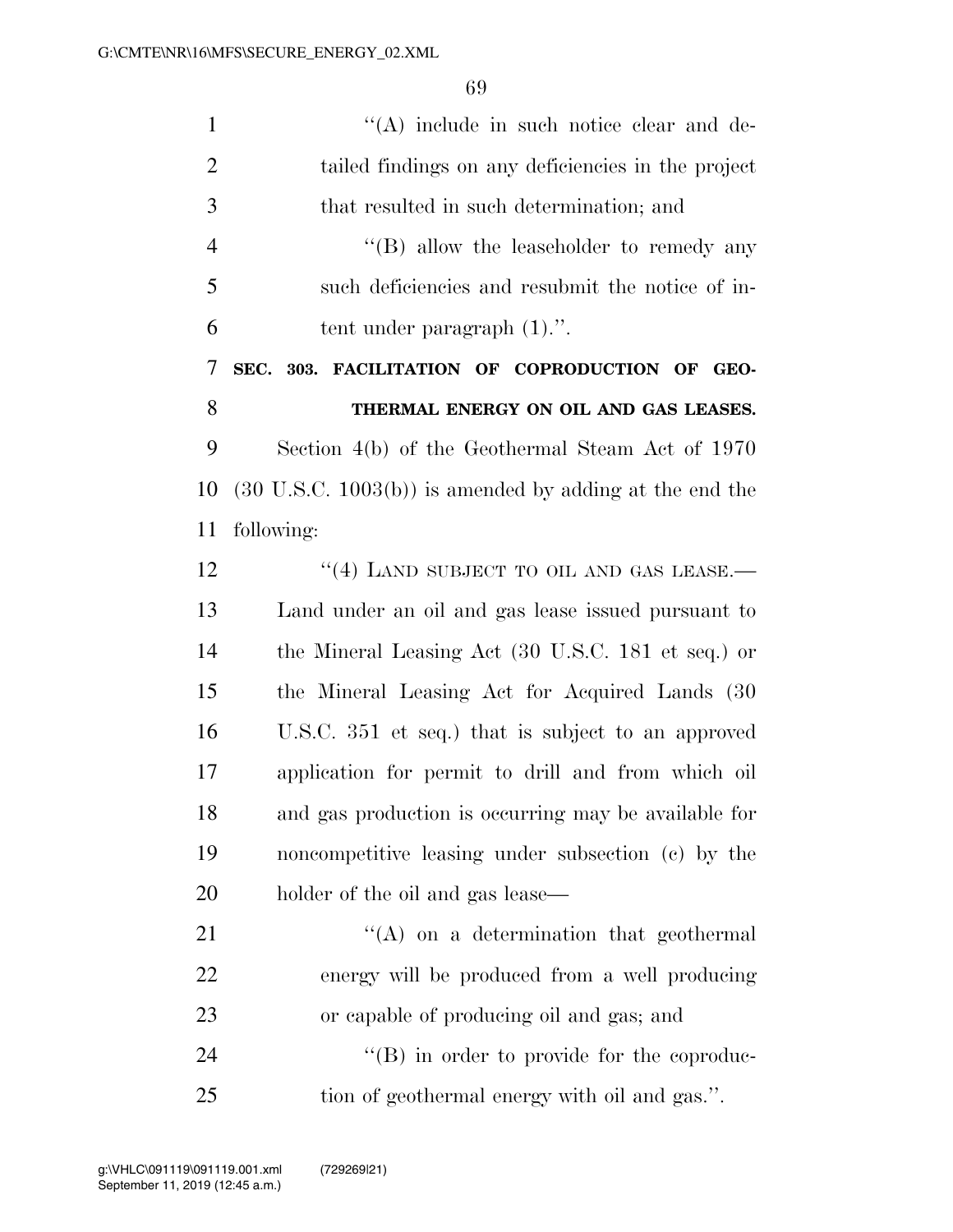| $\mathbf{1}$   | "(A) include in such notice clear and de-                          |
|----------------|--------------------------------------------------------------------|
| $\overline{2}$ | tailed findings on any deficiencies in the project                 |
| 3              | that resulted in such determination; and                           |
| $\overline{4}$ | $\lq\lq (B)$ allow the leaseholder to remedy any                   |
| 5              | such deficiencies and resubmit the notice of in-                   |
| 6              | tent under paragraph $(1)$ .".                                     |
| 7              | SEC. 303. FACILITATION OF COPRODUCTION OF GEO-                     |
| 8              | THERMAL ENERGY ON OIL AND GAS LEASES.                              |
| 9              | Section 4(b) of the Geothermal Steam Act of 1970                   |
| 10             | $(30 \text{ U.S.C. } 1003(b))$ is amended by adding at the end the |
| 11             | following:                                                         |
| 12             | "(4) LAND SUBJECT TO OIL AND GAS LEASE.                            |
| 13             | Land under an oil and gas lease issued pursuant to                 |
| 14             | the Mineral Leasing Act (30 U.S.C. 181 et seq.) or                 |
| 15             | the Mineral Leasing Act for Acquired Lands (30                     |
| 16             | U.S.C. 351 et seq.) that is subject to an approved                 |
| 17             | application for permit to drill and from which oil                 |
| 18             | and gas production is occurring may be available for               |
| 19             | noncompetitive leasing under subsection (c) by the                 |
| 20             | holder of the oil and gas lease—                                   |
| 21             | $\lq\lq$ on a determination that geothermal                        |
| 22             | energy will be produced from a well producing                      |
| 23             | or capable of producing oil and gas; and                           |
| 24             | $\lq\lq (B)$ in order to provide for the coproduc-                 |
| 25             | tion of geothermal energy with oil and gas.".                      |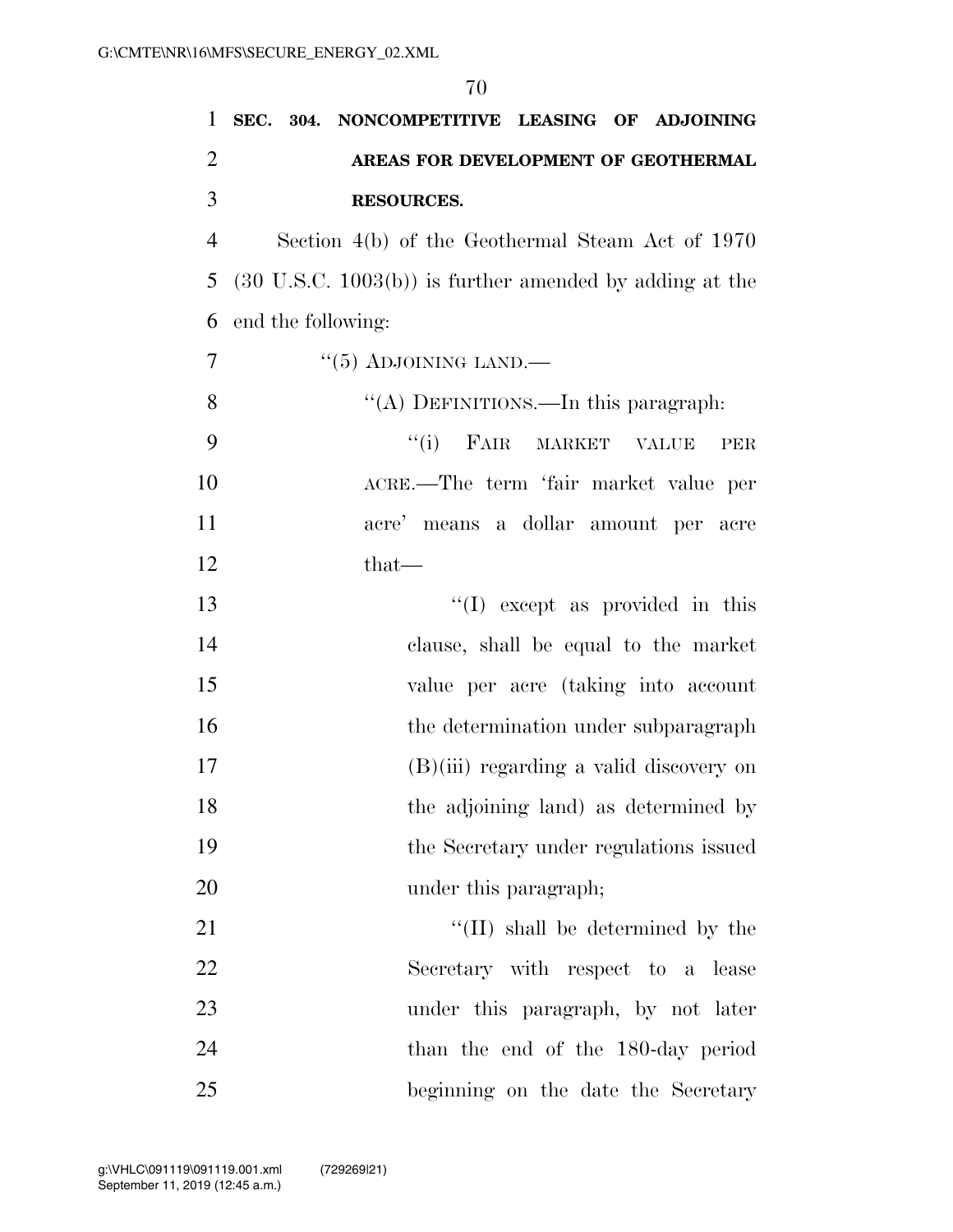# **SEC. 304. NONCOMPETITIVE LEASING OF ADJOINING AREAS FOR DEVELOPMENT OF GEOTHERMAL RESOURCES.**

 Section 4(b) of the Geothermal Steam Act of 1970 (30 U.S.C. 1003(b)) is further amended by adding at the end the following:

 $\frac{17}{7}$  ''(5) ADJOINING LAND.—

8 "(A) DEFINITIONS.—In this paragraph:

 ''(i) FAIR MARKET VALUE PER ACRE.—The term 'fair market value per acre' means a dollar amount per acre that—

13 ''(I) except as provided in this clause, shall be equal to the market value per acre (taking into account 16 the determination under subparagraph (B)(iii) regarding a valid discovery on the adjoining land) as determined by the Secretary under regulations issued 20 under this paragraph;

 $\langle (II) \rangle$  shall be determined by the Secretary with respect to a lease under this paragraph, by not later 24 than the end of the 180-day period beginning on the date the Secretary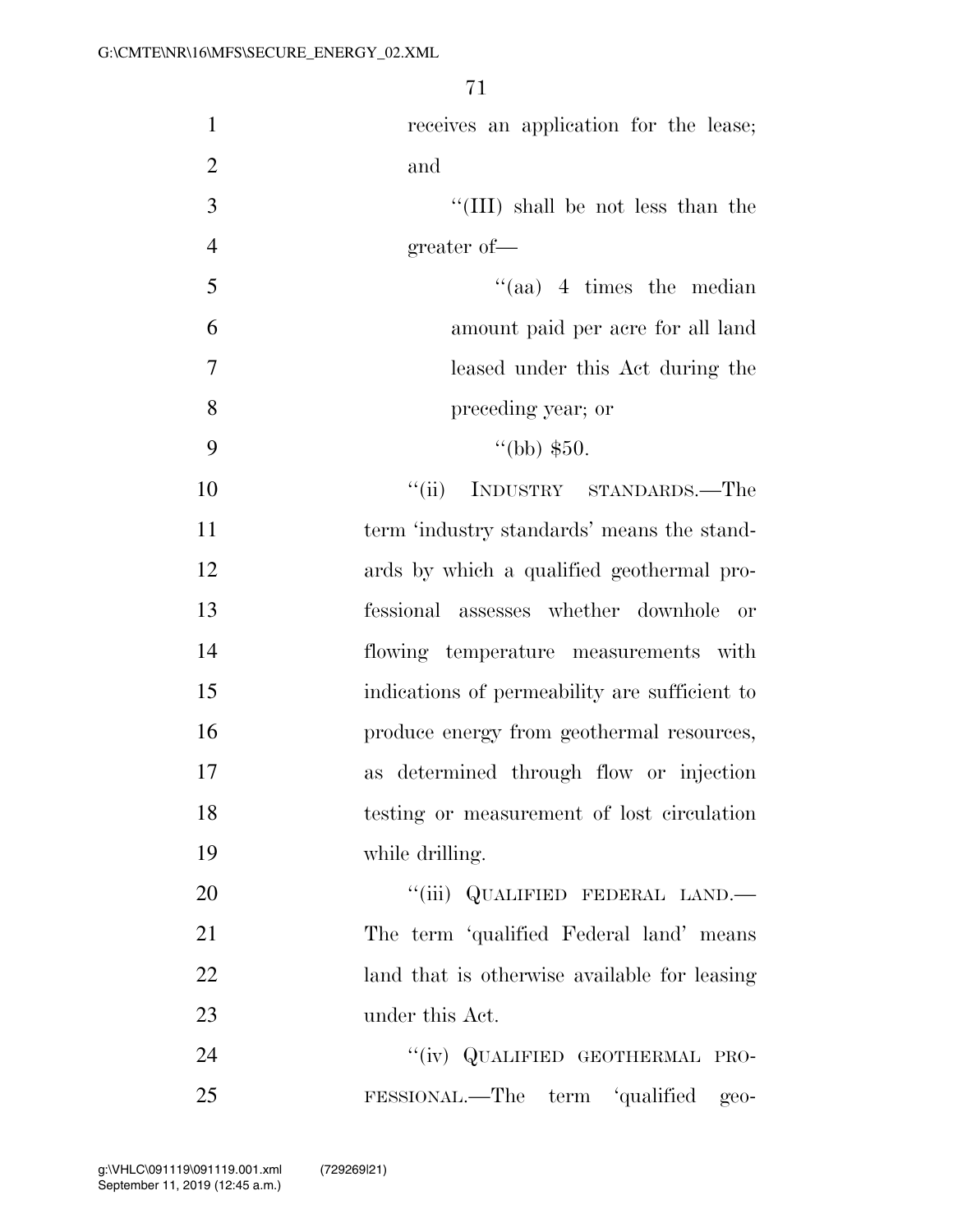| $\mathbf{1}$   | receives an application for the lease;        |
|----------------|-----------------------------------------------|
| $\overline{2}$ | and                                           |
| 3              | "(III) shall be not less than the             |
| $\overline{4}$ | greater of-                                   |
| 5              | $\cdot$ (aa) 4 times the median               |
| 6              | amount paid per acre for all land             |
| 7              | leased under this Act during the              |
| 8              | preceding year; or                            |
| 9              | $\lq(bb)$ \$50.                               |
| 10             | "(ii) INDUSTRY STANDARDS.—The                 |
| 11             | term 'industry standards' means the stand-    |
| 12             | ards by which a qualified geothermal pro-     |
| 13             | fessional assesses whether downhole<br>- or   |
| 14             | flowing temperature measurements with         |
| 15             | indications of permeability are sufficient to |
| 16             | produce energy from geothermal resources,     |
| 17             | as determined through flow or injection       |
| 18             | testing or measurement of lost circulation    |
| 19             | while drilling.                               |
| 20             | "(iii) QUALIFIED FEDERAL LAND.—               |
| 21             | The term 'qualified Federal land' means       |
| 22             | land that is otherwise available for leasing  |
| 23             | under this Act.                               |
| 24             | "(iv) QUALIFIED GEOTHERMAL PRO-               |
| 25             | FESSIONAL.—The term 'qualified geo-           |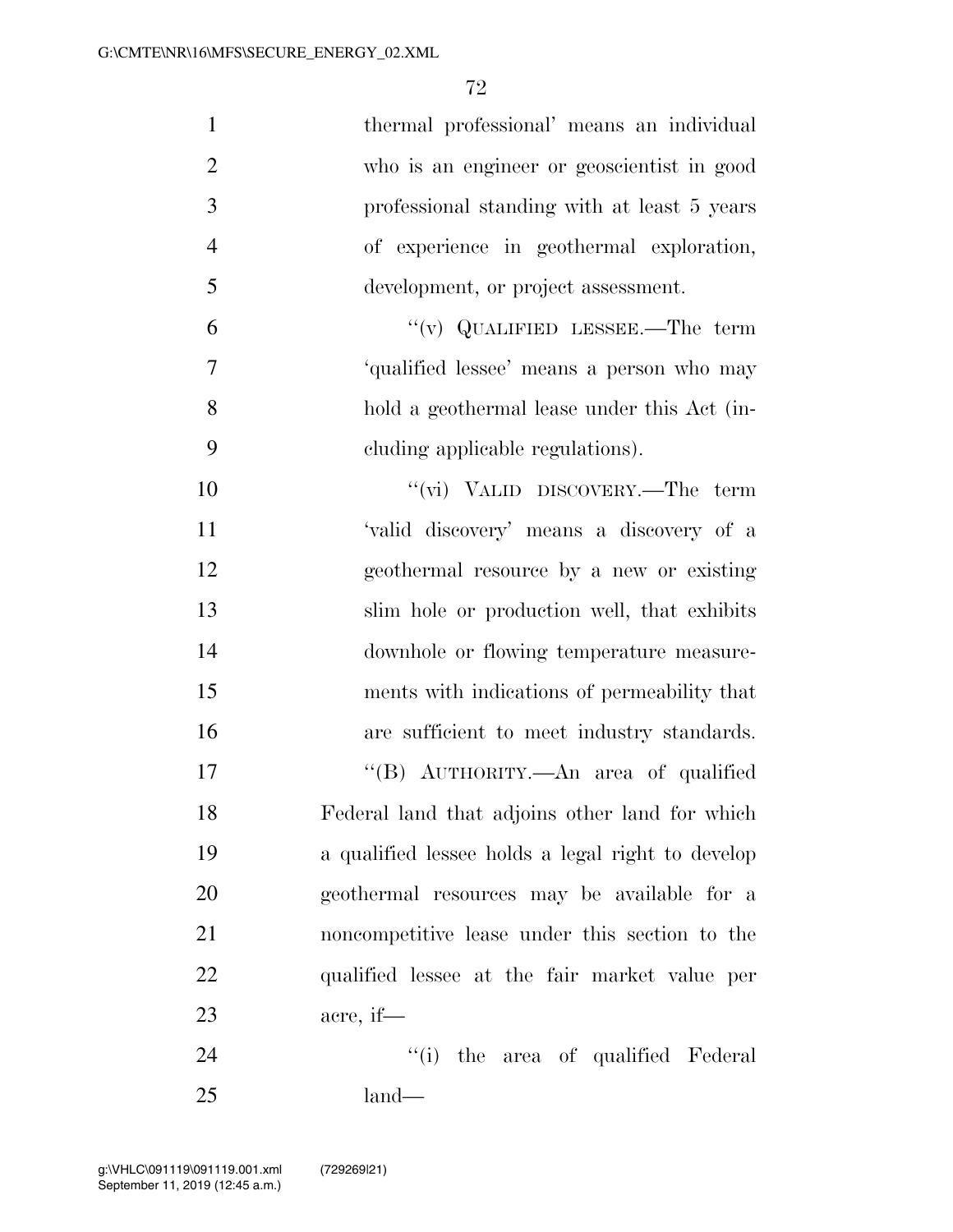| $\mathbf{1}$   | thermal professional' means an individual         |
|----------------|---------------------------------------------------|
| $\overline{2}$ | who is an engineer or geoscientist in good        |
| $\mathfrak{Z}$ | professional standing with at least 5 years       |
| $\overline{4}$ | of experience in geothermal exploration,          |
| 5              | development, or project assessment.               |
| 6              | "(v) QUALIFIED LESSEE.—The term                   |
| 7              | 'qualified lessee' means a person who may         |
| 8              | hold a geothermal lease under this Act (in-       |
| 9              | eluding applicable regulations).                  |
| 10             | "(vi) VALID DISCOVERY.—The term                   |
| 11             | 'valid discovery' means a discovery of a          |
| 12             | geothermal resource by a new or existing          |
| 13             | slim hole or production well, that exhibits       |
| 14             | downhole or flowing temperature measure-          |
| 15             | ments with indications of permeability that       |
| 16             | are sufficient to meet industry standards.        |
| 17             | "(B) AUTHORITY.—An area of qualified              |
| 18             | Federal land that adjoins other land for which    |
| 19             | a qualified lessee holds a legal right to develop |
| 20             | geothermal resources may be available for a       |
| 21             | noncompetitive lease under this section to the    |
| 22             | qualified lessee at the fair market value per     |
| 23             | acre, if—                                         |
| 24             | "(i) the area of qualified Federal                |
| 25             | $land-$                                           |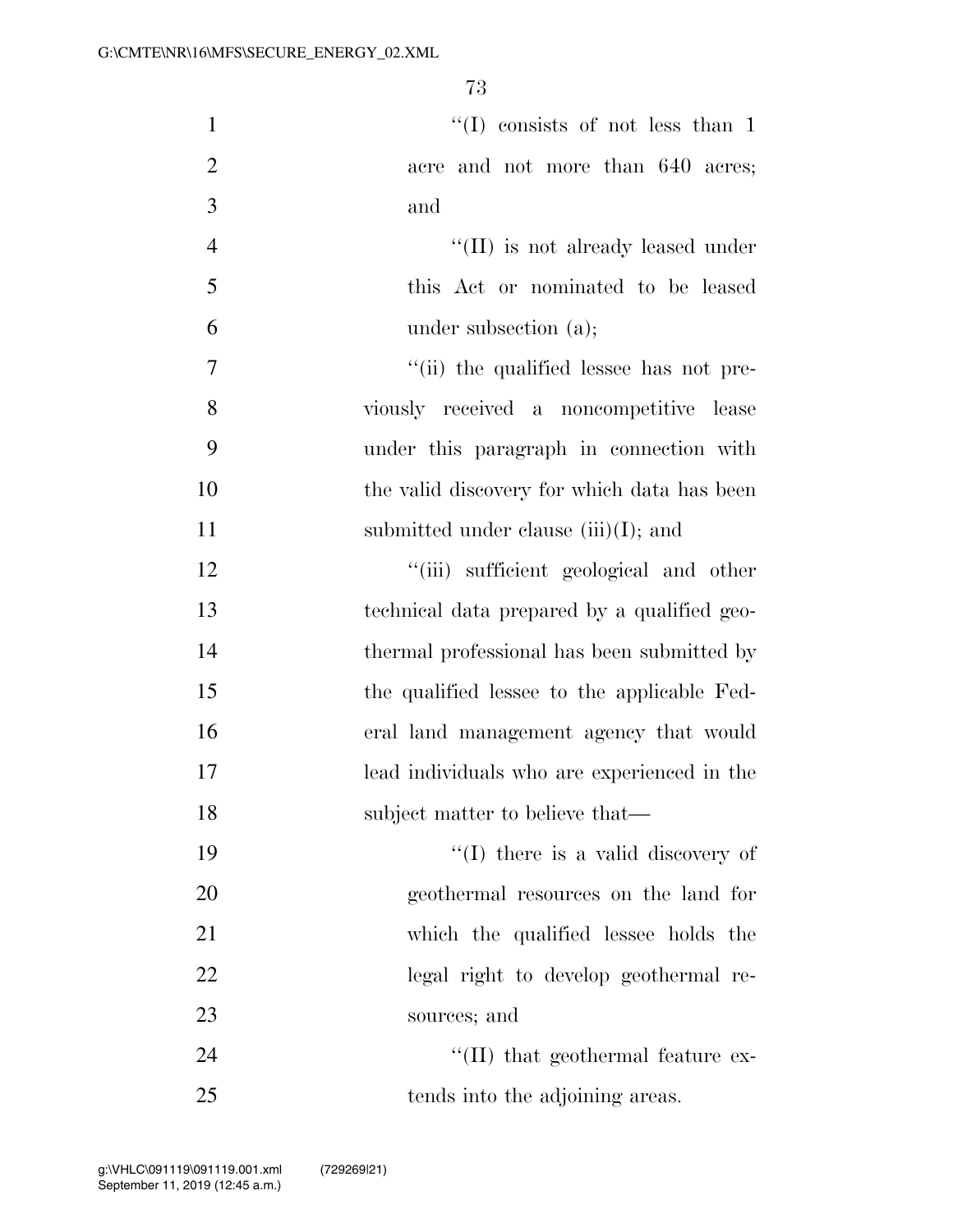| $\mathbf{1}$   | "(I) consists of not less than 1            |
|----------------|---------------------------------------------|
| $\overline{2}$ | acre and not more than 640 acres;           |
| 3              | and                                         |
| $\overline{4}$ | "(II) is not already leased under           |
| 5              | this Act or nominated to be leased          |
| 6              | under subsection $(a)$ ;                    |
| 7              | "(ii) the qualified lessee has not pre-     |
| 8              | viously received a noncompetitive lease     |
| 9              | under this paragraph in connection with     |
| 10             | the valid discovery for which data has been |
| 11             | submitted under clause $(iii)(I)$ ; and     |
| 12             | "(iii) sufficient geological and other      |
| 13             | technical data prepared by a qualified geo- |
| 14             | thermal professional has been submitted by  |
| 15             | the qualified lessee to the applicable Fed- |
| 16             | eral land management agency that would      |
| 17             | lead individuals who are experienced in the |
| 18             | subject matter to believe that—             |
| 19             | $\lq\lq$ (I) there is a valid discovery of  |
| 20             | geothermal resources on the land for        |
| 21             | which the qualified lessee holds the        |
| 22             | legal right to develop geothermal re-       |
| 23             | sources; and                                |
| 24             | "(II) that geothermal feature ex-           |
| 25             | tends into the adjoining areas.             |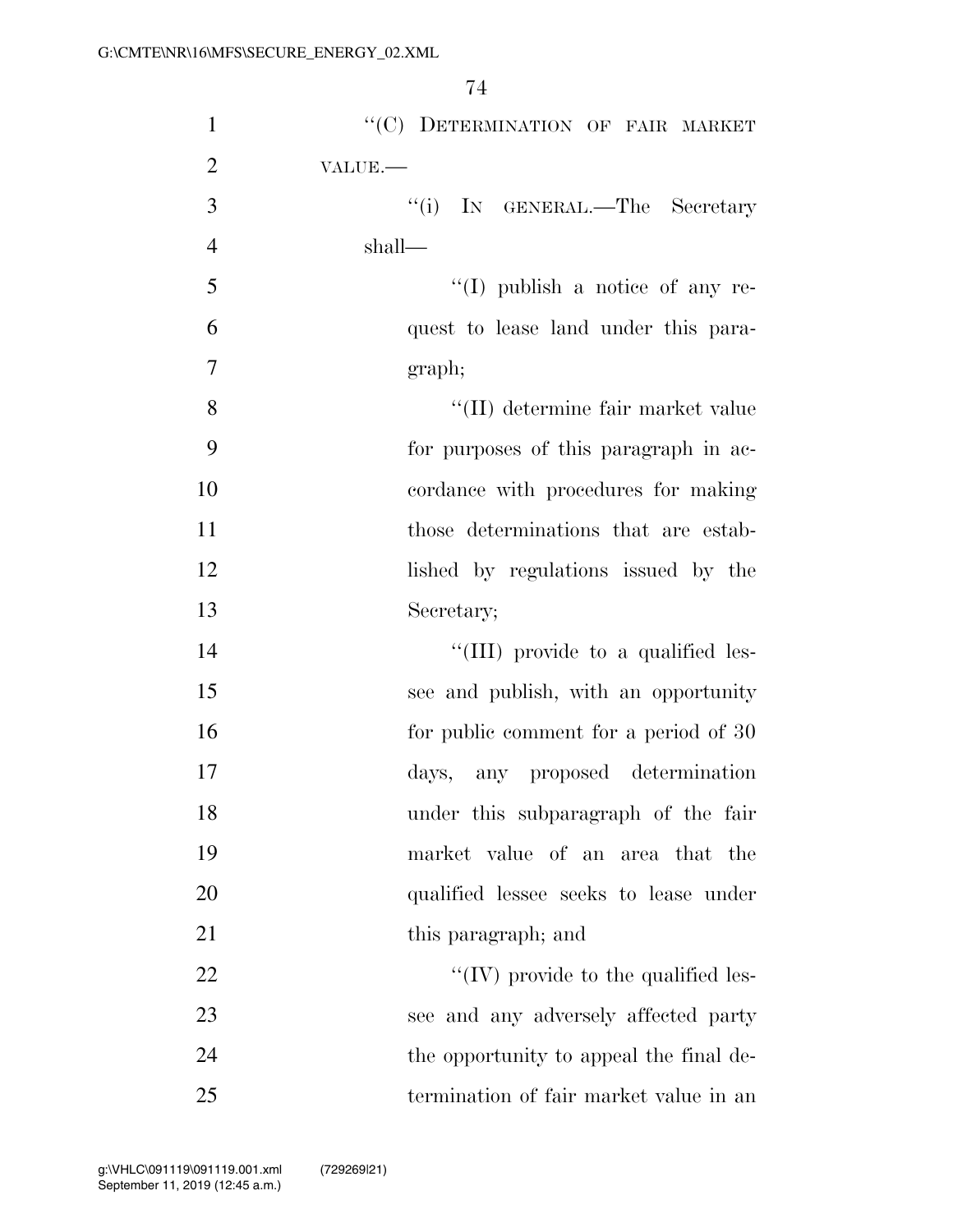| $\mathbf{1}$   | "(C) DETERMINATION OF FAIR MARKET               |
|----------------|-------------------------------------------------|
| $\overline{2}$ | VALUE.                                          |
| 3              | "(i) IN GENERAL.—The Secretary                  |
| $\overline{4}$ | shall—                                          |
| 5              | $\lq\lq$ (I) publish a notice of any re-        |
| 6              | quest to lease land under this para-            |
| $\overline{7}$ | graph;                                          |
| 8              | $\lq\lq(\text{II})$ determine fair market value |
| 9              | for purposes of this paragraph in ac-           |
| 10             | cordance with procedures for making             |
| 11             | those determinations that are estab-            |
| 12             | lished by regulations issued by the             |
| 13             | Secretary;                                      |
| 14             | "(III) provide to a qualified les-              |
| 15             | see and publish, with an opportunity            |
| 16             | for public comment for a period of 30           |
| 17             | days, any proposed determination                |
| 18             | under this subparagraph of the fair             |
| 19             | market value of an area that the                |
| 20             | qualified lessee seeks to lease under           |
| 21             | this paragraph; and                             |
| 22             | $\lq\lq$ (IV) provide to the qualified les-     |
| 23             | see and any adversely affected party            |
| 24             | the opportunity to appeal the final de-         |
| 25             | termination of fair market value in an          |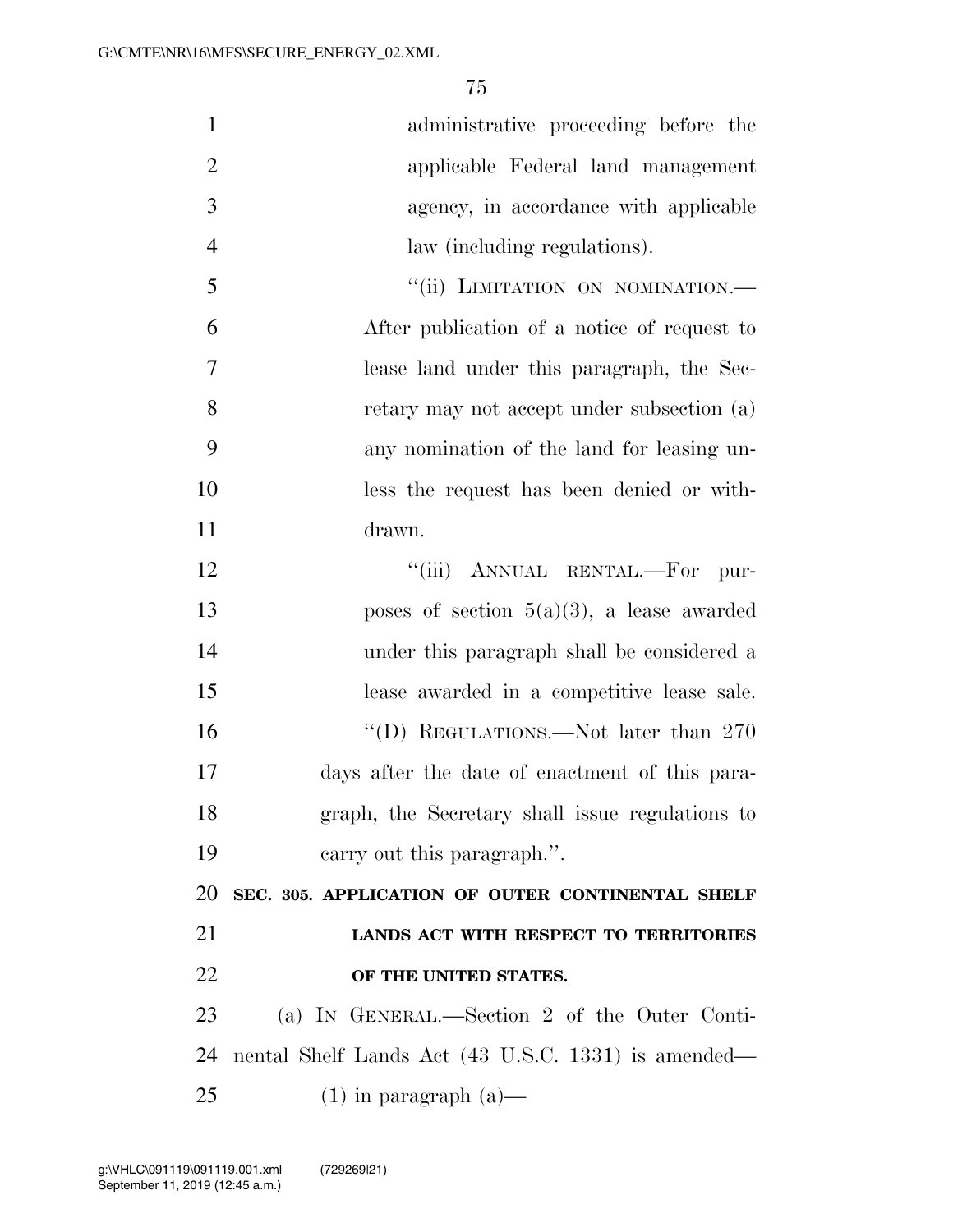| $\mathbf{1}$   | administrative proceeding before the                |
|----------------|-----------------------------------------------------|
| $\overline{2}$ | applicable Federal land management                  |
| 3              | agency, in accordance with applicable               |
| $\overline{4}$ | law (including regulations).                        |
| 5              | "(ii) LIMITATION ON NOMINATION.-                    |
| 6              | After publication of a notice of request to         |
| $\overline{7}$ | lease land under this paragraph, the Sec-           |
| 8              | retary may not accept under subsection (a)          |
| 9              | any nomination of the land for leasing un-          |
| 10             | less the request has been denied or with-           |
| 11             | drawn.                                              |
| 12             | "(iii) ANNUAL RENTAL.-For pur-                      |
| 13             | poses of section $5(a)(3)$ , a lease awarded        |
| 14             | under this paragraph shall be considered a          |
| 15             | lease awarded in a competitive lease sale.          |
| 16             | "(D) REGULATIONS.—Not later than $270\,$            |
| 17             | days after the date of enactment of this para-      |
| 18             | graph, the Secretary shall issue regulations to     |
| 19             | carry out this paragraph.".                         |
| 20             | SEC. 305. APPLICATION OF OUTER CONTINENTAL SHELF    |
| 21             | LANDS ACT WITH RESPECT TO TERRITORIES               |
| 22             | OF THE UNITED STATES.                               |
| 23             | (a) IN GENERAL.—Section 2 of the Outer Conti-       |
| 24             |                                                     |
|                | nental Shelf Lands Act (43 U.S.C. 1331) is amended— |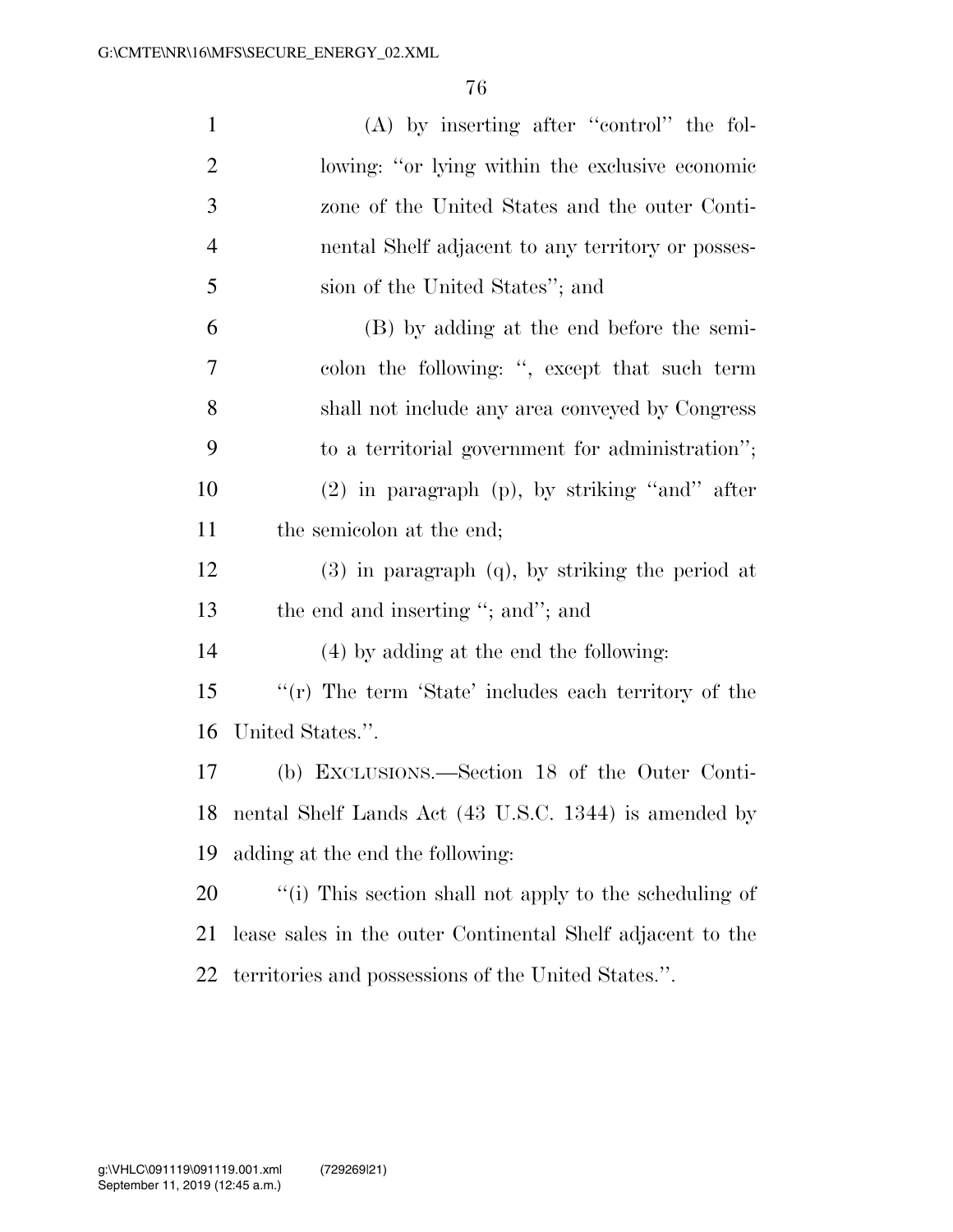| $\mathbf{1}$   | $(A)$ by inserting after "control" the fol-                |
|----------------|------------------------------------------------------------|
| $\overline{2}$ | lowing: "or lying within the exclusive economic            |
| 3              | zone of the United States and the outer Conti-             |
| $\overline{4}$ | nental Shelf adjacent to any territory or posses-          |
| 5              | sion of the United States"; and                            |
| 6              | (B) by adding at the end before the semi-                  |
| 7              | colon the following: ", except that such term              |
| 8              | shall not include any area conveyed by Congress            |
| 9              | to a territorial government for administration";           |
| 10             | $(2)$ in paragraph $(p)$ , by striking "and" after         |
| 11             | the semicolon at the end;                                  |
| 12             | $(3)$ in paragraph $(q)$ , by striking the period at       |
| 13             | the end and inserting "; and"; and                         |
| 14             | (4) by adding at the end the following:                    |
| 15             | "(r) The term 'State' includes each territory of the       |
| 16             | United States.".                                           |
| 17             | (b) EXCLUSIONS.—Section 18 of the Outer Conti-             |
| 18             | nental Shelf Lands Act (43 U.S.C. 1344) is amended by      |
| 19             | adding at the end the following:                           |
| 20             | "(i) This section shall not apply to the scheduling of     |
| 21             | lease sales in the outer Continental Shelf adjacent to the |
| 22             | territories and possessions of the United States.".        |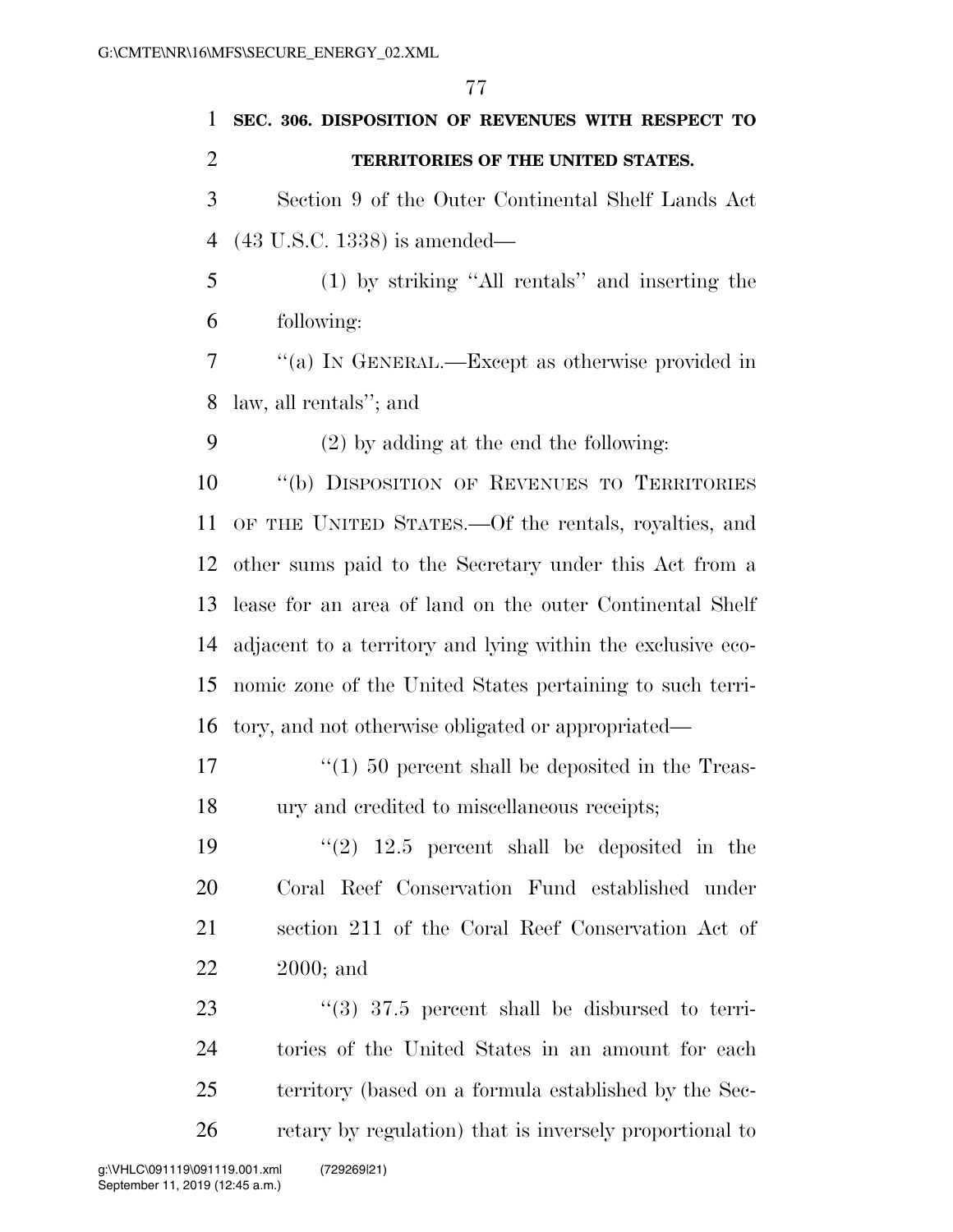|                | 77                                                          |
|----------------|-------------------------------------------------------------|
| 1              | SEC. 306. DISPOSITION OF REVENUES WITH RESPECT TO           |
| $\overline{2}$ | TERRITORIES OF THE UNITED STATES.                           |
| 3              | Section 9 of the Outer Continental Shelf Lands Act          |
| 4              | $(43 \text{ U.S.C. } 1338)$ is amended—                     |
| 5              | (1) by striking "All rentals" and inserting the             |
| 6              | following:                                                  |
| $\tau$         | "(a) IN GENERAL.—Except as otherwise provided in            |
| 8              | law, all rentals"; and                                      |
| 9              | $(2)$ by adding at the end the following:                   |
| 10             | "(b) DISPOSITION OF REVENUES TO TERRITORIES                 |
| 11             | OF THE UNITED STATES.—Of the rentals, royalties, and        |
| 12             | other sums paid to the Secretary under this Act from a      |
| 13             | lease for an area of land on the outer Continental Shelf    |
| 14             | adjacent to a territory and lying within the exclusive eco- |
| 15             | nomic zone of the United States pertaining to such terri-   |
| 16             | tory, and not otherwise obligated or appropriated—          |
| 17             | $\lq(1)$ 50 percent shall be deposited in the Treas-        |
| 18             | ury and credited to miscellaneous receipts;                 |
| 19             | $(2)$ 12.5 percent shall be deposited in the                |
| 20             | Coral Reef Conservation Fund established under              |
| 21             | section 211 of the Coral Reef Conservation Act of           |
| 22             | $2000$ ; and                                                |
| 23             | $(3)$ 37.5 percent shall be disbursed to terri-             |
| 24             | tories of the United States in an amount for each           |
| 25             | territory (based on a formula established by the Sec-       |
| 26             | retary by regulation) that is inversely proportional to     |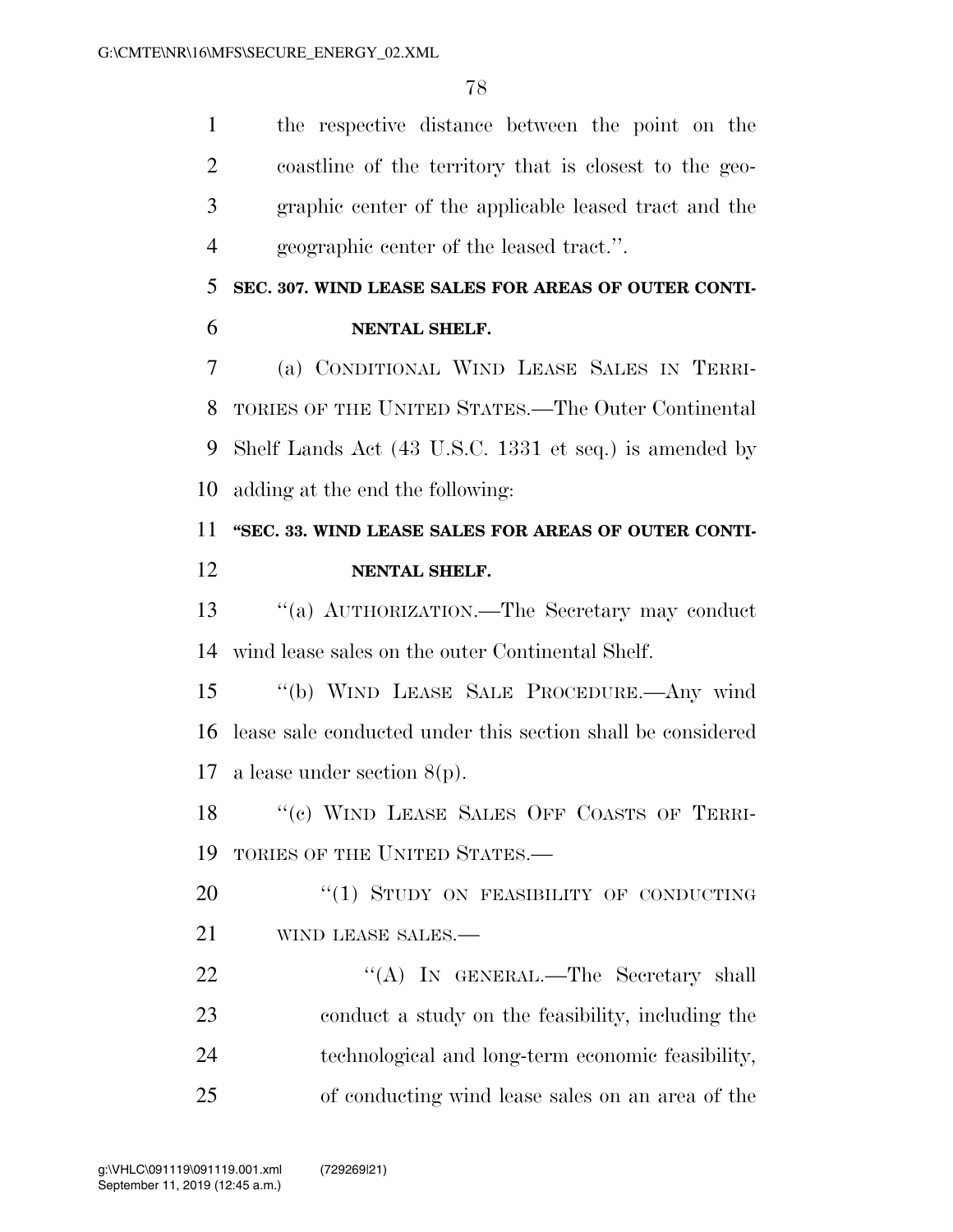the respective distance between the point on the coastline of the territory that is closest to the geo- graphic center of the applicable leased tract and the geographic center of the leased tract.''.

### **SEC. 307. WIND LEASE SALES FOR AREAS OF OUTER CONTI-NENTAL SHELF.**

 (a) CONDITIONAL WIND LEASE SALES IN TERRI- TORIES OF THE UNITED STATES.—The Outer Continental Shelf Lands Act (43 U.S.C. 1331 et seq.) is amended by adding at the end the following:

### **''SEC. 33. WIND LEASE SALES FOR AREAS OF OUTER CONTI-NENTAL SHELF.**

 ''(a) AUTHORIZATION.—The Secretary may conduct wind lease sales on the outer Continental Shelf.

 ''(b) WIND LEASE SALE PROCEDURE.—Any wind lease sale conducted under this section shall be considered a lease under section 8(p).

18 "(c) WIND LEASE SALES OFF COASTS OF TERRI-TORIES OF THE UNITED STATES.—

20 "(1) STUDY ON FEASIBILITY OF CONDUCTING WIND LEASE SALES.—

22 "'(A) In GENERAL.—The Secretary shall conduct a study on the feasibility, including the technological and long-term economic feasibility, of conducting wind lease sales on an area of the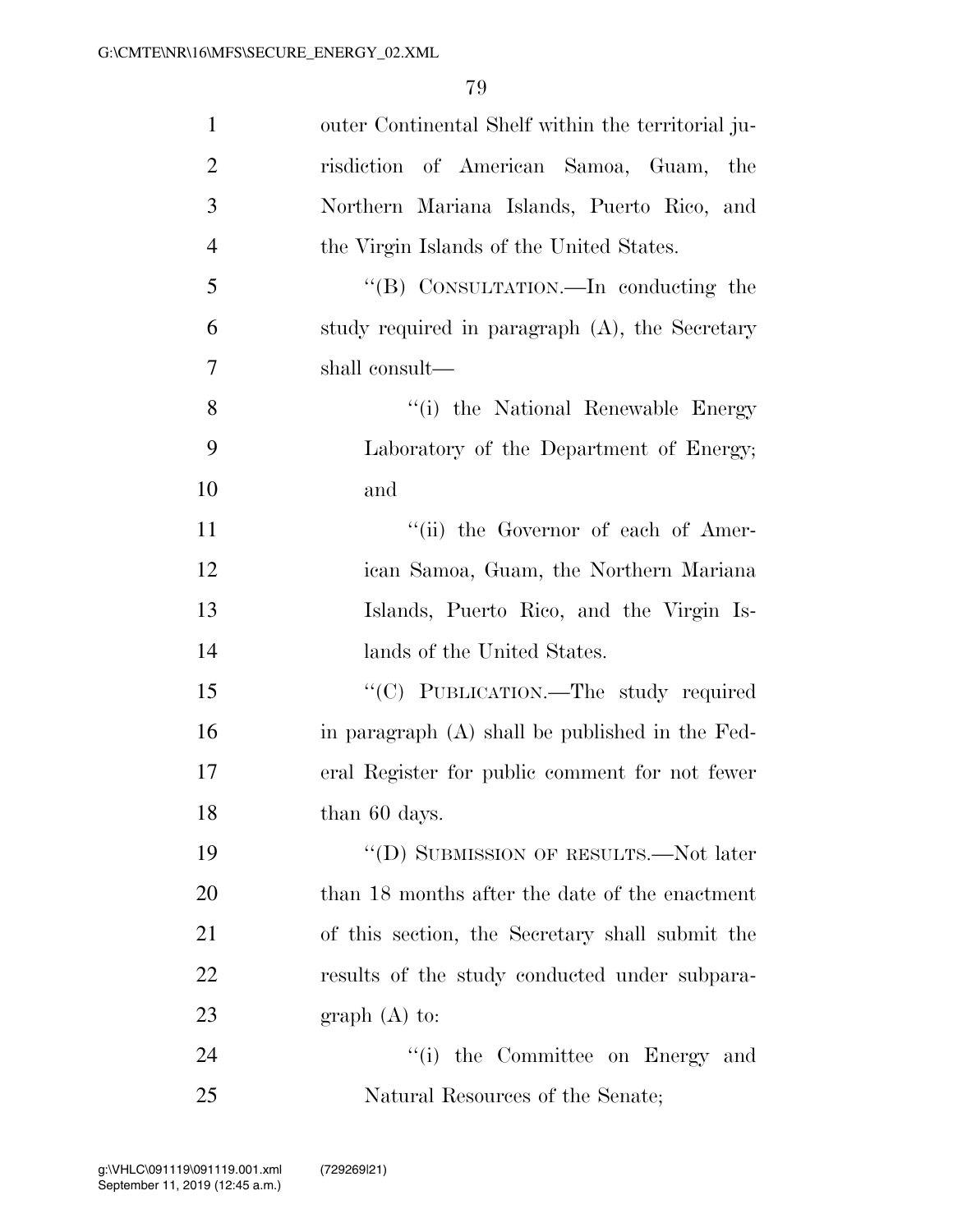| $\mathbf{1}$   | outer Continental Shelf within the territorial ju- |
|----------------|----------------------------------------------------|
| $\overline{2}$ | risdiction of American Samoa, Guam,<br>the         |
| 3              | Northern Mariana Islands, Puerto Rico, and         |
| $\overline{4}$ | the Virgin Islands of the United States.           |
| 5              | "(B) CONSULTATION.—In conducting the               |
| 6              | study required in paragraph (A), the Secretary     |
| 7              | shall consult—                                     |
| 8              | "(i) the National Renewable Energy                 |
| 9              | Laboratory of the Department of Energy;            |
| 10             | and                                                |
| 11             | "(ii) the Governor of each of Amer-                |
| 12             | ican Samoa, Guam, the Northern Mariana             |
| 13             | Islands, Puerto Rico, and the Virgin Is-           |
| 14             | lands of the United States.                        |
| 15             | "(C) PUBLICATION.—The study required               |
| 16             | in paragraph $(A)$ shall be published in the Fed-  |
| 17             | eral Register for public comment for not fewer     |
| 18             | than 60 days.                                      |
| 19             | "(D) SUBMISSION OF RESULTS.—Not later              |
| 20             | than 18 months after the date of the enactment     |
| 21             | of this section, the Secretary shall submit the    |
| 22             | results of the study conducted under subpara-      |
| 23             | $graph(A)$ to:                                     |
| 24             | "(i) the Committee on Energy and                   |
| 25             | Natural Resources of the Senate;                   |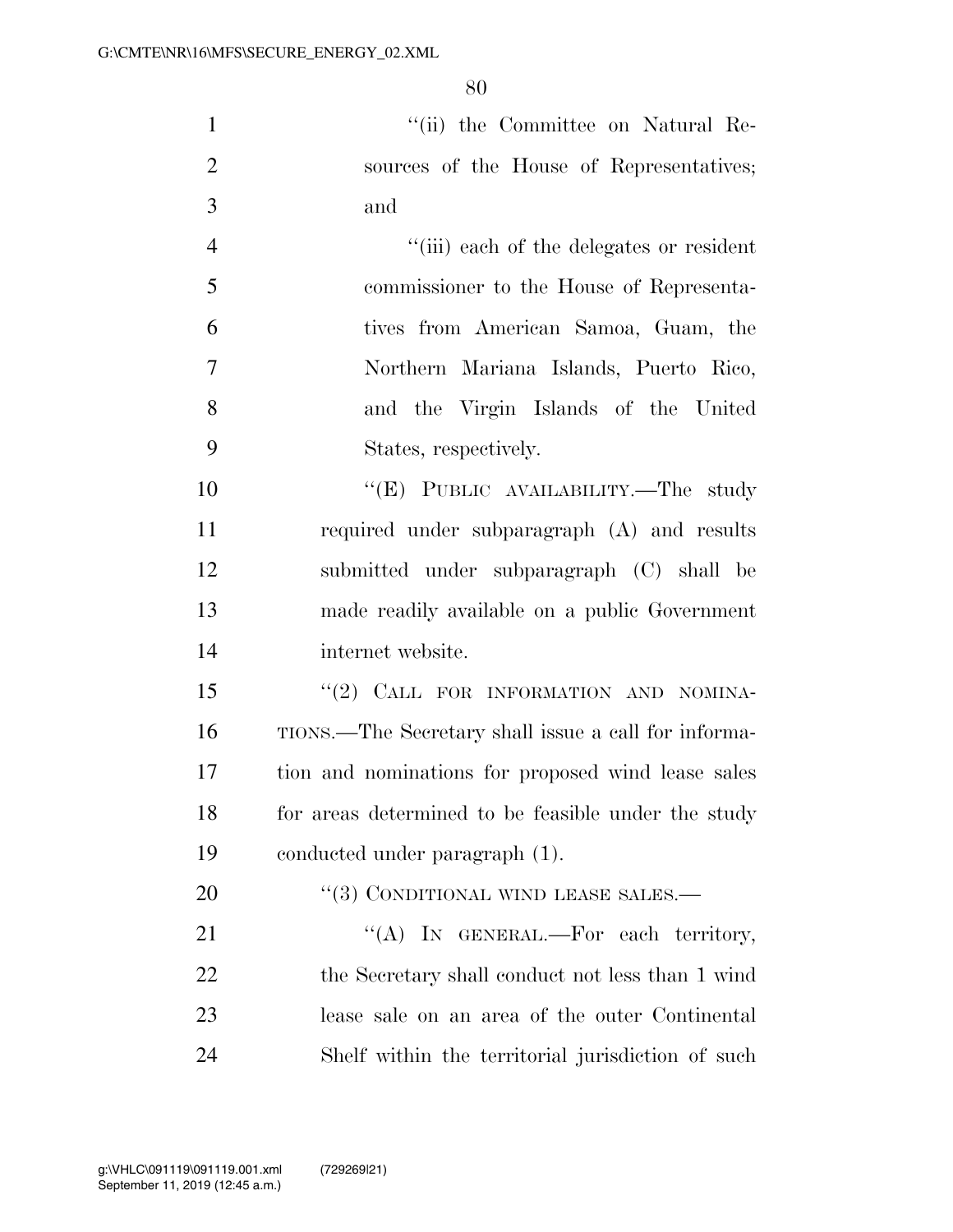1 ''(ii) the Committee on Natural Re-2 sources of the House of Representatives; and

 ''(iii) each of the delegates or resident commissioner to the House of Representa- tives from American Samoa, Guam, the Northern Mariana Islands, Puerto Rico, and the Virgin Islands of the United States, respectively.

10 "'(E) PUBLIC AVAILABILITY.—The study required under subparagraph (A) and results submitted under subparagraph (C) shall be made readily available on a public Government internet website.

15 "(2) CALL FOR INFORMATION AND NOMINA- TIONS.—The Secretary shall issue a call for informa- tion and nominations for proposed wind lease sales 18 for areas determined to be feasible under the study conducted under paragraph (1).

20 "(3) CONDITIONAL WIND LEASE SALES.—

21 "(A) In GENERAL.—For each territory, 22 the Secretary shall conduct not less than 1 wind lease sale on an area of the outer Continental Shelf within the territorial jurisdiction of such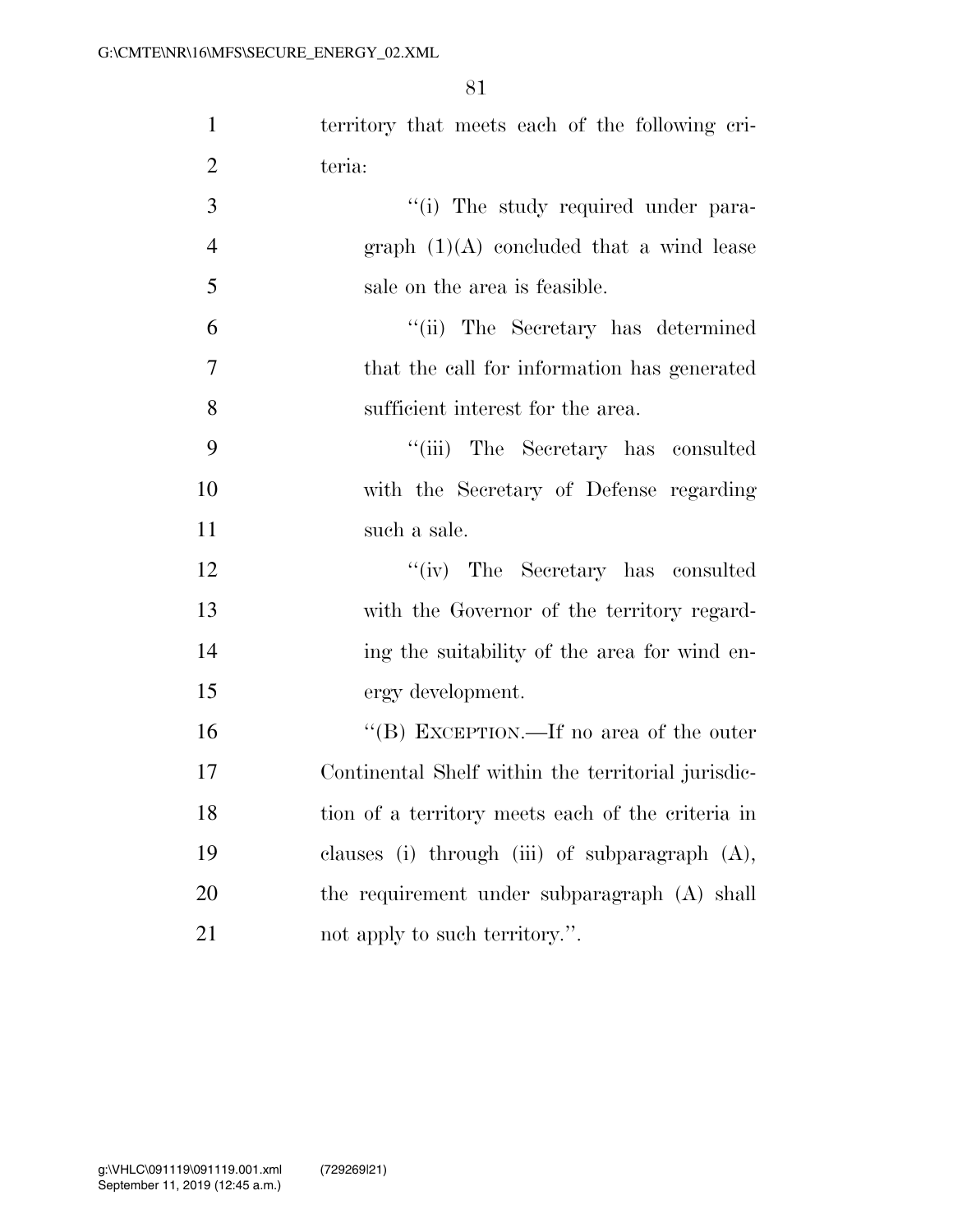| $\mathbf{1}$   | territory that meets each of the following cri-    |
|----------------|----------------------------------------------------|
| $\overline{2}$ | teria:                                             |
| 3              | "(i) The study required under para-                |
| $\overline{4}$ | graph $(1)(A)$ concluded that a wind lease         |
| 5              | sale on the area is feasible.                      |
| 6              | "(ii) The Secretary has determined                 |
| $\overline{7}$ | that the call for information has generated        |
| 8              | sufficient interest for the area.                  |
| 9              | "(iii) The Secretary has consulted                 |
| 10             | with the Secretary of Defense regarding            |
| 11             | such a sale.                                       |
| 12             | "(iv) The Secretary has consulted                  |
| 13             | with the Governor of the territory regard-         |
| 14             | ing the suitability of the area for wind en-       |
| 15             | ergy development.                                  |
| 16             | "(B) EXCEPTION.—If no area of the outer            |
| 17             | Continental Shelf within the territorial jurisdic- |
| 18             | tion of a territory meets each of the criteria in  |
| 19             | clauses (i) through (iii) of subparagraph (A),     |
| 20             | the requirement under subparagraph (A) shall       |
| 21             | not apply to such territory.".                     |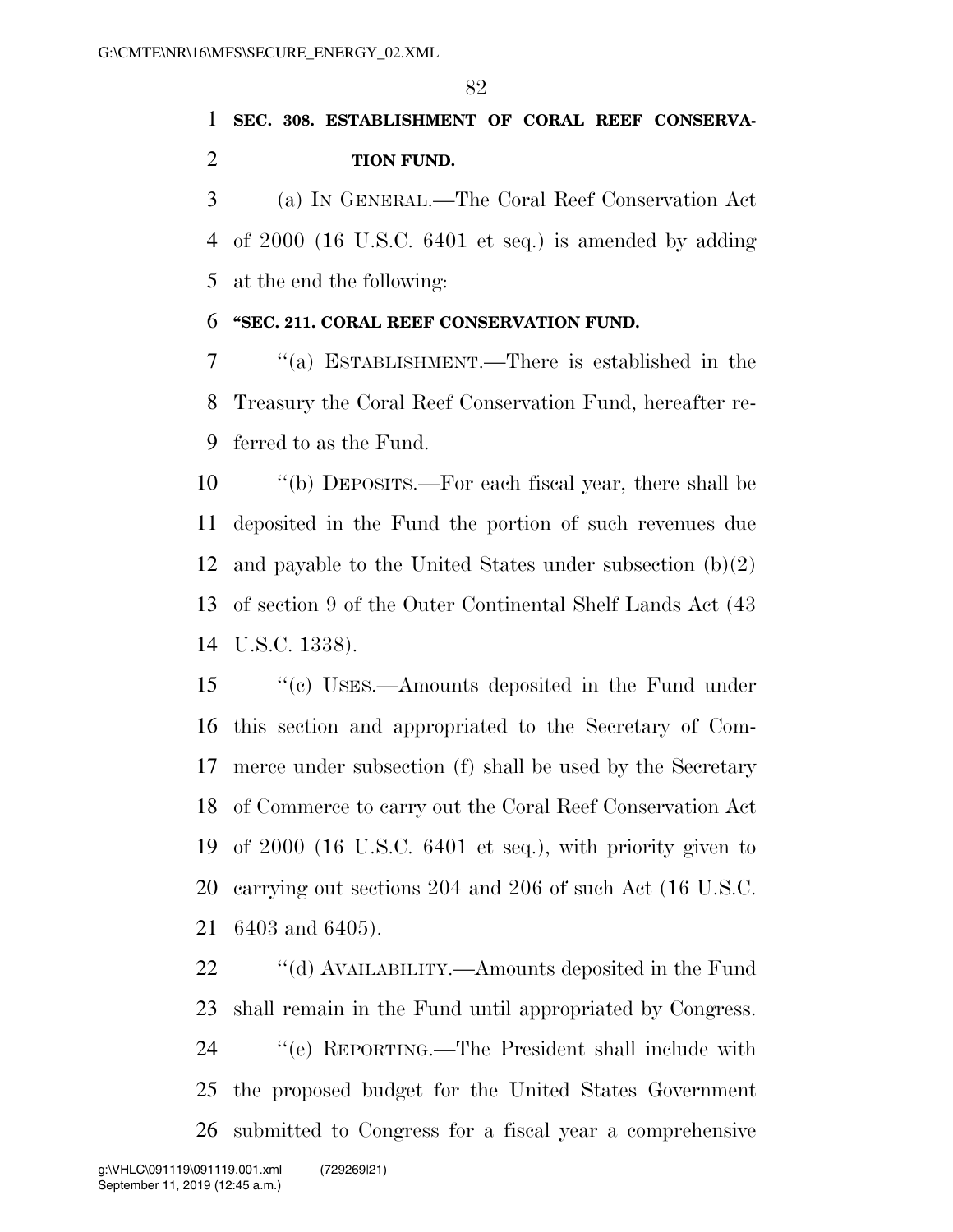# **SEC. 308. ESTABLISHMENT OF CORAL REEF CONSERVA-TION FUND.**

 (a) IN GENERAL.—The Coral Reef Conservation Act of 2000 (16 U.S.C. 6401 et seq.) is amended by adding at the end the following:

#### **''SEC. 211. CORAL REEF CONSERVATION FUND.**

 ''(a) ESTABLISHMENT.—There is established in the Treasury the Coral Reef Conservation Fund, hereafter re-ferred to as the Fund.

 ''(b) DEPOSITS.—For each fiscal year, there shall be deposited in the Fund the portion of such revenues due 12 and payable to the United States under subsection  $(b)(2)$  of section 9 of the Outer Continental Shelf Lands Act (43 U.S.C. 1338).

 ''(c) USES.—Amounts deposited in the Fund under this section and appropriated to the Secretary of Com- merce under subsection (f) shall be used by the Secretary of Commerce to carry out the Coral Reef Conservation Act of 2000 (16 U.S.C. 6401 et seq.), with priority given to carrying out sections 204 and 206 of such Act (16 U.S.C. 6403 and 6405).

22 ''(d) AVAILABILITY.—Amounts deposited in the Fund shall remain in the Fund until appropriated by Congress. ''(e) REPORTING.—The President shall include with the proposed budget for the United States Government submitted to Congress for a fiscal year a comprehensive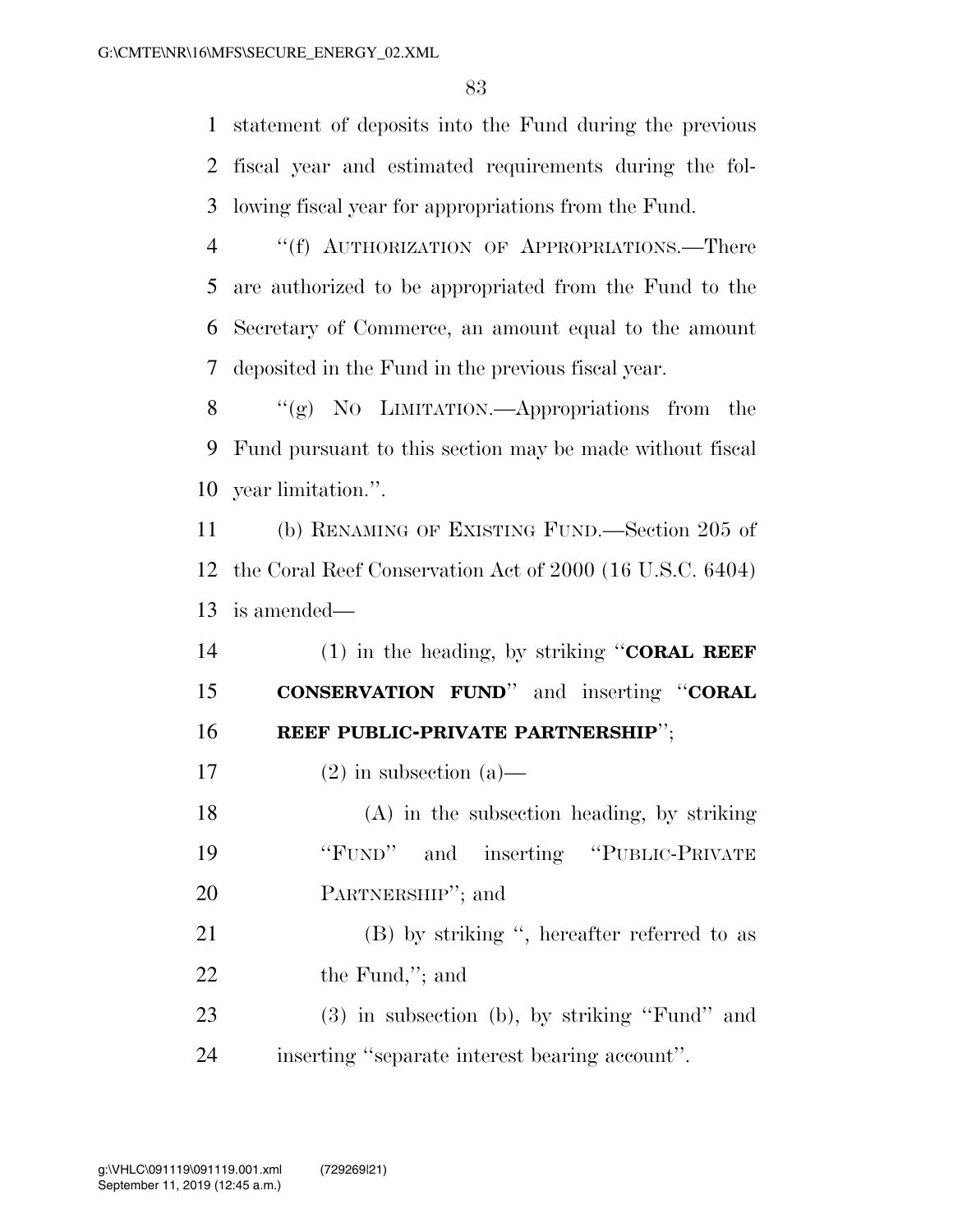statement of deposits into the Fund during the previous fiscal year and estimated requirements during the fol-lowing fiscal year for appropriations from the Fund.

 ''(f) AUTHORIZATION OF APPROPRIATIONS.—There are authorized to be appropriated from the Fund to the Secretary of Commerce, an amount equal to the amount deposited in the Fund in the previous fiscal year.

8 "(g) NO LIMITATION.—Appropriations from the Fund pursuant to this section may be made without fiscal year limitation.''.

 (b) RENAMING OF EXISTING FUND.—Section 205 of the Coral Reef Conservation Act of 2000 (16 U.S.C. 6404) is amended—

 (1) in the heading, by striking ''**CORAL REEF CONSERVATION FUND**'' and inserting ''**CORAL REEF PUBLIC-PRIVATE PARTNERSHIP**'';

17 (2) in subsection  $(a)$ —

 (A) in the subsection heading, by striking ''FUND'' and inserting ''PUBLIC-PRIVATE PARTNERSHIP''; and

 (B) by striking '', hereafter referred to as 22 the Fund,"; and

 (3) in subsection (b), by striking ''Fund'' and inserting ''separate interest bearing account''.